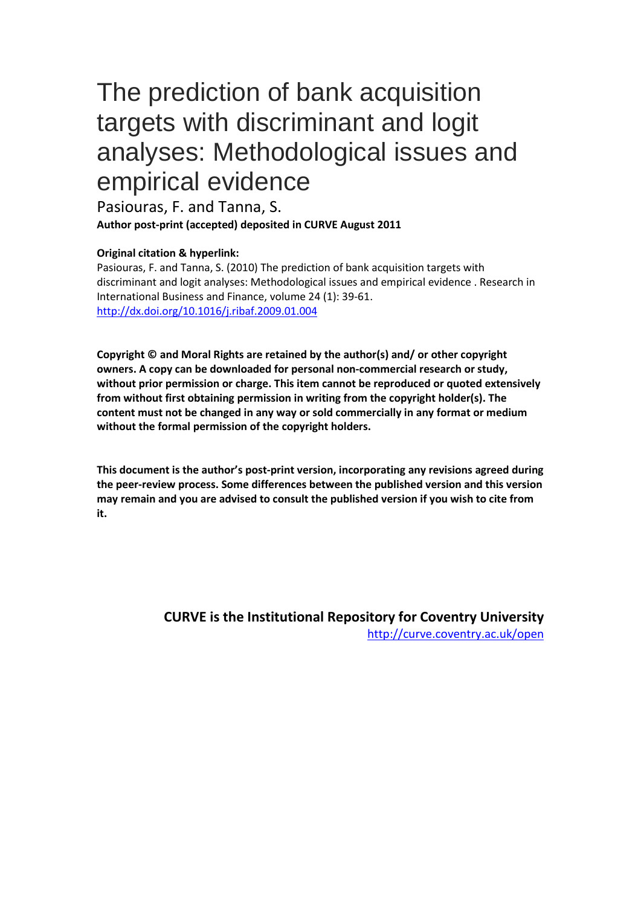# The prediction of bank acquisition targets with discriminant and logit analyses: Methodological issues and empirical evidence

Pasiouras, F. and Tanna, S. **Author post-print (accepted) deposited in CURVE August 2011**

## **Original citation & hyperlink:**

Pasiouras, F. and Tanna, S. (2010) The prediction of bank acquisition targets with discriminant and logit analyses: Methodological issues and empirical evidence . Research in International Business and Finance, volume 24 (1): 39-61. http://dx.doi.org/10.1016/j.ribaf.2009.01.004

**Copyright © and Moral Rights are retained by the author(s) and/ or other copyright owners. A copy can be downloaded for personal non-commercial research or study, without prior permission or charge. This item cannot be reproduced or quoted extensively from without first obtaining permission in writing from the copyright holder(s). The content must not be changed in any way or sold commercially in any format or medium without the formal permission of the copyright holders.** 

**[This document is the author's post-print](http://dx.doi.org/10.1016/j.ribaf.2009.01.004) version, incorporating any revisions agreed during the peer-review process. Some differences between the published version and this version may remain and you are advised to consult the published version if you wish to cite from it.** 

> **CURVE is the Institutional Repository for Coventry University** http://curve.coventry.ac.uk/open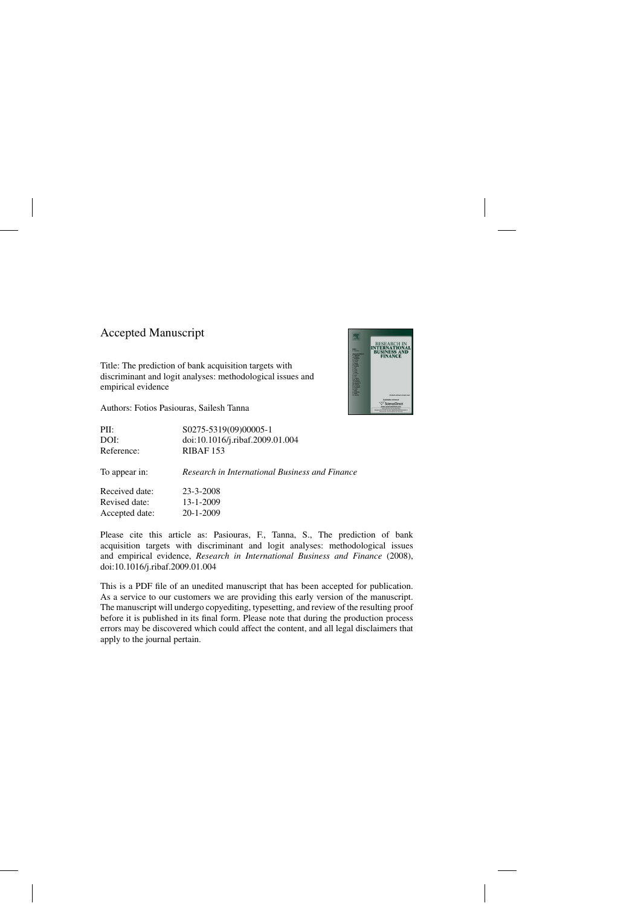## Accepted Manuscript

Title: The prediction of bank acquisition targets with discriminant and logit analyses: methodological issues and empirical evidence

Authors: Fotios Pasiouras, Sailesh Tanna

PII: S0275-5319(09)00005-1 DOI: [doi:10.1016/j.ribaf.2009.01.004](dx.doi.org/doi:10.1016/j.ribaf.2009.01.004) Reference: RIBAF 153

To appear in: *Research in International Business and Finance*

Received date: 23-3-2008 Revised date: 13-1-2009 Accepted date: 20-1-2009

Please cite this article as: Pasiouras, F., Tanna, S., The prediction of bank acquisition targets with discriminant and logit analyses: methodological issues and empirical evidence, *Research in International Business and Finance* (2008), doi:[10.1016/j.ribaf.2009.01.004](dx.doi.org/10.1016/j.ribaf.2009.01.004)

This is a PDF file of an unedited manuscript that has been accepted for publication. As a service to our customers we are providing this early version of the manuscript. The manuscript will undergo copyediting, typesetting, and review of the resulting proof before it is published in its final form. Please note that during the production process errors may be discovered which could affect the content, and all legal disclaimers that apply to the journal pertain.

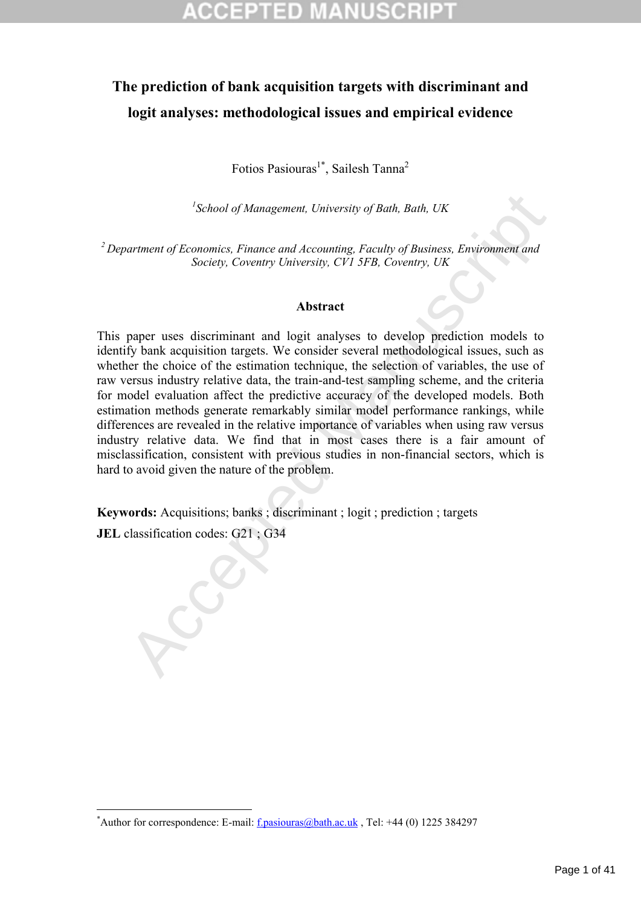## **The prediction of bank acquisition targets with discriminant and logit analyses: methodological issues and empirical evidence**

Fotios Pasiouras<sup>1\*</sup>, Sailesh Tanna<sup>2</sup>

*1 School of Management, University of Bath, Bath, UK*

*2 Department of Economics, Finance and Accounting, Faculty of Business, Environment and Society, Coventry University, CV1 5FB, Coventry, UK*

### **Abstract**

<sup>1</sup>School of Management, University of Bath, Bath, UK<br>
<sup>1</sup>School of Management, University of Bath Bath, UK<br> **Abstract**<br>  $\text{Society, Coverity University, CVI 5FB, Coverity, UK}$ <br> **Abstract**<br> **Abstract**<br> **Abstract**<br> **Abstract**<br> **Abstract**<br> **Abstract**<br> **A** This paper uses discriminant and logit analyses to develop prediction models to identify bank acquisition targets. We consider several methodological issues, such as whether the choice of the estimation technique, the selection of variables, the use of raw versus industry relative data, the train-and-test sampling scheme, and the criteria for model evaluation affect the predictive accuracy of the developed models. Both estimation methods generate remarkably similar model performance rankings, while differences are revealed in the relative importance of variables when using raw versus industry relative data. We find that in most cases there is a fair amount of misclassification, consistent with previous studies in non-financial sectors, which is hard to avoid given the nature of the problem.

**Keywords:** Acquisitions; banks ; discriminant ; logit ; prediction ; targets

**JEL** classification codes: G21; G34

1

<sup>\*</sup>Author for correspondence: E-mail:  $f_{.}$  pasiouras $@$ bath.ac.uk, Tel: +44 (0) 1225 384297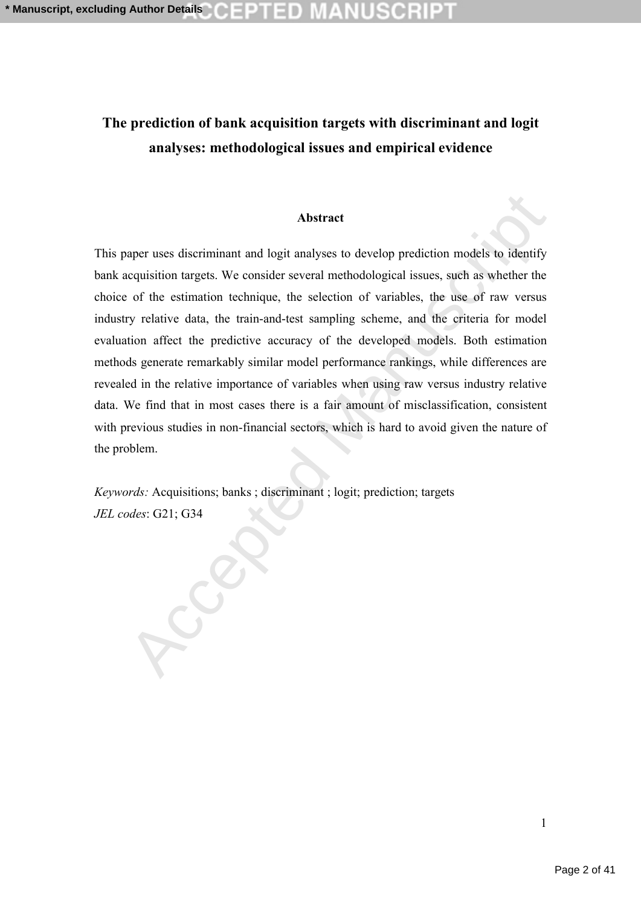## **The prediction of bank acquisition targets with discriminant and logit analyses: methodological issues and empirical evidence**

### **Abstract**

Abstract<br>
Accept uses discriminant and logit analyses to develop prediction models to identify<br>
requisition targets. We consider several methodological issues, such as whether the<br>
of the estimation technique, the selectio This paper uses discriminant and logit analyses to develop prediction models to identify bank acquisition targets. We consider several methodological issues, such as whether the choice of the estimation technique, the selection of variables, the use of raw versus industry relative data, the train-and-test sampling scheme, and the criteria for model evaluation affect the predictive accuracy of the developed models. Both estimation methods generate remarkably similar model performance rankings, while differences are revealed in the relative importance of variables when using raw versus industry relative data. We find that in most cases there is a fair amount of misclassification, consistent with previous studies in non-financial sectors, which is hard to avoid given the nature of the problem.

*Keywords:* Acquisitions; banks ; discriminant ; logit; prediction; targets *JEL codes*: G21; G34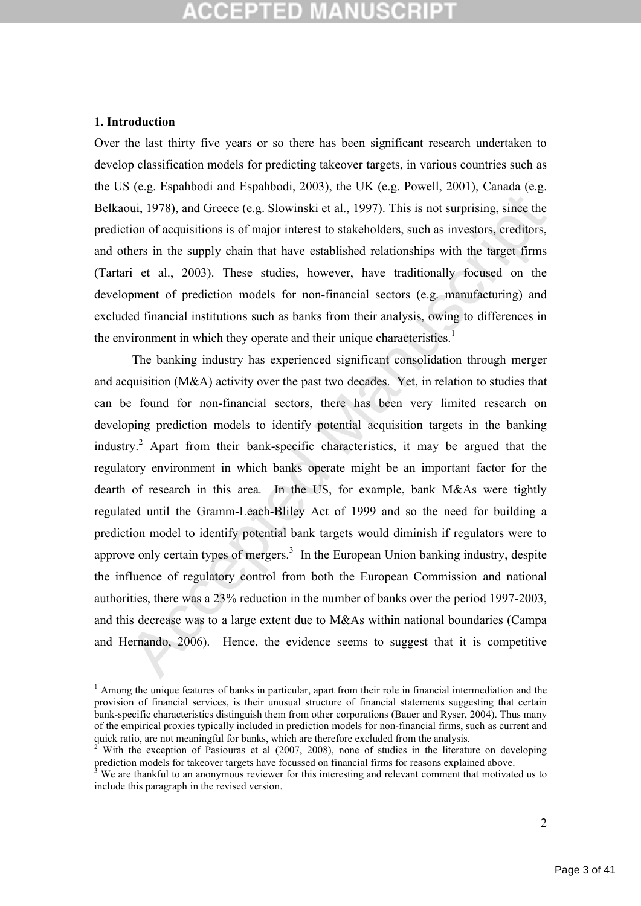### **1. Introduction**

-

Over the last thirty five years or so there has been significant research undertaken to develop classification models for predicting takeover targets, in various countries such as the US (e.g. Espahbodi and Espahbodi, 2003), the UK (e.g. Powell, 2001), Canada (e.g. Belkaoui, 1978), and Greece (e.g. Slowinski et al., 1997). This is not surprising, since the prediction of acquisitions is of major interest to stakeholders, such as investors, creditors, and others in the supply chain that have established relationships with the target firms (Tartari et al., 2003). These studies, however, have traditionally focused on the development of prediction models for non-financial sectors (e.g. manufacturing) and excluded financial institutions such as banks from their analysis, owing to differences in the environment in which they operate and their unique characteristics.<sup>1</sup>

oui, 1978), and Greece (e.g. Slowinski et al., 1997). This is not surprising, since the tion of acquisitions is of major interest to stakeholders, such as investors, creditors, thers in the supply chain that have establish The banking industry has experienced significant consolidation through merger and acquisition (M&A) activity over the past two decades. Yet, in relation to studies that can be found for non-financial sectors, there has been very limited research on developing prediction models to identify potential acquisition targets in the banking industry.<sup>2</sup> Apart from their bank-specific characteristics, it may be argued that the regulatory environment in which banks operate might be an important factor for the dearth of research in this area. In the US, for example, bank M&As were tightly regulated until the Gramm-Leach-Bliley Act of 1999 and so the need for building a prediction model to identify potential bank targets would diminish if regulators were to approve only certain types of mergers. $3\text{ In the European Union banking industry, despite}$ the influence of regulatory control from both the European Commission and national authorities, there was a 23% reduction in the number of banks over the period 1997-2003, and this decrease was to a large extent due to M&As within national boundaries (Campa and Hernando, 2006). Hence, the evidence seems to suggest that it is competitive

 $<sup>1</sup>$  Among the unique features of banks in particular, apart from their role in financial intermediation and the</sup> provision of financial services, is their unusual structure of financial statements suggesting that certain bank-specific characteristics distinguish them from other corporations (Bauer and Ryser, 2004). Thus many of the empirical proxies typically included in prediction models for non-financial firms, such as current and quick ratio, are not meaningful for banks, which are therefore excluded from the analysis.

<sup>2</sup> With the exception of Pasiouras et al (2007, 2008), none of studies in the literature on developing prediction models for takeover targets have focussed on financial firms for reasons explained above.

We are thankful to an anonymous reviewer for this interesting and relevant comment that motivated us to include this paragraph in the revised version.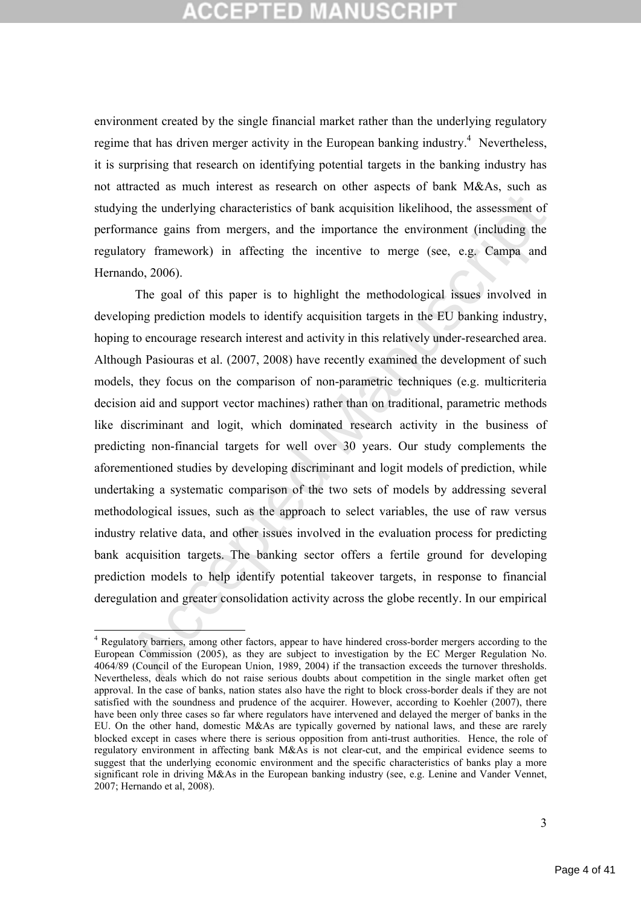environment created by the single financial market rather than the underlying regulatory regime that has driven merger activity in the European banking industry.<sup>4</sup> Nevertheless, it is surprising that research on identifying potential targets in the banking industry has not attracted as much interest as research on other aspects of bank M&As, such as studying the underlying characteristics of bank acquisition likelihood, the assessment of performance gains from mergers, and the importance the environment (including the regulatory framework) in affecting the incentive to merge (see, e.g. Campa and Hernando, 2006).

mg the underlying characteristics of bank acquisition likelihood, the assessment of<br>mance gains from mergers, and the importance the environment (including the<br>tory framework) in affecting the incentive to merge (see, e.g. The goal of this paper is to highlight the methodological issues involved in developing prediction models to identify acquisition targets in the EU banking industry, hoping to encourage research interest and activity in this relatively under-researched area. Although Pasiouras et al. (2007, 2008) have recently examined the development of such models, they focus on the comparison of non-parametric techniques (e.g. multicriteria decision aid and support vector machines) rather than on traditional, parametric methods like discriminant and logit, which dominated research activity in the business of predicting non-financial targets for well over 30 years. Our study complements the aforementioned studies by developing discriminant and logit models of prediction, while undertaking a systematic comparison of the two sets of models by addressing several methodological issues, such as the approach to select variables, the use of raw versus industry relative data, and other issues involved in the evaluation process for predicting bank acquisition targets. The banking sector offers a fertile ground for developing prediction models to help identify potential takeover targets, in response to financial deregulation and greater consolidation activity across the globe recently. In our empirical

-

<sup>&</sup>lt;sup>4</sup> Regulatory barriers, among other factors, appear to have hindered cross-border mergers according to the European Commission (2005), as they are subject to investigation by the EC Merger Regulation No. 4064/89 (Council of the European Union, 1989, 2004) if the transaction exceeds the turnover thresholds. Nevertheless, deals which do not raise serious doubts about competition in the single market often get approval. In the case of banks, nation states also have the right to block cross-border deals if they are not satisfied with the soundness and prudence of the acquirer. However, according to Koehler (2007), there have been only three cases so far where regulators have intervened and delayed the merger of banks in the EU. On the other hand, domestic M&As are typically governed by national laws, and these are rarely blocked except in cases where there is serious opposition from anti-trust authorities. Hence, the role of regulatory environment in affecting bank M&As is not clear-cut, and the empirical evidence seems to suggest that the underlying economic environment and the specific characteristics of banks play a more significant role in driving M&As in the European banking industry (see, e.g. Lenine and Vander Vennet, 2007; Hernando et al, 2008).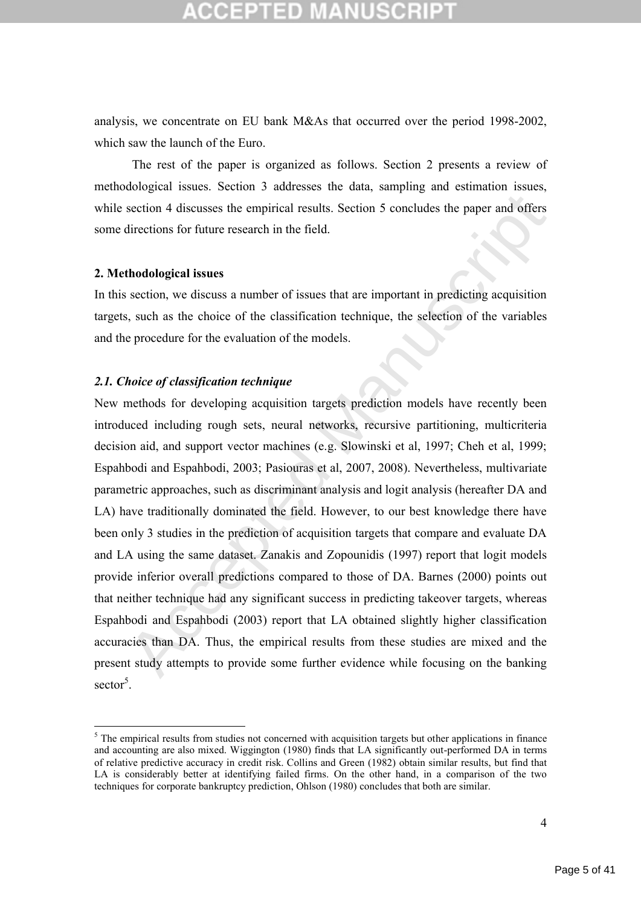analysis, we concentrate on EU bank M&As that occurred over the period 1998-2002, which saw the launch of the Euro.

The rest of the paper is organized as follows. Section 2 presents a review of methodological issues. Section 3 addresses the data, sampling and estimation issues, while section 4 discusses the empirical results. Section 5 concludes the paper and offers some directions for future research in the field.

### **2. Methodological issues**

 $\overline{a}$ 

In this section, we discuss a number of issues that are important in predicting acquisition targets, such as the choice of the classification technique, the selection of the variables and the procedure for the evaluation of the models.

### *2.1. Choice of classification technique*

section 4 discusses the empirical results. Section 5 concludes the paper and offers<br>directions for future research in the field.<br>
directions for future research in the field.<br>
directions for future research in the field.<br> New methods for developing acquisition targets prediction models have recently been introduced including rough sets, neural networks, recursive partitioning, multicriteria decision aid, and support vector machines (e.g. Slowinski et al, 1997; Cheh et al, 1999; Espahbodi and Espahbodi, 2003; Pasiouras et al, 2007, 2008). Nevertheless, multivariate parametric approaches, such as discriminant analysis and logit analysis (hereafter DA and LA) have traditionally dominated the field. However, to our best knowledge there have been only 3 studies in the prediction of acquisition targets that compare and evaluate DA and LA using the same dataset. Zanakis and Zopounidis (1997) report that logit models provide inferior overall predictions compared to those of DA. Barnes (2000) points out that neither technique had any significant success in predicting takeover targets, whereas Espahbodi and Espahbodi (2003) report that LA obtained slightly higher classification accuracies than DA. Thus, the empirical results from these studies are mixed and the present study attempts to provide some further evidence while focusing on the banking sector<sup>5</sup>.

<sup>&</sup>lt;sup>5</sup> The empirical results from studies not concerned with acquisition targets but other applications in finance and accounting are also mixed. Wiggington (1980) finds that LA significantly out-performed DA in terms of relative predictive accuracy in credit risk. Collins and Green (1982) obtain similar results, but find that LA is considerably better at identifying failed firms. On the other hand, in a comparison of the two techniques for corporate bankruptcy prediction, Ohlson (1980) concludes that both are similar.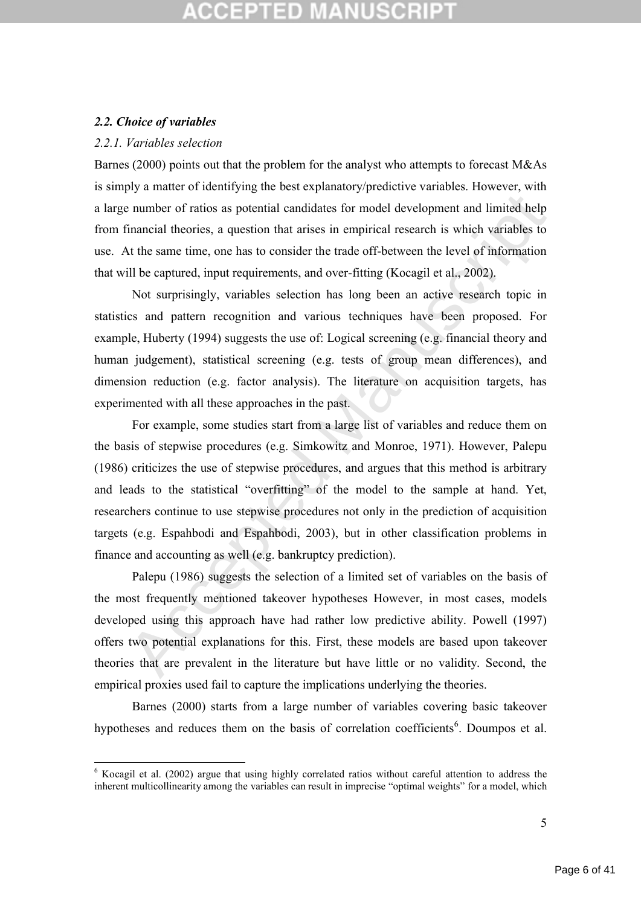## (CELLED)

### *2.2. Choice of variables*

### *2.2.1. Variables selection*

-

Barnes (2000) points out that the problem for the analyst who attempts to forecast M&As is simply a matter of identifying the best explanatory/predictive variables. However, with a large number of ratios as potential candidates for model development and limited help from financial theories, a question that arises in empirical research is which variables to use. At the same time, one has to consider the trade off-between the level of information that will be captured, input requirements, and over-fitting (Kocagil et al., 2002).

Not surprisingly, variables selection has long been an active research topic in statistics and pattern recognition and various techniques have been proposed. For example, Huberty (1994) suggests the use of: Logical screening (e.g. financial theory and human judgement), statistical screening (e.g. tests of group mean differences), and dimension reduction (e.g. factor analysis). The literature on acquisition targets, has experimented with all these approaches in the past.

Framewoll the statistical control and higher statistical conditions and the photon Phance is which variables to the same time, one has to consider the trade off-between the level of information ill be captured, input requi For example, some studies start from a large list of variables and reduce them on the basis of stepwise procedures (e.g. Simkowitz and Monroe, 1971). However, Palepu (1986) criticizes the use of stepwise procedures, and argues that this method is arbitrary and leads to the statistical "overfitting" of the model to the sample at hand. Yet, researchers continue to use stepwise procedures not only in the prediction of acquisition targets (e.g. Espahbodi and Espahbodi, 2003), but in other classification problems in finance and accounting as well (e.g. bankruptcy prediction).

Palepu (1986) suggests the selection of a limited set of variables on the basis of the most frequently mentioned takeover hypotheses However, in most cases, models developed using this approach have had rather low predictive ability. Powell (1997) offers two potential explanations for this. First, these models are based upon takeover theories that are prevalent in the literature but have little or no validity. Second, the empirical proxies used fail to capture the implications underlying the theories.

Barnes (2000) starts from a large number of variables covering basic takeover hypotheses and reduces them on the basis of correlation coefficients<sup>6</sup>. Doumpos et al.

 $6$  Kocagil et al. (2002) argue that using highly correlated ratios without careful attention to address the inherent multicollinearity among the variables can result in imprecise "optimal weights" for a model, which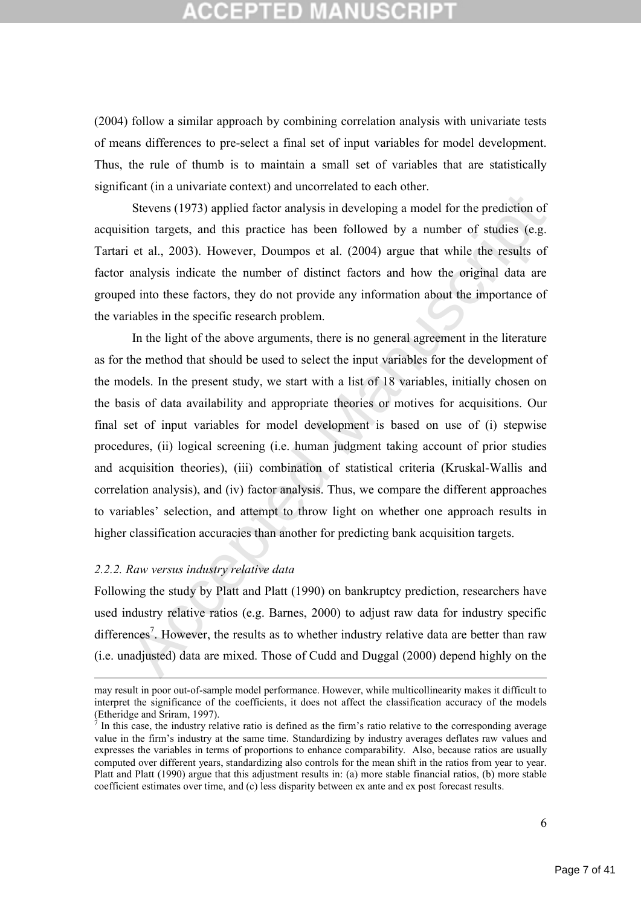(2004) follow a similar approach by combining correlation analysis with univariate tests of means differences to pre-select a final set of input variables for model development. Thus, the rule of thumb is to maintain a small set of variables that are statistically significant (in a univariate context) and uncorrelated to each other.

Stevens (1973) applied factor analysis in developing a model for the prediction of acquisition targets, and this practice has been followed by a number of studies (e.g. Tartari et al., 2003). However, Doumpos et al. (2004) argue that while the results of factor analysis indicate the number of distinct factors and how the original data are grouped into these factors, they do not provide any information about the importance of the variables in the specific research problem.

Stevens (1973) applied factor analysis in developing a model for the prediction of<br>ition targets, and this practice has been followed by a number of studies (e.g.<br>i.e. al., 2003). However, Doumpos et al. (2004) argue that In the light of the above arguments, there is no general agreement in the literature as for the method that should be used to select the input variables for the development of the models. In the present study, we start with a list of 18 variables, initially chosen on the basis of data availability and appropriate theories or motives for acquisitions. Our final set of input variables for model development is based on use of (i) stepwise procedures, (ii) logical screening (i.e. human judgment taking account of prior studies and acquisition theories), (iii) combination of statistical criteria (Kruskal-Wallis and correlation analysis), and (iv) factor analysis. Thus, we compare the different approaches to variables' selection, and attempt to throw light on whether one approach results in higher classification accuracies than another for predicting bank acquisition targets.

### *2.2.2. Raw versus industry relative data*

-

Following the study by Platt and Platt (1990) on bankruptcy prediction, researchers have used industry relative ratios (e.g. Barnes, 2000) to adjust raw data for industry specific differences<sup>7</sup>. However, the results as to whether industry relative data are better than raw (i.e. unadjusted) data are mixed. Those of Cudd and Duggal (2000) depend highly on the

may result in poor out-of-sample model performance. However, while multicollinearity makes it difficult to interpret the significance of the coefficients, it does not affect the classification accuracy of the models (Etheridge and Sriram, 1997).

In this case, the industry relative ratio is defined as the firm's ratio relative to the corresponding average value in the firm's industry at the same time. Standardizing by industry averages deflates raw values and expresses the variables in terms of proportions to enhance comparability. Also, because ratios are usually computed over different years, standardizing also controls for the mean shift in the ratios from year to year. Platt and Platt (1990) argue that this adjustment results in: (a) more stable financial ratios, (b) more stable coefficient estimates over time, and (c) less disparity between ex ante and ex post forecast results.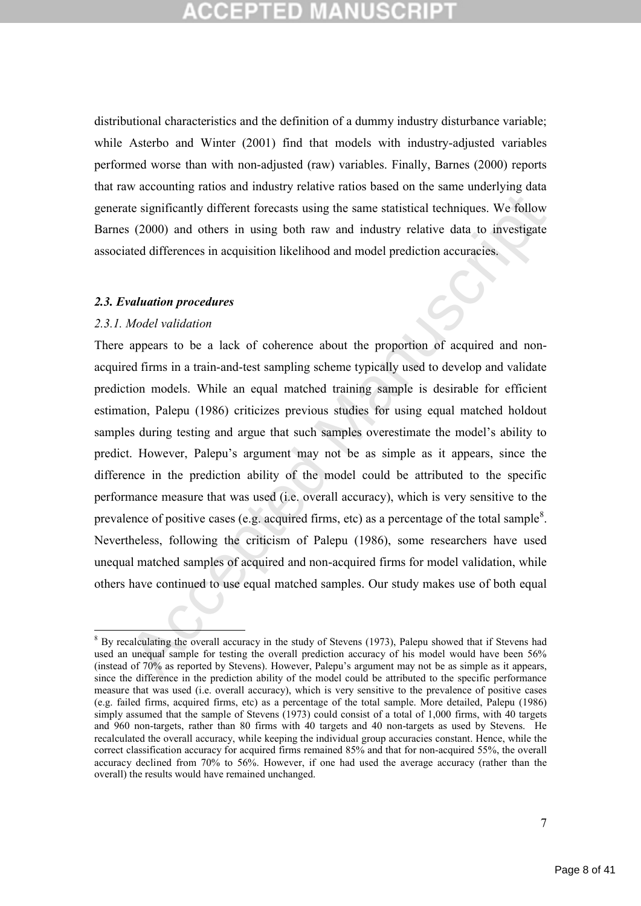distributional characteristics and the definition of a dummy industry disturbance variable; while Asterbo and Winter (2001) find that models with industry-adjusted variables performed worse than with non-adjusted (raw) variables. Finally, Barnes (2000) reports that raw accounting ratios and industry relative ratios based on the same underlying data generate significantly different forecasts using the same statistical techniques. We follow Barnes (2000) and others in using both raw and industry relative data to investigate associated differences in acquisition likelihood and model prediction accuracies.

### *2.3. Evaluation procedures*

### *2.3.1. Model validation*

-

atte significantly different forecasts using the same statistical techniques. We follow<br>
Set (2000) and others in using both raw and industry relative data to investigate<br>
ated differences in acquisition likelihood and mod There appears to be a lack of coherence about the proportion of acquired and nonacquired firms in a train-and-test sampling scheme typically used to develop and validate prediction models. While an equal matched training sample is desirable for efficient estimation, Palepu (1986) criticizes previous studies for using equal matched holdout samples during testing and argue that such samples overestimate the model's ability to predict. However, Palepu's argument may not be as simple as it appears, since the difference in the prediction ability of the model could be attributed to the specific performance measure that was used (i.e. overall accuracy), which is very sensitive to the prevalence of positive cases (e.g. acquired firms, etc) as a percentage of the total sample<sup>8</sup>. Nevertheless, following the criticism of Palepu (1986), some researchers have used unequal matched samples of acquired and non-acquired firms for model validation, while others have continued to use equal matched samples. Our study makes use of both equal

<sup>&</sup>lt;sup>8</sup> By recalculating the overall accuracy in the study of Stevens (1973), Palepu showed that if Stevens had used an unequal sample for testing the overall prediction accuracy of his model would have been 56% (instead of 70% as reported by Stevens). However, Palepu's argument may not be as simple as it appears, since the difference in the prediction ability of the model could be attributed to the specific performance measure that was used (i.e. overall accuracy), which is very sensitive to the prevalence of positive cases (e.g. failed firms, acquired firms, etc) as a percentage of the total sample. More detailed, Palepu (1986) simply assumed that the sample of Stevens (1973) could consist of a total of 1,000 firms, with 40 targets and 960 non-targets, rather than 80 firms with 40 targets and 40 non-targets as used by Stevens. He recalculated the overall accuracy, while keeping the individual group accuracies constant. Hence, while the correct classification accuracy for acquired firms remained 85% and that for non-acquired 55%, the overall accuracy declined from 70% to 56%. However, if one had used the average accuracy (rather than the overall) the results would have remained unchanged.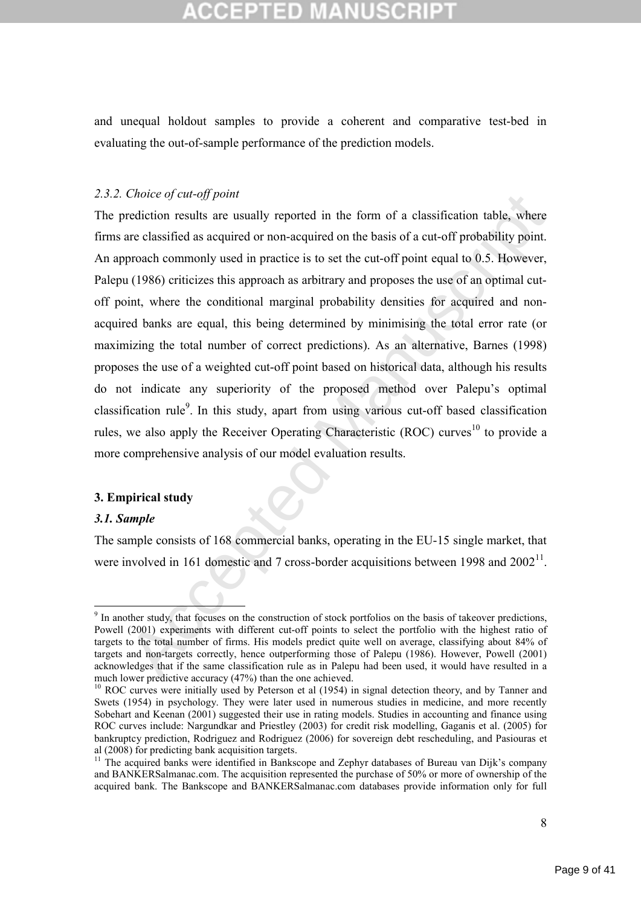and unequal holdout samples to provide a coherent and comparative test-bed in evaluating the out-of-sample performance of the prediction models.

## *2.3.2. Choice of cut-off point*

Choice of cut-off point<br>
choice of cut-off point<br>
crediction results are usually reported in the form of a classification table, where<br>
reachisted as acquired or non-acquired on the basis of a cut-off probability point.<br> The prediction results are usually reported in the form of a classification table, where firms are classified as acquired or non-acquired on the basis of a cut-off probability point. An approach commonly used in practice is to set the cut-off point equal to 0.5. However, Palepu (1986) criticizes this approach as arbitrary and proposes the use of an optimal cutoff point, where the conditional marginal probability densities for acquired and nonacquired banks are equal, this being determined by minimising the total error rate (or maximizing the total number of correct predictions). As an alternative, Barnes (1998) proposes the use of a weighted cut-off point based on historical data, although his results do not indicate any superiority of the proposed method over Palepu's optimal classification rule<sup>9</sup>. In this study, apart from using various cut-off based classification rules, we also apply the Receiver Operating Characteristic (ROC) curves<sup>10</sup> to provide a more comprehensive analysis of our model evaluation results.

## **3. Empirical study**

### *3.1. Sample*

-

The sample consists of 168 commercial banks, operating in the EU-15 single market, that were involved in 161 domestic and 7 cross-border acquisitions between 1998 and 2002<sup>11</sup>.

<sup>&</sup>lt;sup>9</sup> In another study, that focuses on the construction of stock portfolios on the basis of takeover predictions, Powell (2001) experiments with different cut-off points to select the portfolio with the highest ratio of targets to the total number of firms. His models predict quite well on average, classifying about 84% of targets and non-targets correctly, hence outperforming those of Palepu (1986). However, Powell (2001) acknowledges that if the same classification rule as in Palepu had been used, it would have resulted in a much lower predictive accuracy (47%) than the one achieved.

<sup>&</sup>lt;sup>10</sup> ROC curves were initially used by Peterson et al (1954) in signal detection theory, and by Tanner and Swets (1954) in psychology. They were later used in numerous studies in medicine, and more recently Sobehart and Keenan (2001) suggested their use in rating models. Studies in accounting and finance using ROC curves include: Nargundkar and Priestley (2003) for credit risk modelling, Gaganis et al. (2005) for bankruptcy prediction, Rodriguez and Rodriguez (2006) for sovereign debt rescheduling, and Pasiouras et al (2008) for predicting bank acquisition targets.

 $11$  The acquired banks were identified in Bankscope and Zephyr databases of Bureau van Dijk's company and BANKERSalmanac.com. The acquisition represented the purchase of 50% or more of ownership of the acquired bank. The Bankscope and BANKERSalmanac.com databases provide information only for full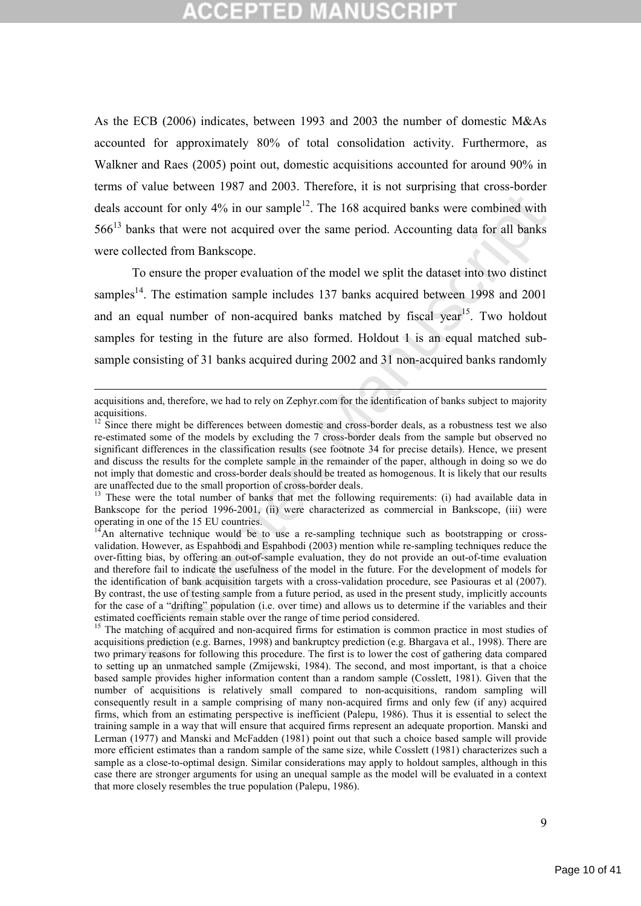As the ECB (2006) indicates, between 1993 and 2003 the number of domestic M&As accounted for approximately 80% of total consolidation activity. Furthermore, as Walkner and Raes (2005) point out, domestic acquisitions accounted for around 90% in terms of value between 1987 and 2003. Therefore, it is not surprising that cross-border deals account for only  $4\%$  in our sample<sup>12</sup>. The 168 acquired banks were combined with 566<sup>13</sup> banks that were not acquired over the same period. Accounting data for all banks were collected from Bankscope.

account for only 4% in our sample<sup>12</sup>. The 168 acquired banks were combined with<br>banks that were not acquired over the same period. Accounting data for all banks<br>collected from Bankscope.<br>To ensure the proper evaluation o To ensure the proper evaluation of the model we split the dataset into two distinct samples<sup>14</sup>. The estimation sample includes 137 banks acquired between 1998 and 2001 and an equal number of non-acquired banks matched by fiscal year<sup>15</sup>. Two holdout samples for testing in the future are also formed. Holdout 1 is an equal matched subsample consisting of 31 banks acquired during 2002 and 31 non-acquired banks randomly

-

acquisitions and, therefore, we had to rely on Zephyr.com for the identification of banks subject to majority acquisitions.

 $12$  Since there might be differences between domestic and cross-border deals, as a robustness test we also re-estimated some of the models by excluding the 7 cross-border deals from the sample but observed no significant differences in the classification results (see footnote 34 for precise details). Hence, we present and discuss the results for the complete sample in the remainder of the paper, although in doing so we do not imply that domestic and cross-border deals should be treated as homogenous. It is likely that our results are unaffected due to the small proportion of cross-border deals.

<sup>&</sup>lt;sup>13</sup> These were the total number of banks that met the following requirements: (i) had available data in Bankscope for the period 1996-2001, (ii) were characterized as commercial in Bankscope, (iii) were operating in one of the 15 EU countries.

<sup>&</sup>lt;sup>4</sup>An alternative technique would be to use a re-sampling technique such as bootstrapping or crossvalidation. However, as Espahbodi and Espahbodi (2003) mention while re-sampling techniques reduce the over-fitting bias, by offering an out-of-sample evaluation, they do not provide an out-of-time evaluation and therefore fail to indicate the usefulness of the model in the future. For the development of models for the identification of bank acquisition targets with a cross-validation procedure, see Pasiouras et al (2007). By contrast, the use of testing sample from a future period, as used in the present study, implicitly accounts for the case of a "drifting" population (i.e. over time) and allows us to determine if the variables and their estimated coefficients remain stable over the range of time period considered.

<sup>&</sup>lt;sup>15</sup> The matching of acquired and non-acquired firms for estimation is common practice in most studies of acquisitions prediction (e.g. Barnes, 1998) and bankruptcy prediction (e.g. Bhargava et al., 1998). There are two primary reasons for following this procedure. The first is to lower the cost of gathering data compared to setting up an unmatched sample (Zmijewski, 1984). The second, and most important, is that a choice based sample provides higher information content than a random sample (Cosslett, 1981). Given that the number of acquisitions is relatively small compared to non-acquisitions, random sampling will consequently result in a sample comprising of many non-acquired firms and only few (if any) acquired firms, which from an estimating perspective is inefficient (Palepu, 1986). Thus it is essential to select the training sample in a way that will ensure that acquired firms represent an adequate proportion. Manski and Lerman (1977) and Manski and McFadden (1981) point out that such a choice based sample will provide more efficient estimates than a random sample of the same size, while Cosslett (1981) characterizes such a sample as a close-to-optimal design. Similar considerations may apply to holdout samples, although in this case there are stronger arguments for using an unequal sample as the model will be evaluated in a context that more closely resembles the true population (Palepu, 1986).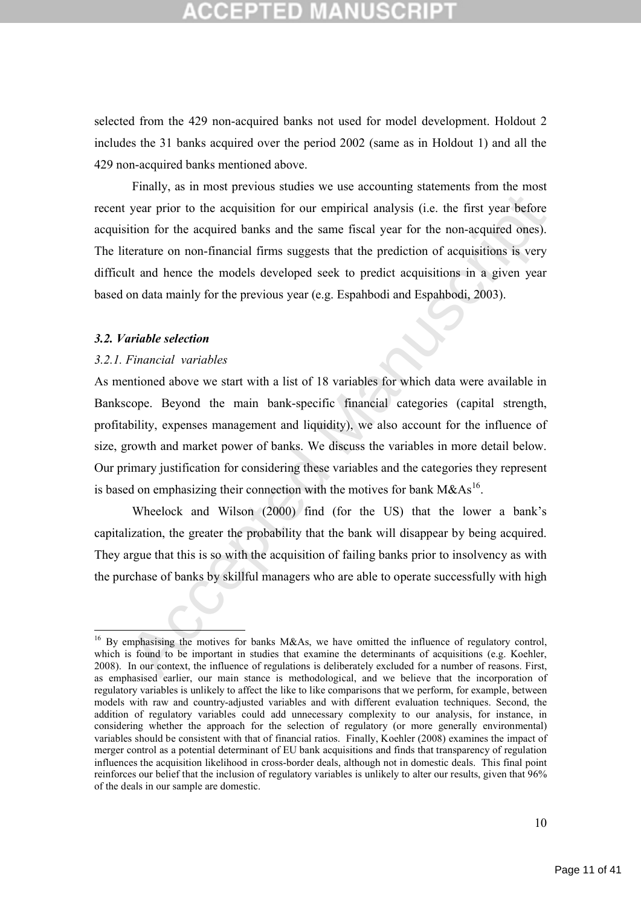selected from the 429 non-acquired banks not used for model development. Holdout 2 includes the 31 banks acquired over the period 2002 (same as in Holdout 1) and all the 429 non-acquired banks mentioned above.

Finally, as in most previous studies we use accounting statements from the most recent year prior to the acquisition for our empirical analysis (i.e. the first year before acquisition for the acquired banks and the same fiscal year for the non-acquired ones). The literature on non-financial firms suggests that the prediction of acquisitions is very difficult and hence the models developed seek to predict acquisitions in a given year based on data mainly for the previous year (e.g. Espahbodi and Espahbodi, 2003).

### *3.2. Variable selection*

-

### *3.2.1. Financial variables*

year prior to the acquisition for our empirical analysis (i.e. the first year before<br>tition for the acquisition for our empirical analysis (i.e. the first year before<br>tition for the acquired banks and the same fiscal year As mentioned above we start with a list of 18 variables for which data were available in Bankscope. Beyond the main bank-specific financial categories (capital strength, profitability, expenses management and liquidity), we also account for the influence of size, growth and market power of banks. We discuss the variables in more detail below. Our primary justification for considering these variables and the categories they represent is based on emphasizing their connection with the motives for bank  $M\&As^{16}$ .

Wheelock and Wilson (2000) find (for the US) that the lower a bank's capitalization, the greater the probability that the bank will disappear by being acquired. They argue that this is so with the acquisition of failing banks prior to insolvency as with the purchase of banks by skillful managers who are able to operate successfully with high

<sup>&</sup>lt;sup>16</sup> By emphasising the motives for banks M&As, we have omitted the influence of regulatory control, which is found to be important in studies that examine the determinants of acquisitions (e.g. Koehler, 2008). In our context, the influence of regulations is deliberately excluded for a number of reasons. First, as emphasised earlier, our main stance is methodological, and we believe that the incorporation of regulatory variables is unlikely to affect the like to like comparisons that we perform, for example, between models with raw and country-adjusted variables and with different evaluation techniques. Second, the addition of regulatory variables could add unnecessary complexity to our analysis, for instance, in considering whether the approach for the selection of regulatory (or more generally environmental) variables should be consistent with that of financial ratios. Finally, Koehler (2008) examines the impact of merger control as a potential determinant of EU bank acquisitions and finds that transparency of regulation influences the acquisition likelihood in cross-border deals, although not in domestic deals. This final point reinforces our belief that the inclusion of regulatory variables is unlikely to alter our results, given that 96% of the deals in our sample are domestic.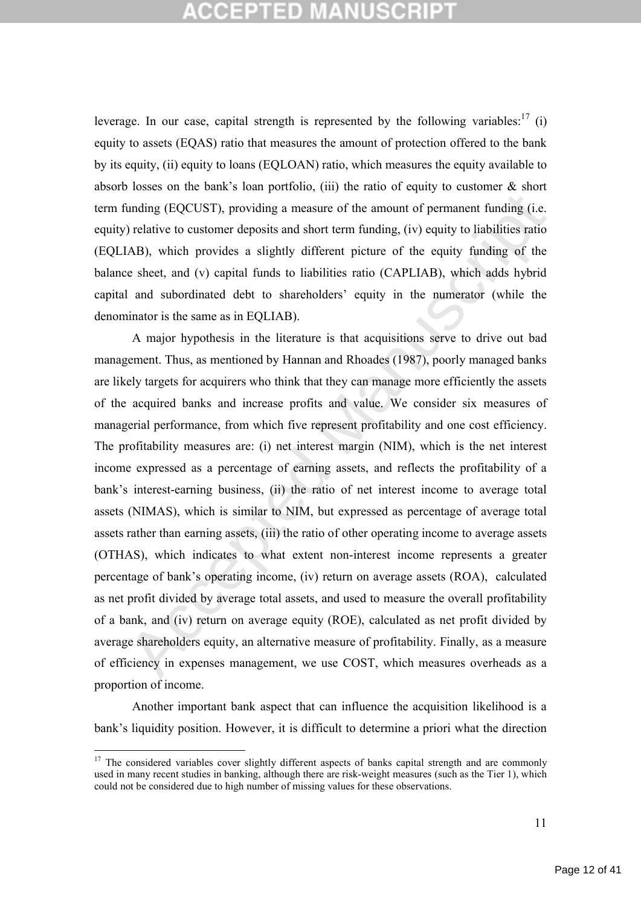leverage. In our case, capital strength is represented by the following variables:  $\frac{17}{1}$  (i) equity to assets (EQAS) ratio that measures the amount of protection offered to the bank by its equity, (ii) equity to loans (EQLOAN) ratio, which measures the equity available to absorb losses on the bank's loan portfolio, (iii) the ratio of equity to customer & short term funding (EQCUST), providing a measure of the amount of permanent funding (i.e. equity) relative to customer deposits and short term funding, (iv) equity to liabilities ratio (EQLIAB), which provides a slightly different picture of the equity funding of the balance sheet, and (v) capital funds to liabilities ratio (CAPLIAB), which adds hybrid capital and subordinated debt to shareholders' equity in the numerator (while the denominator is the same as in EQLIAB).

dinding (EQCUST), providing a measure of the amount of permanent funding (i.e.) relative to customer deposits and short term funding, (i.v) equity to liabilities ratio (AB), which provides a slightly different picture of A major hypothesis in the literature is that acquisitions serve to drive out bad management. Thus, as mentioned by Hannan and Rhoades (1987), poorly managed banks are likely targets for acquirers who think that they can manage more efficiently the assets of the acquired banks and increase profits and value. We consider six measures of managerial performance, from which five represent profitability and one cost efficiency. The profitability measures are: (i) net interest margin (NIM), which is the net interest income expressed as a percentage of earning assets, and reflects the profitability of a bank's interest-earning business, (ii) the ratio of net interest income to average total assets (NIMAS), which is similar to NIM, but expressed as percentage of average total assets rather than earning assets, (iii) the ratio of other operating income to average assets (OTHAS), which indicates to what extent non-interest income represents a greater percentage of bank's operating income, (iv) return on average assets (ROA), calculated as net profit divided by average total assets, and used to measure the overall profitability of a bank, and (iv) return on average equity (ROE), calculated as net profit divided by average shareholders equity, an alternative measure of profitability. Finally, as a measure of efficiency in expenses management, we use COST, which measures overheads as a proportion of income.

Another important bank aspect that can influence the acquisition likelihood is a bank's liquidity position. However, it is difficult to determine a priori what the direction

-

 $17$  The considered variables cover slightly different aspects of banks capital strength and are commonly used in many recent studies in banking, although there are risk-weight measures (such as the Tier 1), which could not be considered due to high number of missing values for these observations.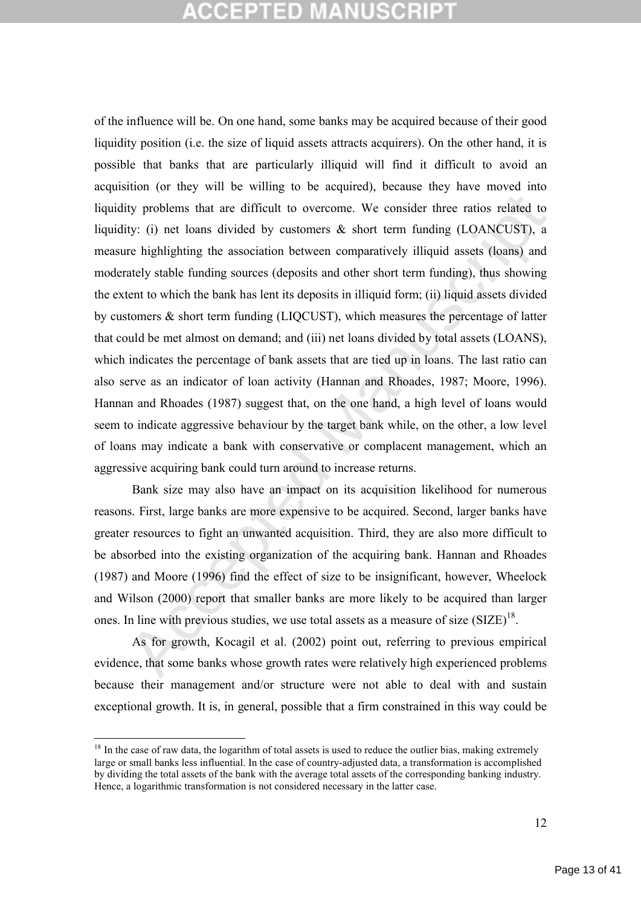ity problems that are difficult to overcome. We consider three ratios related to<br>tiy: (i) net loans divided by customers & short term funding (LOANCUST), a<br>re highlighting the association between comparatively illiquid as of the influence will be. On one hand, some banks may be acquired because of their good liquidity position (i.e. the size of liquid assets attracts acquirers). On the other hand, it is possible that banks that are particularly illiquid will find it difficult to avoid an acquisition (or they will be willing to be acquired), because they have moved into liquidity problems that are difficult to overcome. We consider three ratios related to liquidity: (i) net loans divided by customers & short term funding (LOANCUST), a measure highlighting the association between comparatively illiquid assets (loans) and moderately stable funding sources (deposits and other short term funding), thus showing the extent to which the bank has lent its deposits in illiquid form; (ii) liquid assets divided by customers & short term funding (LIQCUST), which measures the percentage of latter that could be met almost on demand; and (iii) net loans divided by total assets (LOANS), which indicates the percentage of bank assets that are tied up in loans. The last ratio can also serve as an indicator of loan activity (Hannan and Rhoades, 1987; Moore, 1996). Hannan and Rhoades (1987) suggest that, on the one hand, a high level of loans would seem to indicate aggressive behaviour by the target bank while, on the other, a low level of loans may indicate a bank with conservative or complacent management, which an aggressive acquiring bank could turn around to increase returns.

Bank size may also have an impact on its acquisition likelihood for numerous reasons. First, large banks are more expensive to be acquired. Second, larger banks have greater resources to fight an unwanted acquisition. Third, they are also more difficult to be absorbed into the existing organization of the acquiring bank. Hannan and Rhoades (1987) and Moore (1996) find the effect of size to be insignificant, however, Wheelock and Wilson (2000) report that smaller banks are more likely to be acquired than larger ones. In line with previous studies, we use total assets as a measure of size  $(SIZE)^{18}$ .

As for growth, Kocagil et al. (2002) point out, referring to previous empirical evidence, that some banks whose growth rates were relatively high experienced problems because their management and/or structure were not able to deal with and sustain exceptional growth. It is, in general, possible that a firm constrained in this way could be

1

 $18$  In the case of raw data, the logarithm of total assets is used to reduce the outlier bias, making extremely large or small banks less influential. In the case of country-adjusted data, a transformation is accomplished by dividing the total assets of the bank with the average total assets of the corresponding banking industry. Hence, a logarithmic transformation is not considered necessary in the latter case.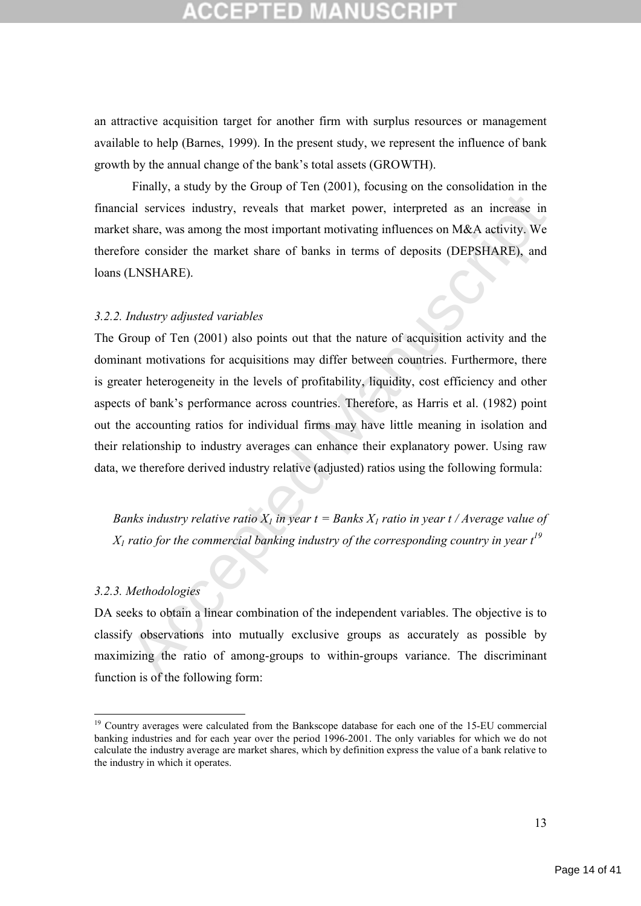an attractive acquisition target for another firm with surplus resources or management available to help (Barnes, 1999). In the present study, we represent the influence of bank growth by the annual change of the bank's total assets (GROWTH).

Finally, a study by the Group of Ten (2001), focusing on the consolidation in the financial services industry, reveals that market power, interpreted as an increase in market share, was among the most important motivating influences on M&A activity. We therefore consider the market share of banks in terms of deposits (DEPSHARE), and loans (LNSHARE).

### *3.2.2. Industry adjusted variables*

ial services industry, reveals that market power, interpreted as an increase in<br>thare, was among the most important motivating influences on M&A activity. We<br>ore consider the market share of banks in terms of deposits (DE The Group of Ten (2001) also points out that the nature of acquisition activity and the dominant motivations for acquisitions may differ between countries. Furthermore, there is greater heterogeneity in the levels of profitability, liquidity, cost efficiency and other aspects of bank's performance across countries. Therefore, as Harris et al. (1982) point out the accounting ratios for individual firms may have little meaning in isolation and their relationship to industry averages can enhance their explanatory power. Using raw data, we therefore derived industry relative (adjusted) ratios using the following formula:

*Banks industry relative ratio*  $X_l$  *in year t = Banks*  $X_l$  *ratio in year t / Average value of*  $X_1$  *ratio for the commercial banking industry of the corresponding country in year*  $t^{19}$ 

### *3.2.3. Methodologies*

-

DA seeks to obtain a linear combination of the independent variables. The objective is to classify observations into mutually exclusive groups as accurately as possible by maximizing the ratio of among-groups to within-groups variance. The discriminant function is of the following form:

 $19$  Country averages were calculated from the Bankscope database for each one of the 15-EU commercial banking industries and for each year over the period 1996-2001. The only variables for which we do not calculate the industry average are market shares, which by definition express the value of a bank relative to the industry in which it operates.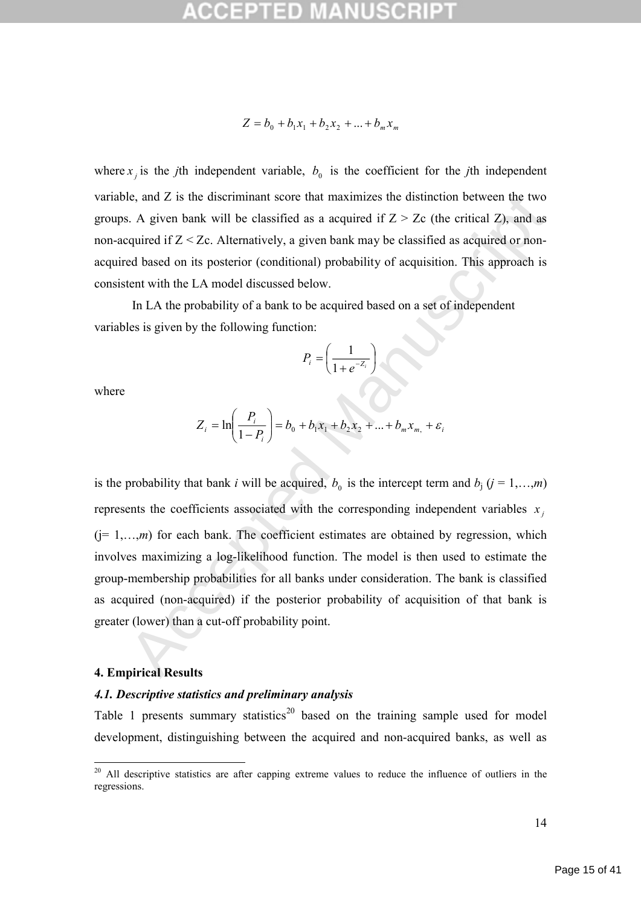$$
Z = b_0 + b_1 x_1 + b_2 x_2 + \dots + b_m x_m
$$

where  $x_i$  is the *j*th independent variable,  $b_0$  is the coefficient for the *j*th independent variable, and Z is the discriminant score that maximizes the distinction between the two groups. A given bank will be classified as a acquired if  $Z > Zc$  (the critical Z), and as non-acquired if  $Z \leq Zc$ . Alternatively, a given bank may be classified as acquired or nonacquired based on its posterior (conditional) probability of acquisition. This approach is consistent with the LA model discussed below.

In LA the probability of a bank to be acquired based on a set of independent variables is given by the following function:

$$
P_i = \left(\frac{1}{1 + e^{-Z_i}}\right)
$$

where

$$
Z_i = \ln\left(\frac{P_i}{1 - P_i}\right) = b_0 + b_1 x_1 + b_2 x_2 + \dots + b_m x_m + \varepsilon_i
$$

le, and Z is the discriminant score that maximizes the distinction between the two<br>s. A given bank will be classified as a acquired if  $Z > Zc$  (the critical Z), and as<br>equived if  $Z < Zc$ . Alternatively, a given bank may be is the probability that bank *i* will be acquired,  $b_0$  is the intercept term and  $b_j$  ( $j = 1,...,m$ ) represents the coefficients associated with the corresponding independent variables  $x_i$  $(j = 1, \ldots, m)$  for each bank. The coefficient estimates are obtained by regression, which involves maximizing a log-likelihood function. The model is then used to estimate the group-membership probabilities for all banks under consideration. The bank is classified as acquired (non-acquired) if the posterior probability of acquisition of that bank is greater (lower) than a cut-off probability point.

### **4. Empirical Results**

-

## *4.1. Descriptive statistics and preliminary analysis*

Table 1 presents summary statistics<sup>20</sup> based on the training sample used for model development, distinguishing between the acquired and non-acquired banks, as well as

 $20$  All descriptive statistics are after capping extreme values to reduce the influence of outliers in the regressions.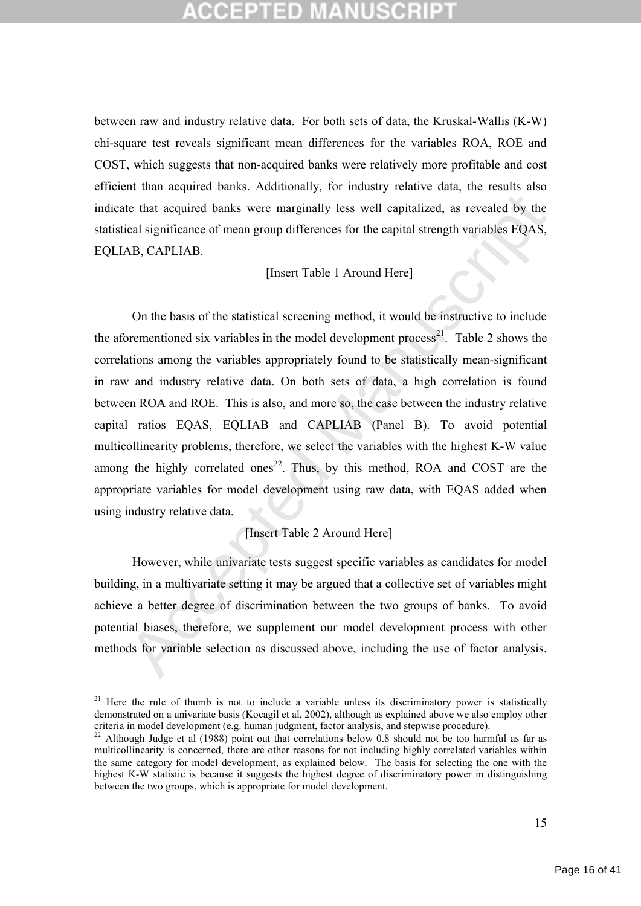between raw and industry relative data. For both sets of data, the Kruskal-Wallis (K-W) chi-square test reveals significant mean differences for the variables ROA, ROE and COST, which suggests that non-acquired banks were relatively more profitable and cost efficient than acquired banks. Additionally, for industry relative data, the results also indicate that acquired banks were marginally less well capitalized, as revealed by the statistical significance of mean group differences for the capital strength variables EQAS, EQLIAB, CAPLIAB.

## [Insert Table 1 Around Here]

ite that acquired banks were marginally less well capitalized, as revealed by the<br>cial significance of mean group differences for the capital strength variables EQAS,<br>AB, CAPLIAB. [Insert Table 1 Around Here]<br>On the basis On the basis of the statistical screening method, it would be instructive to include the aforementioned six variables in the model development process<sup>21</sup>. Table 2 shows the correlations among the variables appropriately found to be statistically mean-significant in raw and industry relative data. On both sets of data, a high correlation is found between ROA and ROE. This is also, and more so, the case between the industry relative capital ratios EQAS, EQLIAB and CAPLIAB (Panel B). To avoid potential multicollinearity problems, therefore, we select the variables with the highest K-W value among the highly correlated ones<sup>22</sup>. Thus, by this method, ROA and COST are the appropriate variables for model development using raw data, with EQAS added when using industry relative data.

## [Insert Table 2 Around Here]

However, while univariate tests suggest specific variables as candidates for model building, in a multivariate setting it may be argued that a collective set of variables might achieve a better degree of discrimination between the two groups of banks. To avoid potential biases, therefore, we supplement our model development process with other methods for variable selection as discussed above, including the use of factor analysis.

-

<sup>&</sup>lt;sup>21</sup> Here the rule of thumb is not to include a variable unless its discriminatory power is statistically demonstrated on a univariate basis (Kocagil et al, 2002), although as explained above we also employ other criteria in model development (e.g. human judgment, factor analysis, and stepwise procedure).

<sup>&</sup>lt;sup>22</sup> Although Judge et al (1988) point out that correlations below 0.8 should not be too harmful as far as multicollinearity is concerned, there are other reasons for not including highly correlated variables within the same category for model development, as explained below. The basis for selecting the one with the highest K-W statistic is because it suggests the highest degree of discriminatory power in distinguishing between the two groups, which is appropriate for model development.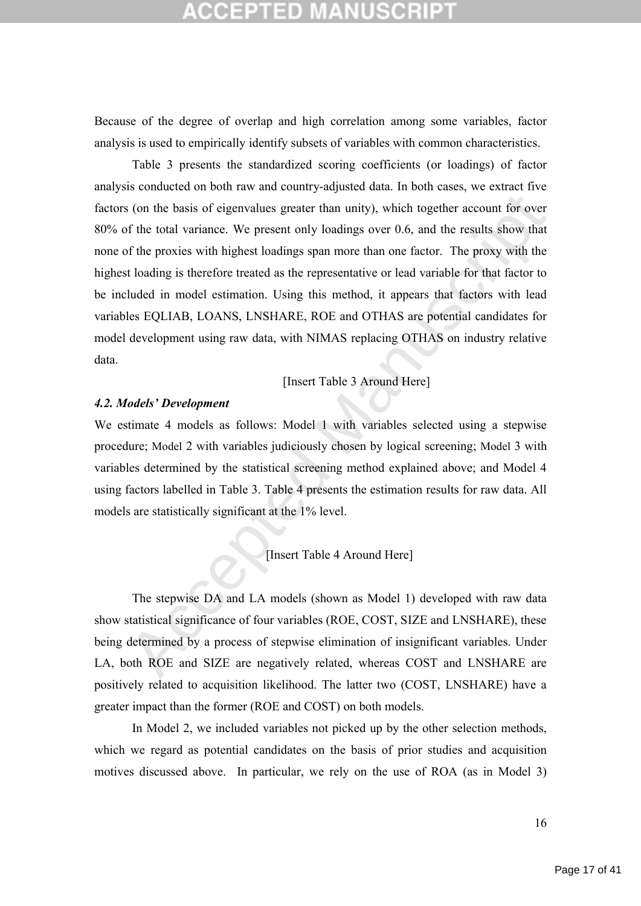Because of the degree of overlap and high correlation among some variables, factor analysis is used to empirically identify subsets of variables with common characteristics.

s (on the basis of eigenvalues greater than unity), which together account for over<br>of the total variance. We present only loadings over 0.6, and the results show that<br>of the proxies with highest loadings span more than on Table 3 presents the standardized scoring coefficients (or loadings) of factor analysis conducted on both raw and country-adjusted data. In both cases, we extract five factors (on the basis of eigenvalues greater than unity), which together account for over 80% of the total variance. We present only loadings over 0.6, and the results show that none of the proxies with highest loadings span more than one factor. The proxy with the highest loading is therefore treated as the representative or lead variable for that factor to be included in model estimation. Using this method, it appears that factors with lead variables EQLIAB, LOANS, LNSHARE, ROE and OTHAS are potential candidates for model development using raw data, with NIMAS replacing OTHAS on industry relative data.

[Insert Table 3 Around Here]

### *4.2. Models' Development*

We estimate 4 models as follows: Model 1 with variables selected using a stepwise procedure; Model 2 with variables judiciously chosen by logical screening; Model 3 with variables determined by the statistical screening method explained above; and Model 4 using factors labelled in Table 3. Table 4 presents the estimation results for raw data. All models are statistically significant at the 1% level.

[Insert Table 4 Around Here]

The stepwise DA and LA models (shown as Model 1) developed with raw data show statistical significance of four variables (ROE, COST, SIZE and LNSHARE), these being determined by a process of stepwise elimination of insignificant variables. Under LA, both ROE and SIZE are negatively related, whereas COST and LNSHARE are positively related to acquisition likelihood. The latter two (COST, LNSHARE) have a greater impact than the former (ROE and COST) on both models.

In Model 2, we included variables not picked up by the other selection methods, which we regard as potential candidates on the basis of prior studies and acquisition motives discussed above. In particular, we rely on the use of ROA (as in Model 3)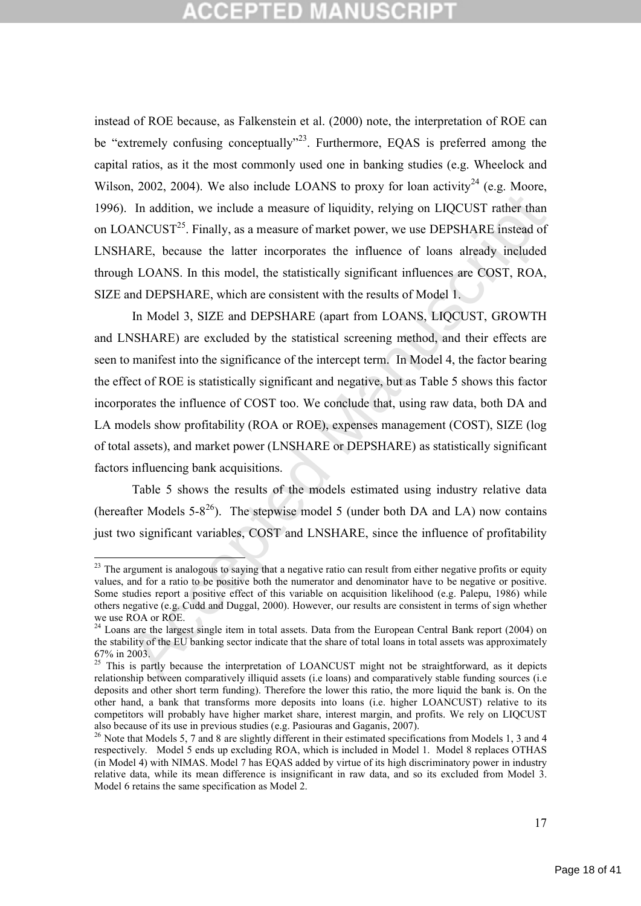instead of ROE because, as Falkenstein et al. (2000) note, the interpretation of ROE can be "extremely confusing conceptually"<sup>23</sup>. Furthermore, EOAS is preferred among the capital ratios, as it the most commonly used one in banking studies (e.g. Wheelock and Wilson, 2002, 2004). We also include LOANS to proxy for loan activity<sup>24</sup> (e.g. Moore, 1996). In addition, we include a measure of liquidity, relying on LIQCUST rather than on LOANCUST<sup>25</sup>. Finally, as a measure of market power, we use DEPSHARE instead of LNSHARE, because the latter incorporates the influence of loans already included through LOANS. In this model, the statistically significant influences are COST, ROA, SIZE and DEPSHARE, which are consistent with the results of Model 1.

In addition, we include a measure of liquidity, relying on LIQCUST rather than<br>ANCUST<sup>25</sup>. Finally, as a measure of market power, we use DEPSIIARE instead of<br>ARF, because the latter incorporates the influence of loans alr In Model 3, SIZE and DEPSHARE (apart from LOANS, LIQCUST, GROWTH and LNSHARE) are excluded by the statistical screening method, and their effects are seen to manifest into the significance of the intercept term. In Model 4, the factor bearing the effect of ROE is statistically significant and negative, but as Table 5 shows this factor incorporates the influence of COST too. We conclude that, using raw data, both DA and LA models show profitability (ROA or ROE), expenses management (COST), SIZE (log of total assets), and market power (LNSHARE or DEPSHARE) as statistically significant factors influencing bank acquisitions.

Table 5 shows the results of the models estimated using industry relative data (hereafter Models  $5-8^{26}$ ). The stepwise model 5 (under both DA and LA) now contains just two significant variables, COST and LNSHARE, since the influence of profitability

 $\overline{a}$ 

 $^{23}$  The argument is analogous to saying that a negative ratio can result from either negative profits or equity values, and for a ratio to be positive both the numerator and denominator have to be negative or positive. Some studies report a positive effect of this variable on acquisition likelihood (e.g. Palepu, 1986) while others negative (e.g. Cudd and Duggal, 2000). However, our results are consistent in terms of sign whether we use ROA or ROE.

<sup>&</sup>lt;sup>24</sup> Loans are the largest single item in total assets. Data from the European Central Bank report (2004) on the stability of the EU banking sector indicate that the share of total loans in total assets was approximately 67% in 2003.

 $25$  This is partly because the interpretation of LOANCUST might not be straightforward, as it depicts relationship between comparatively illiquid assets (i.e loans) and comparatively stable funding sources (i.e deposits and other short term funding). Therefore the lower this ratio, the more liquid the bank is. On the other hand, a bank that transforms more deposits into loans (i.e. higher LOANCUST) relative to its competitors will probably have higher market share, interest margin, and profits. We rely on LIQCUST also because of its use in previous studies (e.g. Pasiouras and Gaganis, 2007).

<sup>&</sup>lt;sup>26</sup> Note that Models 5, 7 and 8 are slightly different in their estimated specifications from Models 1, 3 and 4 respectively. Model 5 ends up excluding ROA, which is included in Model 1. Model 8 replaces OTHAS (in Model 4) with NIMAS. Model 7 has EQAS added by virtue of its high discriminatory power in industry relative data, while its mean difference is insignificant in raw data, and so its excluded from Model 3. Model 6 retains the same specification as Model 2.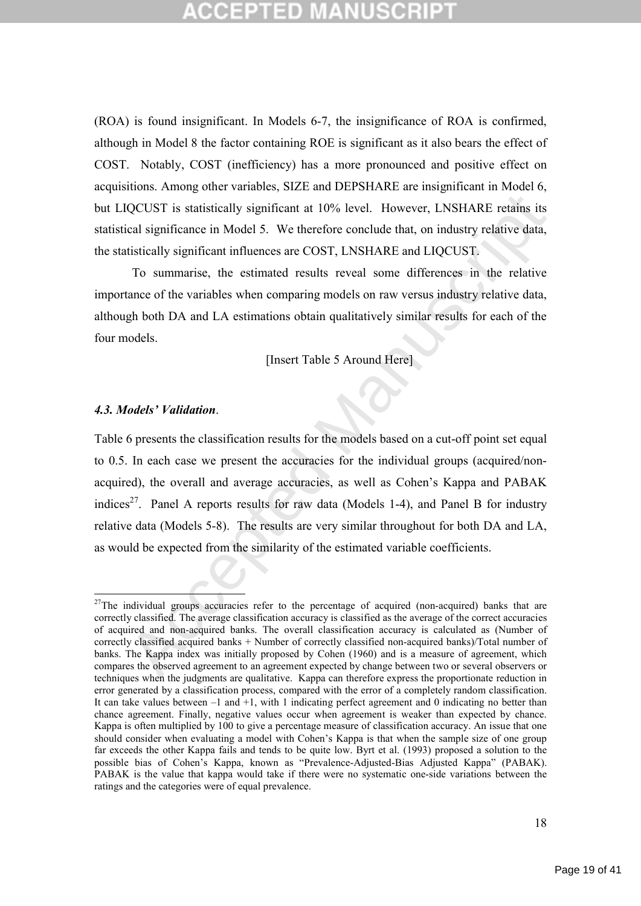(ROA) is found insignificant. In Models 6-7, the insignificance of ROA is confirmed, although in Model 8 the factor containing ROE is significant as it also bears the effect of COST. Notably, COST (inefficiency) has a more pronounced and positive effect on acquisitions. Among other variables, SIZE and DEPSHARE are insignificant in Model 6, but LIQCUST is statistically significant at 10% level. However, LNSHARE retains its statistical significance in Model 5. We therefore conclude that, on industry relative data, the statistically significant influences are COST, LNSHARE and LIQCUST.

To summarise, the estimated results reveal some differences in the relative importance of the variables when comparing models on raw versus industry relative data, although both DA and LA estimations obtain qualitatively similar results for each of the four models.

[Insert Table 5 Around Here]

### *4.3. Models' Validation*.

-

QCUST is statistically significant at 10% level. However, LNSHARE retains its<br>cal significance in Model 5. We therefore conclude that, on industry relative data,<br>tistically significant influences are COST, LNSHARE and LIQ Table 6 presents the classification results for the models based on a cut-off point set equal to 0.5. In each case we present the accuracies for the individual groups (acquired/nonacquired), the overall and average accuracies, as well as Cohen's Kappa and PABAK indices<sup>27</sup>. Panel A reports results for raw data (Models 1-4), and Panel B for industry relative data (Models 5-8). The results are very similar throughout for both DA and LA, as would be expected from the similarity of the estimated variable coefficients.

<sup>&</sup>lt;sup>27</sup>The individual groups accuracies refer to the percentage of acquired (non-acquired) banks that are correctly classified. The average classification accuracy is classified as the average of the correct accuracies of acquired and non-acquired banks. The overall classification accuracy is calculated as (Number of correctly classified acquired banks + Number of correctly classified non-acquired banks)/Total number of banks. The Kappa index was initially proposed by Cohen (1960) and is a measure of agreement, which compares the observed agreement to an agreement expected by change between two or several observers or techniques when the judgments are qualitative. Kappa can therefore express the proportionate reduction in error generated by a classification process, compared with the error of a completely random classification. It can take values between  $-1$  and  $+1$ , with 1 indicating perfect agreement and 0 indicating no better than chance agreement. Finally, negative values occur when agreement is weaker than expected by chance. Kappa is often multiplied by 100 to give a percentage measure of classification accuracy. An issue that one should consider when evaluating a model with Cohen's Kappa is that when the sample size of one group far exceeds the other Kappa fails and tends to be quite low. Byrt et al. (1993) proposed a solution to the possible bias of Cohen's Kappa, known as "Prevalence-Adjusted-Bias Adjusted Kappa" (PABAK). PABAK is the value that kappa would take if there were no systematic one-side variations between the ratings and the categories were of equal prevalence.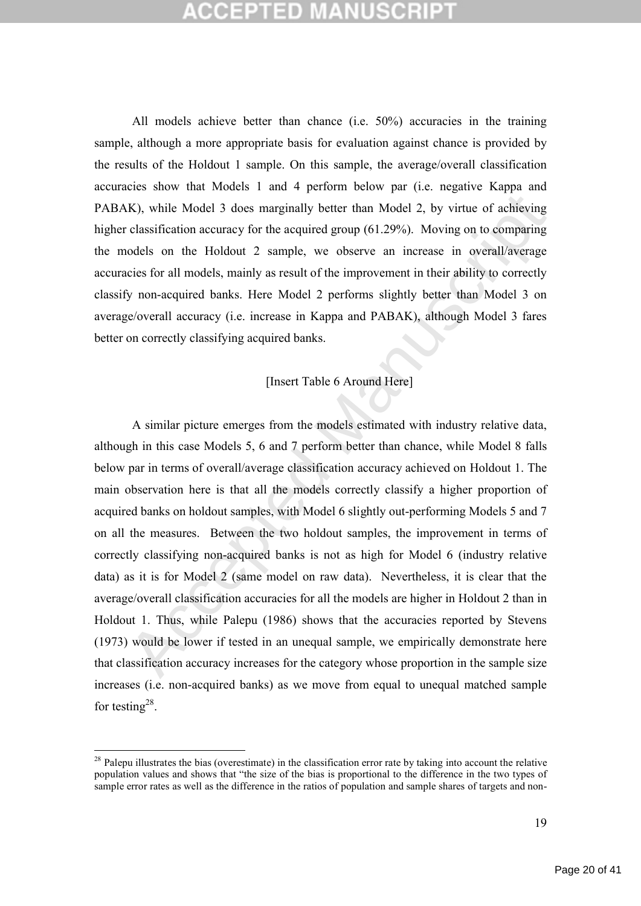All models achieve better than chance (i.e. 50%) accuracies in the training sample, although a more appropriate basis for evaluation against chance is provided by the results of the Holdout 1 sample. On this sample, the average/overall classification accuracies show that Models 1 and 4 perform below par (i.e. negative Kappa and PABAK), while Model 3 does marginally better than Model 2, by virtue of achieving higher classification accuracy for the acquired group (61.29%). Moving on to comparing the models on the Holdout 2 sample, we observe an increase in overall/average accuracies for all models, mainly as result of the improvement in their ability to correctly classify non-acquired banks. Here Model 2 performs slightly better than Model 3 on average/overall accuracy (i.e. increase in Kappa and PABAK), although Model 3 fares better on correctly classifying acquired banks.

## [Insert Table 6 Around Here]

As), while Model 3 does marginally better than Model 2, by virtue of achieving<br>classification accuracy for the acquired group (61.29%). Moving on to comparing<br>codels on the Holdout 2 sample, we observe an increase in over A similar picture emerges from the models estimated with industry relative data, although in this case Models 5, 6 and 7 perform better than chance, while Model 8 falls below par in terms of overall/average classification accuracy achieved on Holdout 1. The main observation here is that all the models correctly classify a higher proportion of acquired banks on holdout samples, with Model 6 slightly out-performing Models 5 and 7 on all the measures. Between the two holdout samples, the improvement in terms of correctly classifying non-acquired banks is not as high for Model 6 (industry relative data) as it is for Model 2 (same model on raw data). Nevertheless, it is clear that the average/overall classification accuracies for all the models are higher in Holdout 2 than in Holdout 1. Thus, while Palepu (1986) shows that the accuracies reported by Stevens (1973) would be lower if tested in an unequal sample, we empirically demonstrate here that classification accuracy increases for the category whose proportion in the sample size increases (i.e. non-acquired banks) as we move from equal to unequal matched sample for testing $28$ .

-

 $^{28}$  Palepu illustrates the bias (overestimate) in the classification error rate by taking into account the relative population values and shows that "the size of the bias is proportional to the difference in the two types of sample error rates as well as the difference in the ratios of population and sample shares of targets and non-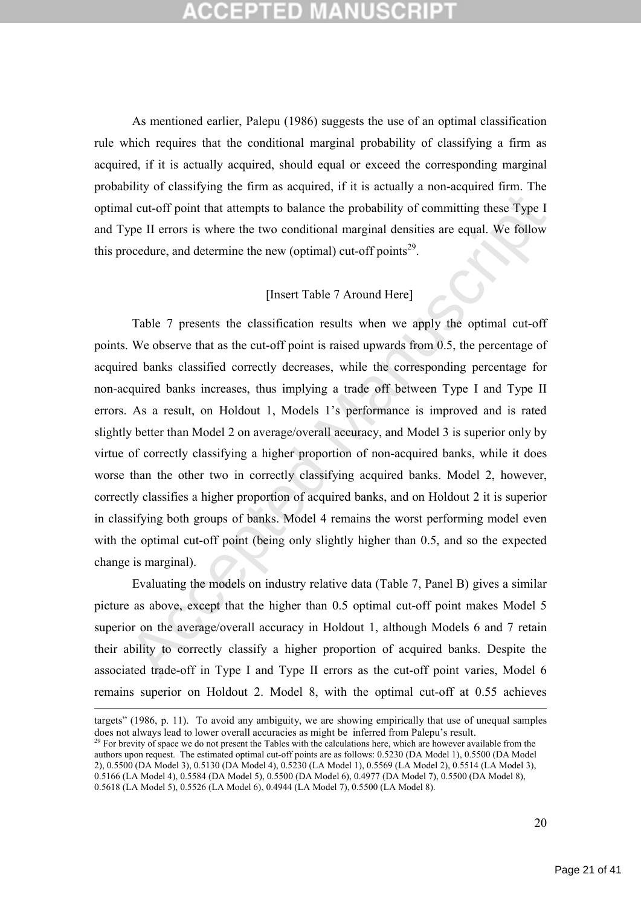As mentioned earlier, Palepu (1986) suggests the use of an optimal classification rule which requires that the conditional marginal probability of classifying a firm as acquired, if it is actually acquired, should equal or exceed the corresponding marginal probability of classifying the firm as acquired, if it is actually a non-acquired firm. The optimal cut-off point that attempts to balance the probability of committing these Type I and Type II errors is where the two conditional marginal densities are equal. We follow this procedure, and determine the new (optimal) cut-off points<sup>29</sup>.

### [Insert Table 7 Around Here]

and external manuscript and manuscript and manuscript of committing these Type I<br>
and ext-off point that attempts to balance the probability of committing these Type I<br>
ype II errors is where the two conditional marginal Table 7 presents the classification results when we apply the optimal cut-off points. We observe that as the cut-off point is raised upwards from 0.5, the percentage of acquired banks classified correctly decreases, while the corresponding percentage for non-acquired banks increases, thus implying a trade off between Type I and Type II errors. As a result, on Holdout 1, Models 1's performance is improved and is rated slightly better than Model 2 on average/overall accuracy, and Model 3 is superior only by virtue of correctly classifying a higher proportion of non-acquired banks, while it does worse than the other two in correctly classifying acquired banks. Model 2, however, correctly classifies a higher proportion of acquired banks, and on Holdout 2 it is superior in classifying both groups of banks. Model 4 remains the worst performing model even with the optimal cut-off point (being only slightly higher than 0.5, and so the expected change is marginal).

Evaluating the models on industry relative data (Table 7, Panel B) gives a similar picture as above, except that the higher than 0.5 optimal cut-off point makes Model 5 superior on the average/overall accuracy in Holdout 1, although Models 6 and 7 retain their ability to correctly classify a higher proportion of acquired banks. Despite the associated trade-off in Type I and Type II errors as the cut-off point varies, Model 6 remains superior on Holdout 2. Model 8, with the optimal cut-off at 0.55 achieves

1

targets" (1986, p. 11). To avoid any ambiguity, we are showing empirically that use of unequal samples does not always lead to lower overall accuracies as might be inferred from Palepu's result.

<sup>&</sup>lt;sup>29</sup> For brevity of space we do not present the Tables with the calculations here, which are however available from the authors upon request. The estimated optimal cut-off points are as follows: 0.5230 (DA Model 1), 0.5500 (DA Model 2), 0.5500 (DA Model 3), 0.5130 (DA Model 4), 0.5230 (LA Model 1), 0.5569 (LA Model 2), 0.5514 (LA Model 3), 0.5166 (LA Model 4), 0.5584 (DA Model 5), 0.5500 (DA Model 6), 0.4977 (DA Model 7), 0.5500 (DA Model 8), 0.5618 (LA Model 5), 0.5526 (LA Model 6), 0.4944 (LA Model 7), 0.5500 (LA Model 8).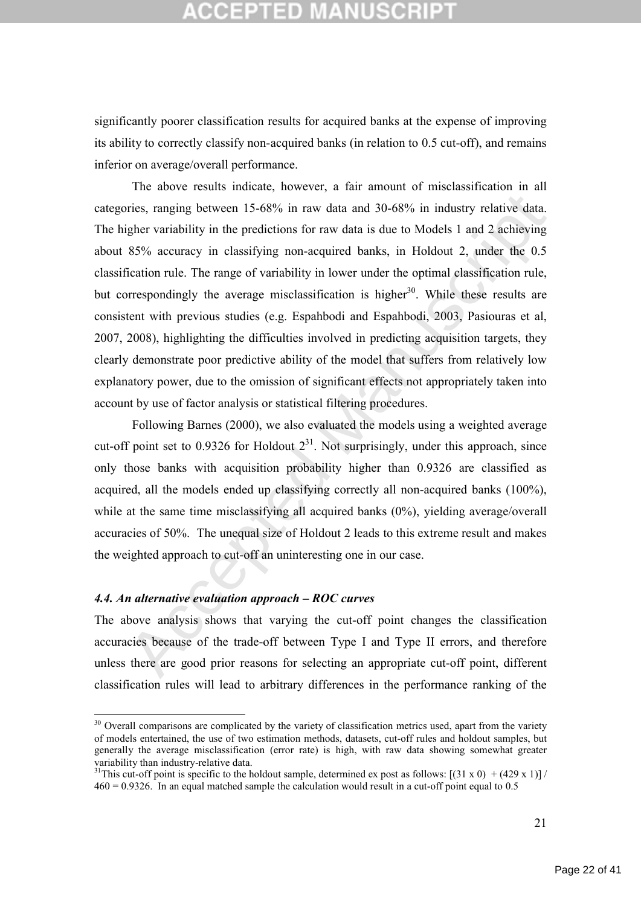significantly poorer classification results for acquired banks at the expense of improving its ability to correctly classify non-acquired banks (in relation to 0.5 cut-off), and remains inferior on average/overall performance.

pries, ranging between 15-68% in raw data and 30-68% in industry relative data.<br>
igher variability in the predictions for raw data and 30-68% in industry relative data.<br>
igher variability in the predictions for raw data i The above results indicate, however, a fair amount of misclassification in all categories, ranging between 15-68% in raw data and 30-68% in industry relative data. The higher variability in the predictions for raw data is due to Models 1 and 2 achieving about 85% accuracy in classifying non-acquired banks, in Holdout 2, under the 0.5 classification rule. The range of variability in lower under the optimal classification rule, but correspondingly the average misclassification is higher<sup>30</sup>. While these results are consistent with previous studies (e.g. Espahbodi and Espahbodi, 2003, Pasiouras et al, 2007, 2008), highlighting the difficulties involved in predicting acquisition targets, they clearly demonstrate poor predictive ability of the model that suffers from relatively low explanatory power, due to the omission of significant effects not appropriately taken into account by use of factor analysis or statistical filtering procedures.

Following Barnes (2000), we also evaluated the models using a weighted average cut-off point set to 0.9326 for Holdout  $2^{31}$ . Not surprisingly, under this approach, since only those banks with acquisition probability higher than 0.9326 are classified as acquired, all the models ended up classifying correctly all non-acquired banks (100%), while at the same time misclassifying all acquired banks (0%), yielding average/overall accuracies of 50%. The unequal size of Holdout 2 leads to this extreme result and makes the weighted approach to cut-off an uninteresting one in our case.

## *4.4. An alternative evaluation approach – ROC curves*

-

The above analysis shows that varying the cut-off point changes the classification accuracies because of the trade-off between Type I and Type II errors, and therefore unless there are good prior reasons for selecting an appropriate cut-off point, different classification rules will lead to arbitrary differences in the performance ranking of the

 $30$  Overall comparisons are complicated by the variety of classification metrics used, apart from the variety of models entertained, the use of two estimation methods, datasets, cut-off rules and holdout samples, but generally the average misclassification (error rate) is high, with raw data showing somewhat greater variability than industry-relative data.

<sup>&</sup>lt;sup>31</sup>This cut-off point is specific to the holdout sample, determined ex post as follows:  $[(31 \times 0) + (429 \times 1)]$ / 460 = 0.9326. In an equal matched sample the calculation would result in a cut-off point equal to 0.5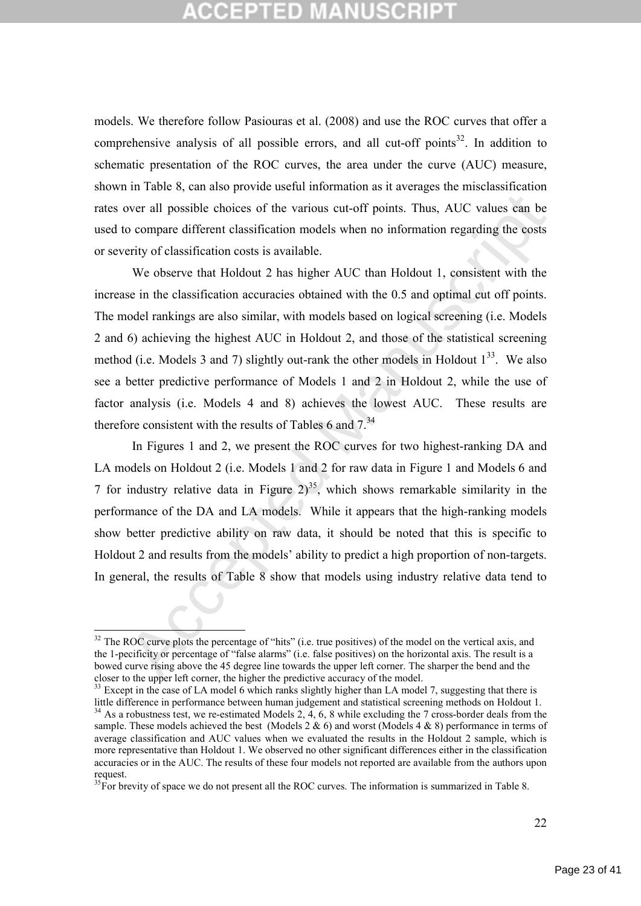models. We therefore follow Pasiouras et al. (2008) and use the ROC curves that offer a comprehensive analysis of all possible errors, and all cut-off points $32$ . In addition to schematic presentation of the ROC curves, the area under the curve (AUC) measure, shown in Table 8, can also provide useful information as it averages the misclassification rates over all possible choices of the various cut-off points. Thus, AUC values can be used to compare different classification models when no information regarding the costs or severity of classification costs is available.

over all possible choices of the various cut-off points. Thus, AUC values can be<br>compare different classification models when no information regarding the costs<br>crity of classification costs is available.<br>We observe that We observe that Holdout 2 has higher AUC than Holdout 1, consistent with the increase in the classification accuracies obtained with the 0.5 and optimal cut off points. The model rankings are also similar, with models based on logical screening (i.e. Models 2 and 6) achieving the highest AUC in Holdout 2, and those of the statistical screening method (i.e. Models 3 and 7) slightly out-rank the other models in Holdout  $1^{33}$ . We also see a better predictive performance of Models 1 and 2 in Holdout 2, while the use of factor analysis (i.e. Models 4 and 8) achieves the lowest AUC. These results are therefore consistent with the results of Tables 6 and  $7<sup>34</sup>$ 

In Figures 1 and 2, we present the ROC curves for two highest-ranking DA and LA models on Holdout 2 (i.e. Models 1 and 2 for raw data in Figure 1 and Models 6 and 7 for industry relative data in Figure  $2<sup>35</sup>$ , which shows remarkable similarity in the performance of the DA and LA models. While it appears that the high-ranking models show better predictive ability on raw data, it should be noted that this is specific to Holdout 2 and results from the models' ability to predict a high proportion of non-targets. In general, the results of Table 8 show that models using industry relative data tend to

-

 $32$  The ROC curve plots the percentage of "hits" (i.e. true positives) of the model on the vertical axis, and the 1-pecificity or percentage of "false alarms" (i.e. false positives) on the horizontal axis. The result is a bowed curve rising above the 45 degree line towards the upper left corner. The sharper the bend and the closer to the upper left corner, the higher the predictive accuracy of the model.

<sup>&</sup>lt;sup>33</sup> Except in the case of LA model 6 which ranks slightly higher than LA model 7, suggesting that there is little difference in performance between human judgement and statistical screening methods on Holdout 1.  $34$  As a robustness test, we re-estimated Models 2, 4, 6, 8 while excluding the 7 cross-border deals from the sample. These models achieved the best (Models  $2 \& 6$ ) and worst (Models  $4 \& 8$ ) performance in terms of average classification and AUC values when we evaluated the results in the Holdout 2 sample, which is more representative than Holdout 1. We observed no other significant differences either in the classification accuracies or in the AUC. The results of these four models not reported are available from the authors upon request.

 $35$ For brevity of space we do not present all the ROC curves. The information is summarized in Table 8.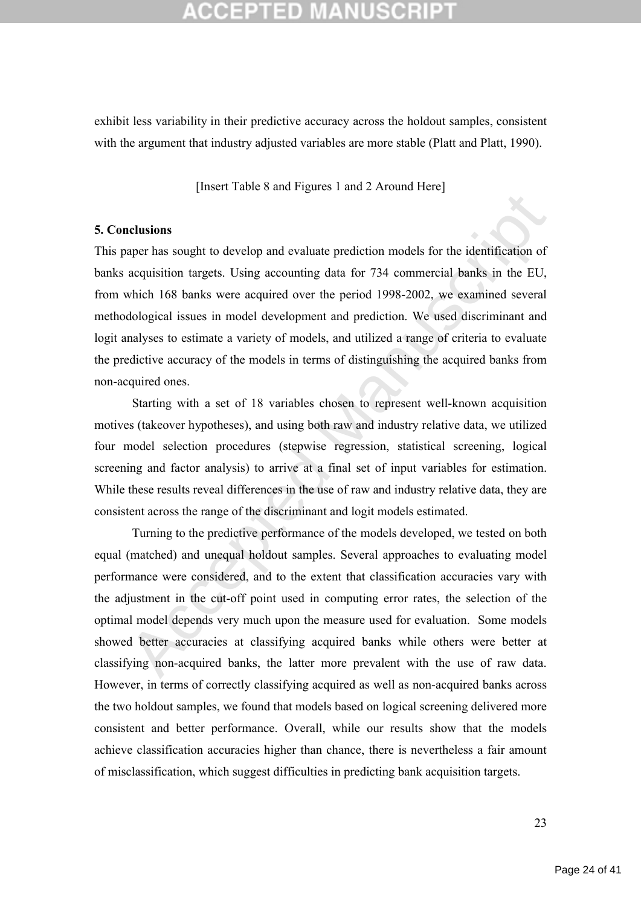exhibit less variability in their predictive accuracy across the holdout samples, consistent with the argument that industry adjusted variables are more stable (Platt and Platt, 1990).

[Insert Table 8 and Figures 1 and 2 Around Here]

## **5. Conclusions**

This paper has sought to develop and evaluate prediction models for the identification of banks acquisition targets. Using accounting data for 734 commercial banks in the EU, from which 168 banks were acquired over the period 1998-2002, we examined several methodological issues in model development and prediction. We used discriminant and logit analyses to estimate a variety of models, and utilized a range of criteria to evaluate the predictive accuracy of the models in terms of distinguishing the acquired banks from non-acquired ones.

Starting with a set of 18 variables chosen to represent well-known acquisition motives (takeover hypotheses), and using both raw and industry relative data, we utilized four model selection procedures (stepwise regression, statistical screening, logical screening and factor analysis) to arrive at a final set of input variables for estimation. While these results reveal differences in the use of raw and industry relative data, they are consistent across the range of the discriminant and logit models estimated.

**Example 18**<br> **Example 18**<br> **Example 18**<br> **Example 18**<br> **Example 18**<br> **Example 18**<br> **Example 18**<br> **Example 1898-2002**, we examined several<br> **Edological** issues in model development and prediction. We used discriminant and<br> Turning to the predictive performance of the models developed, we tested on both equal (matched) and unequal holdout samples. Several approaches to evaluating model performance were considered, and to the extent that classification accuracies vary with the adjustment in the cut-off point used in computing error rates, the selection of the optimal model depends very much upon the measure used for evaluation. Some models showed better accuracies at classifying acquired banks while others were better at classifying non-acquired banks, the latter more prevalent with the use of raw data. However, in terms of correctly classifying acquired as well as non-acquired banks across the two holdout samples, we found that models based on logical screening delivered more consistent and better performance. Overall, while our results show that the models achieve classification accuracies higher than chance, there is nevertheless a fair amount of misclassification, which suggest difficulties in predicting bank acquisition targets.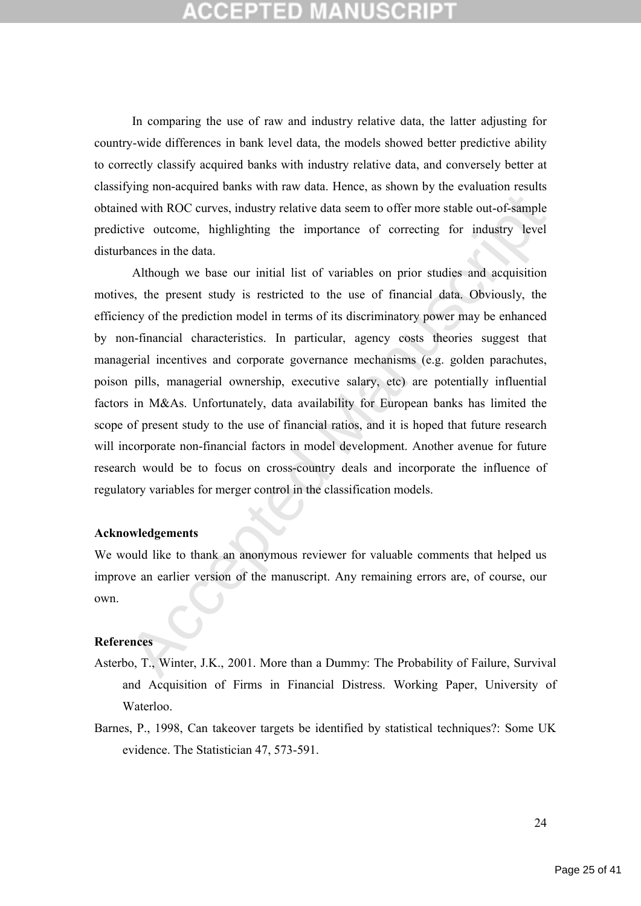In comparing the use of raw and industry relative data, the latter adjusting for country-wide differences in bank level data, the models showed better predictive ability to correctly classify acquired banks with industry relative data, and conversely better at classifying non-acquired banks with raw data. Hence, as shown by the evaluation results obtained with ROC curves, industry relative data seem to offer more stable out-of-sample predictive outcome, highlighting the importance of correcting for industry level disturbances in the data.

or the method control in the classification models.<br>And with ROC curves, industry relative data seem to offer more stable out-of-sample tive outcome, highlighting the importance of correcting for industry level varies in t Although we base our initial list of variables on prior studies and acquisition motives, the present study is restricted to the use of financial data. Obviously, the efficiency of the prediction model in terms of its discriminatory power may be enhanced by non-financial characteristics. In particular, agency costs theories suggest that managerial incentives and corporate governance mechanisms (e.g. golden parachutes, poison pills, managerial ownership, executive salary, etc) are potentially influential factors in M&As. Unfortunately, data availability for European banks has limited the scope of present study to the use of financial ratios, and it is hoped that future research will incorporate non-financial factors in model development. Another avenue for future research would be to focus on cross-country deals and incorporate the influence of regulatory variables for merger control in the classification models.

### **Acknowledgements**

We would like to thank an anonymous reviewer for valuable comments that helped us improve an earlier version of the manuscript. Any remaining errors are, of course, our own.

### **References**

- Asterbo, T., Winter, J.K., 2001. More than a Dummy: The Probability of Failure, Survival and Acquisition of Firms in Financial Distress. Working Paper, University of Waterloo.
- Barnes, P., 1998, Can takeover targets be identified by statistical techniques?: Some UK evidence. The Statistician 47, 573-591.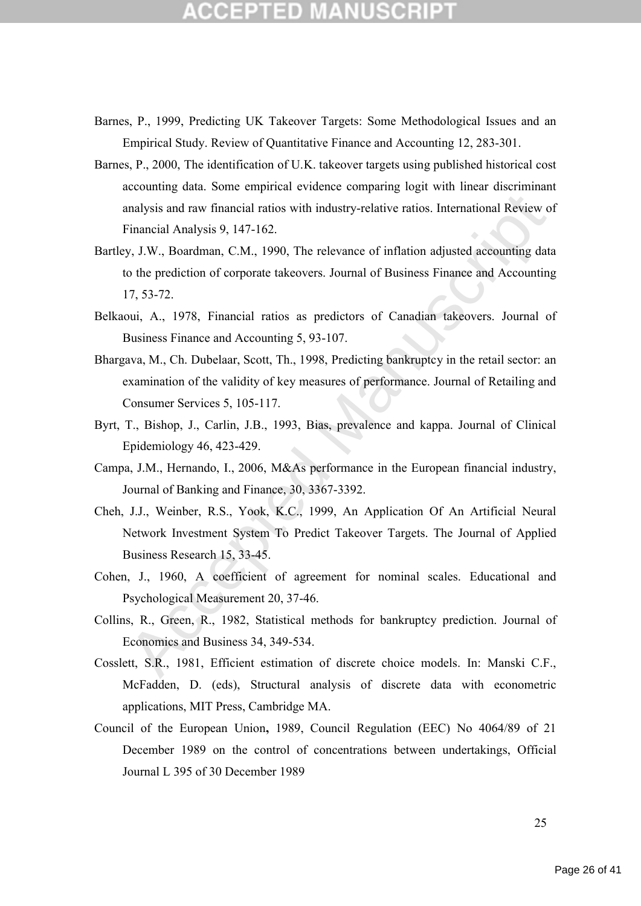## COEPTED M

- Barnes, P., 1999, Predicting UK Takeover Targets: Some Methodological Issues and an Empirical Study. Review of Quantitative Finance and Accounting 12, 283-301.
- Barnes, P., 2000, The identification of U.K. takeover targets using published historical cost accounting data. Some empirical evidence comparing logit with linear discriminant analysis and raw financial ratios with industry-relative ratios. International Review of Financial Analysis 9, 147-162.
- unalysis and raw financial ratios with industry-relative ratios. International Review o<br>
Financial Analysis 9, 147-162.<br>
y, J.W., Boardman, C.M., 1990, The relevance of inflation adjusted accounting data<br>
o the prediction Bartley, J.W., Boardman, C.M., 1990, The relevance of inflation adjusted accounting data to the prediction of corporate takeovers. Journal of Business Finance and Accounting 17, 53-72.
- Belkaoui, A., 1978, Financial ratios as predictors of Canadian takeovers. Journal of Business Finance and Accounting 5, 93-107.
- Bhargava, M., Ch. Dubelaar, Scott, Th., 1998, Predicting bankruptcy in the retail sector: an examination of the validity of key measures of performance. Journal of Retailing and Consumer Services 5, 105-117.
- Byrt, T., Bishop, J., Carlin, J.B., 1993, Bias, prevalence and kappa. Journal of Clinical Epidemiology 46, 423-429.
- Campa, J.M., Hernando, I., 2006, M&As performance in the European financial industry, Journal of Banking and Finance, 30, 3367-3392.
- Cheh, J.J., Weinber, R.S., Yook, K.C., 1999, An Application Of An Artificial Neural Network Investment System To Predict Takeover Targets. The Journal of Applied Business Research 15, 33-45.
- Cohen, J., 1960, A coefficient of agreement for nominal scales. Educational and Psychological Measurement 20, 37-46.
- Collins, R., Green, R., 1982, Statistical methods for bankruptcy prediction. Journal of Economics and Business 34, 349-534.
- Cosslett, S.R., 1981, Efficient estimation of discrete choice models. In: Manski C.F., McFadden, D. (eds), Structural analysis of discrete data with econometric applications, MIT Press, Cambridge MA.
- Council of the European Union**,** 1989, Council Regulation (EEC) No [4064/89](http://eur-lex.europa.eu/smartapi/cgi/sga_doc?smartapi!celexplus!prod!DocNumber&lg=en&type_doc=Regulation&an_doc=1989&nu_doc=4064) of 21 December 1989 on the control of concentrations between undertakings, Official Journal L 395 of 30 December 1989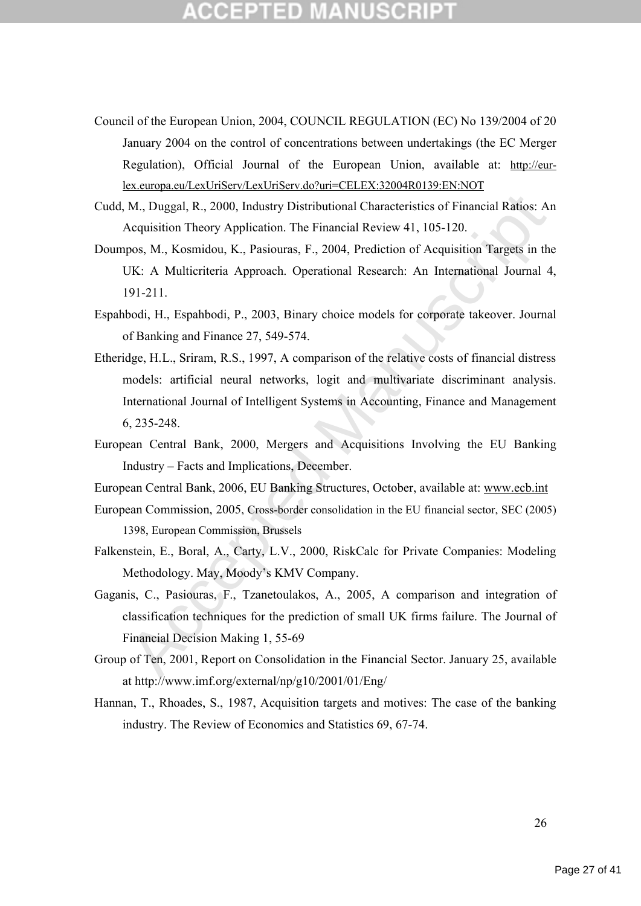## COEPTED

- Council of the European Union, 2004, COUNCIL REGULATION (EC) No 139/2004 of 20 January 2004 on the control of concentrations between undertakings (the EC Merger Regulation), Official Journal of the European Union, available at: [http://eur](http://eur-lex.europa.eu/LexUriServ/LexUriServ.do?uri=CELEX:32004R0139:EN:NOT)[lex.europa.eu/LexUriServ/LexUriServ.do?uri=CELEX:32004R0139:EN:NOT](http://eur-lex.europa.eu/LexUriServ/LexUriServ.do?uri=CELEX:32004R0139:EN:NOT)
- Cudd, M., Duggal, R., 2000, Industry Distributional Characteristics of Financial Ratios: An Acquisition Theory Application. The Financial Review 41, 105-120.
- Doumpos, M., Kosmidou, K., Pasiouras, F., 2004, Prediction of Acquisition Targets in the UK: A Multicriteria Approach. Operational Research: An International Journal 4, 191-211.
- Espahbodi, H., Espahbodi, P., 2003, Binary choice models for corporate takeover. Journal of Banking and Finance 27, 549-574.
- M., Duggal, R., 2000, Industry Distributional Characteristics of Financial Ratios: Archivesium Theory Application. The Financial Review 41, 105-120.<br>
pos, M., Kosmidou, K., Pasiouras, F., 2004, Prediction of Acquisition Ta Etheridge, H.L., Sriram, R.S., 1997, A comparison of the relative costs of financial distress models: artificial neural networks, logit and multivariate discriminant analysis. International Journal of Intelligent Systems in Accounting, Finance and Management 6, 235-248.
- European Central Bank, 2000, Mergers and Acquisitions Involving the EU Banking Industry – Facts and Implications, December.
- European Central Bank, 2006, EU Banking Structures, October, available at: www.ecb.int
- European Commission, 2005, Cross-border consolidation in the EU financial sector, SEC (2005) 1398, European Commission, Brussels
- Falkenstein, E., Boral, A., Carty, L.V., 2000, RiskCalc for Private Companies: Modeling Methodology. May, Moody's KMV Company.
- Gaganis, C., Pasiouras, F., Tzanetoulakos, A., 2005, A comparison and integration of classification techniques for the prediction of small UK firms failure. The Journal of Financial Decision Making 1, 55-69
- Group of Ten, 2001, Report on Consolidation in the Financial Sector. January 25, available at http://www.imf.org/external/np/g10/2001/01/Eng/
- Hannan, T., Rhoades, S., 1987, Acquisition targets and motives: The case of the banking industry. The Review of Economics and Statistics 69, 67-74.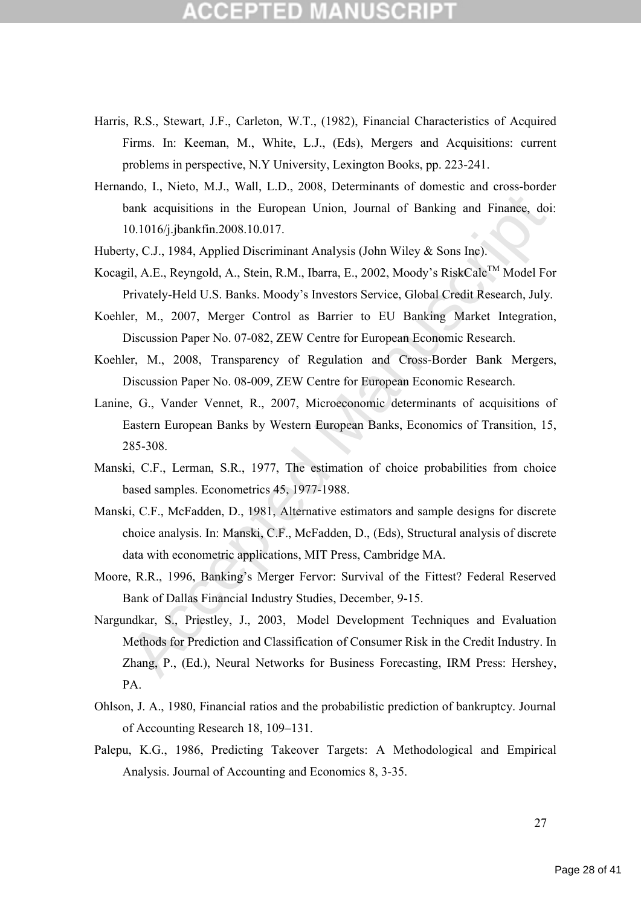- Harris, R.S., Stewart, J.F., Carleton, W.T., (1982), Financial Characteristics of Acquired Firms. In: Keeman, M., White, L.J., (Eds), Mergers and Acquisitions: current problems in perspective, N.Y University, Lexington Books, pp. 223-241.
- Hernando, I., Nieto, M.J., Wall, L.D., 2008, Determinants of domestic and cross-border bank acquisitions in the European Union, Journal of Banking and Finance, doi: 10.1016/j.jbankfin.2008.10.017.
- Huberty, C.J., 1984, Applied Discriminant Analysis (John Wiley & Sons Inc).
- Kocagil, A.E., Reyngold, A., Stein, R.M., Ibarra, E., 2002, Moody's RiskCalc<sup>TM</sup> Model For Privately-Held U.S. Banks. Moody's Investors Service, Global Credit Research, July.
- Koehler, M., 2007, Merger Control as Barrier to EU Banking Market Integration, Discussion Paper No. 07-082, ZEW Centre for European Economic Research.
- Koehler, M., 2008, Transparency of Regulation and Cross-Border Bank Mergers, Discussion Paper No. 08-009, ZEW Centre for European Economic Research.
- Lanine, G., Vander Vennet, R., 2007, Microeconomic determinants of acquisitions of Eastern European Banks by Western European Banks, Economics of Transition, 15, 285-308.
- Manski, C.F., Lerman, S.R., 1977, The estimation of choice probabilities from choice based samples. Econometrics 45, 1977-1988.
- Manski, C.F., McFadden, D., 1981, Alternative estimators and sample designs for discrete choice analysis. In: Manski, C.F., McFadden, D., (Eds), Structural analysis of discrete data with econometric applications, MIT Press, Cambridge MA.
- Moore, R.R., 1996, Banking's Merger Fervor: Survival of the Fittest? Federal Reserved Bank of Dallas Financial Industry Studies, December, 9-15.
- bank acquisitions in the European Union, Journal of Banking and Finance, doi<br>
0.1016/j.jbankfin.2008.10.017.<br>
ty, C.J., 1984, Applied Diseriminant Analysis (John Wiley & Sons Ine).<br>
id, A.E., Reyngold, A., Stein, R.M., Iba Nargundkar, S., Priestley, J., 2003, Model Development Techniques and Evaluation Methods for Prediction and Classification of Consumer Risk in the Credit Industry. In Zhang, P., (Ed.), Neural Networks for Business Forecasting, IRM Press: Hershey, PA.
- Ohlson, J. A., 1980, Financial ratios and the probabilistic prediction of bankruptcy. Journal of Accounting Research 18, 109–131.
- Palepu, K.G., 1986, Predicting Takeover Targets: A Methodological and Empirical Analysis. Journal of Accounting and Economics 8, 3-35.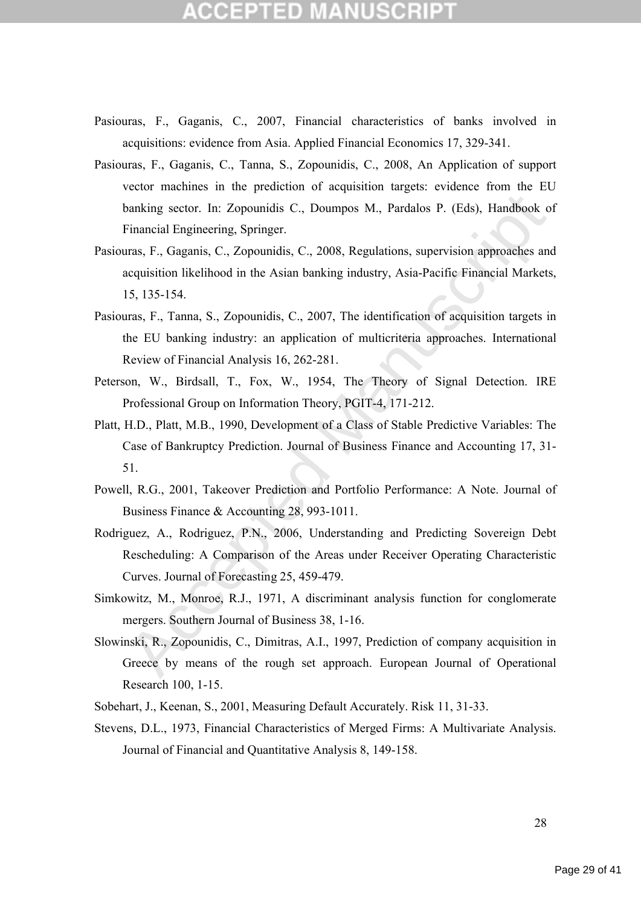- Pasiouras, F., Gaganis, C., 2007, Financial characteristics of banks involved in acquisitions: evidence from Asia. Applied Financial Economics 17, 329-341.
- Pasiouras, F., Gaganis, C., Tanna, S., Zopounidis, C., 2008, An Application of support vector machines in the prediction of acquisition targets: evidence from the EU banking sector. In: Zopounidis C., Doumpos M., Pardalos P. (Eds), Handbook of Financial Engineering, Springer.
- Pasiouras, F., Gaganis, C., Zopounidis, C., 2008, Regulations, supervision approaches and acquisition likelihood in the Asian banking industry, Asia-Pacific Financial Markets, 15, 135-154.
- banking sector. In: Zopounidis C., Doumpos M., Pardalos P. (Eds), Handbook o<br>
Financial Engineering, Springer.<br>
trans, F., Gaganis, C., Zopounidis, C., 2008, Regulations, supervision approaches and<br>
equisition likelihood i Pasiouras, F., Tanna, S., Zopounidis, C., 2007, The identification of acquisition targets in the EU banking industry: an application of multicriteria approaches. International Review of Financial Analysis 16, 262-281.
- Peterson, W., Birdsall, T., Fox, W., 1954, The Theory of Signal Detection. IRE Professional Group on Information Theory, PGIT-4, 171-212.
- Platt, H.D., Platt, M.B., 1990, Development of a Class of Stable Predictive Variables: The Case of Bankruptcy Prediction. Journal of Business Finance and Accounting 17, 31- 51.
- Powell, R.G., 2001, Takeover Prediction and Portfolio Performance: A Note. Journal of Business Finance & Accounting 28, 993-1011.
- Rodriguez, A., Rodriguez, P.N., 2006, Understanding and Predicting Sovereign Debt Rescheduling: A Comparison of the Areas under Receiver Operating Characteristic Curves. Journal of Forecasting 25, 459-479.
- Simkowitz, M., Monroe, R.J., 1971, A discriminant analysis function for conglomerate mergers. Southern Journal of Business 38, 1-16.
- Slowinski, R., Zopounidis, C., Dimitras, A.I., 1997, Prediction of company acquisition in Greece by means of the rough set approach. European Journal of Operational Research 100, 1-15.
- Sobehart, J., Keenan, S., 2001, Measuring Default Accurately. Risk 11, 31-33.
- Stevens, D.L., 1973, Financial Characteristics of Merged Firms: A Multivariate Analysis. Journal of Financial and Quantitative Analysis 8, 149-158.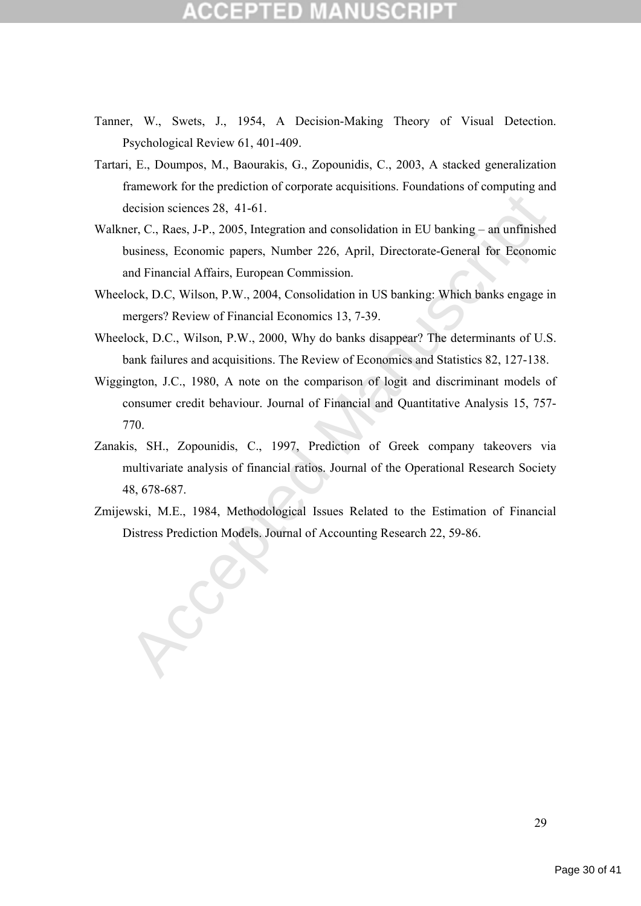- Tanner, W., Swets, J., 1954, A Decision-Making Theory of Visual Detection. Psychological Review 61, 401-409.
- Tartari, E., Doumpos, M., Baourakis, G., Zopounidis, C., 2003, A stacked generalization framework for the prediction of corporate acquisitions. Foundations of computing and decision sciences 28, 41-61.
- Walkner, C., Raes, J-P., 2005, Integration and consolidation in EU banking an unfinished business, Economic papers, Number 226, April, Directorate-General for Economic and Financial Affairs, European Commission.
- Wheelock, D.C, Wilson, P.W., 2004, Consolidation in US banking: Which banks engage in mergers? Review of Financial Economics 13, 7-39.
- Wheelock, D.C., Wilson, P.W., 2000, Why do banks disappear? The determinants of U.S. bank failures and acquisitions. The Review of Economics and Statistics 82, 127-138.
- decision sciences 28, 41-61.<br>
Ref. C., Raes, J-P., 2005, Integration and consolidation in EU banking an unfinished<br>
susiness, Feonomic papers, Number 226, April, Directorate-Gieneral for Feonomic<br>
Indicated Affairs, Euro Wiggington, J.C., 1980, A note on the comparison of logit and discriminant models of consumer credit behaviour. Journal of Financial and Quantitative Analysis 15, 757- 770.
- Zanakis, SH., Zopounidis, C., 1997, Prediction of Greek company takeovers via multivariate analysis of financial ratios. Journal of the Operational Research Society 48, 678-687.
- Zmijewski, M.E., 1984, Methodological Issues Related to the Estimation of Financial Distress Prediction Models. Journal of Accounting Research 22, 59-86.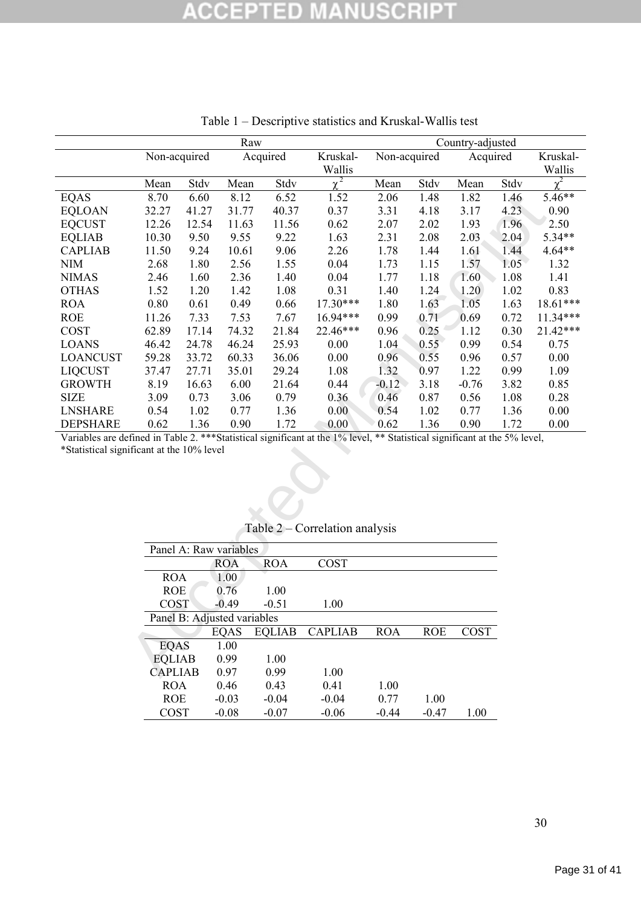### **USCRIP1 CCEPTED**  $\overline{\mathbb{F}}$ ā,

|                                                                                                                            |                |                             | Raw         |               |                                | Country-adjusted |            |             |      |                    |
|----------------------------------------------------------------------------------------------------------------------------|----------------|-----------------------------|-------------|---------------|--------------------------------|------------------|------------|-------------|------|--------------------|
|                                                                                                                            | Non-acquired   |                             |             | Acquired      | Kruskal-<br>Wallis             | Non-acquired     |            | Acquired    |      | Kruskal-<br>Wallis |
|                                                                                                                            | Mean           | Stdv                        | Mean        | Stdv          | $\chi^2$                       | Mean             | Stdv       | Mean        | Stdv | $\chi^2$           |
| <b>EQAS</b>                                                                                                                | 8.70           | 6.60                        | 8.12        | 6.52          | 1.52                           | 2.06             | 1.48       | 1.82        | 1.46 | $5.46**$           |
| <b>EQLOAN</b>                                                                                                              | 32.27          | 41.27                       | 31.77       | 40.37         | 0.37                           | 3.31             | 4.18       | 3.17        | 4.23 | 0.90               |
| <b>EQCUST</b>                                                                                                              | 12.26          | 12.54                       | 11.63       | 11.56         | 0.62                           | 2.07             | 2.02       | 1.93        | 1.96 | 2.50               |
| <b>EQLIAB</b>                                                                                                              | 10.30          | 9.50                        | 9.55        | 9.22          | 1.63                           | 2.31             | 2.08       | 2.03        | 2.04 | 5.34**             |
| <b>CAPLIAB</b>                                                                                                             | 11.50          | 9.24                        | 10.61       | 9.06          | 2.26                           | 1.78             | 1.44       | 1.61        | 1.44 | 4.64**             |
| <b>NIM</b>                                                                                                                 | 2.68           | 1.80                        | 2.56        | 1.55          | $0.04\,$                       | 1.73             | 1.15       | 1.57        | 1.05 | 1.32               |
| <b>NIMAS</b>                                                                                                               | 2.46           | 1.60                        | 2.36        | 1.40          | 0.04                           | 1.77             | 1.18       | 1.60        | 1.08 | 1.41               |
| <b>OTHAS</b>                                                                                                               | 1.52           | 1.20                        | 1.42        | 1.08          | 0.31                           | 1.40             | 1.24       | 1.20        | 1.02 | 0.83               |
| <b>ROA</b>                                                                                                                 | $0.80\,$       | 0.61                        | 0.49        | 0.66          | $17.30***$                     | 1.80             | 1.63       | 1.05        | 1.63 | $18.61***$         |
| <b>ROE</b>                                                                                                                 | 11.26          | 7.33                        | 7.53        | 7.67          | $16.94***$                     | 0.99             | 0.71       | 0.69        | 0.72 | 11.34***           |
| COST                                                                                                                       | 62.89          | 17.14                       | 74.32       | 21.84         | 22.46***                       | 0.96             | 0.25       | 1.12        | 0.30 | 21.42***           |
| <b>LOANS</b>                                                                                                               | 46.42          | 24.78                       | 46.24       | 25.93         | 0.00                           | 1.04             | 0.55       | 0.99        | 0.54 | 0.75               |
| <b>LOANCUST</b>                                                                                                            | 59.28          | 33.72                       | 60.33       | 36.06         | $0.00\,$                       | 0.96             | 0.55       | 0.96        | 0.57 | 0.00               |
| <b>LIQCUST</b>                                                                                                             | 37.47          | 27.71                       | 35.01       | 29.24         | 1.08                           | 1.32             | 0.97       | 1.22        | 0.99 | 1.09               |
| <b>GROWTH</b>                                                                                                              | 8.19           | 16.63                       | 6.00        | 21.64         | 0.44                           | $-0.12$          | 3.18       | $-0.76$     | 3.82 | 0.85               |
| <b>SIZE</b>                                                                                                                | 3.09           | 0.73                        | 3.06        | 0.79          | 0.36                           | 0.46             | 0.87       | 0.56        | 1.08 | 0.28               |
| <b>LNSHARE</b>                                                                                                             | 0.54           | 1.02                        | 0.77        | 1.36          | 0.00                           | 0.54             | 1.02       | 0.77        | 1.36 | $0.00\,$           |
| <b>DEPSHARE</b>                                                                                                            | 0.62           | 1.36                        | 0.90        | 1.72          | 0.00                           | 0.62             | 1.36       | 0.90        | 1.72 | 0.00               |
| Variables are defined in Table 2. *** Statistical significant at the 1% level, ** Statistical significant at the 5% level, |                |                             |             |               |                                |                  |            |             |      |                    |
| *Statistical significant at the 10% level                                                                                  |                |                             |             |               |                                |                  |            |             |      |                    |
|                                                                                                                            |                |                             |             |               |                                |                  |            |             |      |                    |
|                                                                                                                            |                |                             |             |               |                                |                  |            |             |      |                    |
|                                                                                                                            |                |                             |             |               |                                |                  |            |             |      |                    |
|                                                                                                                            |                |                             |             |               |                                |                  |            |             |      |                    |
|                                                                                                                            |                |                             |             |               |                                |                  |            |             |      |                    |
|                                                                                                                            |                |                             |             |               | Table 2 – Correlation analysis |                  |            |             |      |                    |
|                                                                                                                            |                | Panel A: Raw variables      |             |               |                                |                  |            |             |      |                    |
|                                                                                                                            |                |                             | <b>ROA</b>  | <b>ROA</b>    | COST                           |                  |            |             |      |                    |
|                                                                                                                            | <b>ROA</b>     |                             | 1.00        |               |                                |                  |            |             |      |                    |
|                                                                                                                            | ROE            |                             | 0.76        | 1.00          |                                |                  |            |             |      |                    |
|                                                                                                                            | <b>COST</b>    |                             | $-0.49$     | $-0.51$       | 1.00                           |                  |            |             |      |                    |
|                                                                                                                            |                | Panel B: Adjusted variables |             |               |                                |                  |            |             |      |                    |
|                                                                                                                            |                |                             | <b>EQAS</b> | <b>EQLIAB</b> | <b>CAPLIAB</b>                 | <b>ROA</b>       | <b>ROE</b> | <b>COST</b> |      |                    |
|                                                                                                                            | <b>EQAS</b>    |                             | 1.00        |               |                                |                  |            |             |      |                    |
|                                                                                                                            | <b>EQLIAB</b>  |                             | 0.99        | 1.00          |                                |                  |            |             |      |                    |
|                                                                                                                            | <b>CAPLIAB</b> |                             | 0.97        | 0.99          | 1.00                           |                  |            |             |      |                    |

Table 1 – Descriptive statistics and Kruskal-Wallis test

| Panel A: Raw variables      |             |            |                |            |            |      |
|-----------------------------|-------------|------------|----------------|------------|------------|------|
|                             | <b>ROA</b>  | <b>ROA</b> | COST           |            |            |      |
| <b>ROA</b>                  | 1.00        |            |                |            |            |      |
| <b>ROE</b>                  | 0.76        | 1.00       |                |            |            |      |
| <b>COST</b>                 | $-0.49$     | $-0.51$    | 1.00           |            |            |      |
| Panel B: Adjusted variables |             |            |                |            |            |      |
|                             | <b>EQAS</b> | EQLIAB     | <b>CAPLIAB</b> | <b>ROA</b> | <b>ROE</b> | COST |
| <b>EQAS</b>                 | 1.00        |            |                |            |            |      |
| <b>EQLIAB</b>               | 0.99        | 1.00       |                |            |            |      |
| <b>CAPLIAB</b>              | 0.97        | 0.99       | 1.00           |            |            |      |
| <b>ROA</b>                  | 0.46        | 0.43       | 0.41           | 1.00       |            |      |
| <b>ROE</b>                  | $-0.03$     | $-0.04$    | $-0.04$        | 0.77       | 1.00       |      |
| COST                        | $-0.08$     | $-0.07$    | $-0.06$        | $-0.44$    | $-0.47$    | 1 00 |

Table 2 – Correlation analysis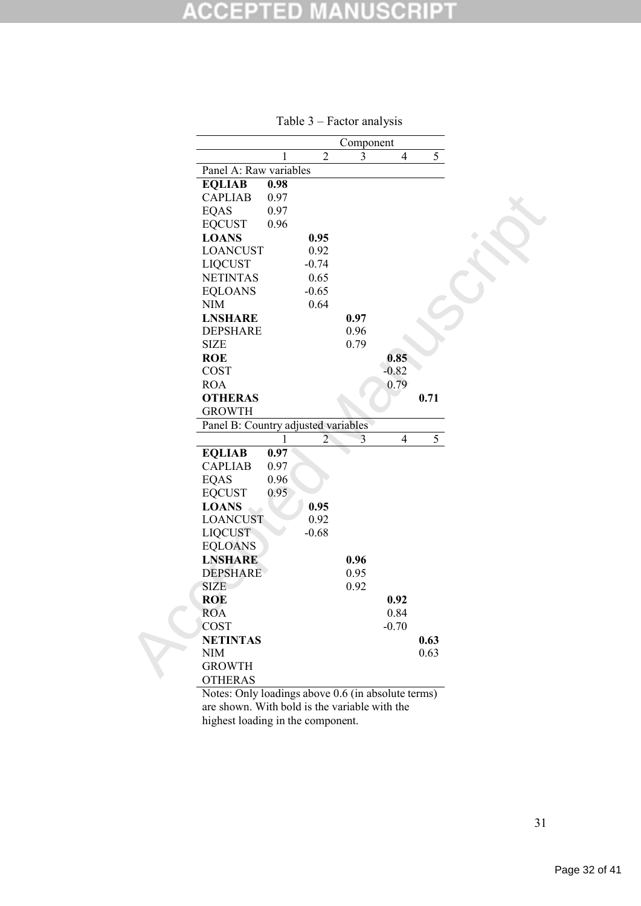### **USCRIPT** ED CCEPTI Ŧ ā,

|                                                    |      |                | Component |                |      |
|----------------------------------------------------|------|----------------|-----------|----------------|------|
|                                                    |      | $\overline{2}$ | 3         | $\overline{4}$ | 5    |
| Panel A: Raw variables                             |      |                |           |                |      |
| <b>EQLIAB</b>                                      | 0.98 |                |           |                |      |
| <b>CAPLIAB</b>                                     | 0.97 |                |           |                |      |
| <b>EQAS</b>                                        | 0.97 |                |           |                |      |
| <b>EQCUST</b>                                      | 0.96 |                |           |                |      |
| <b>LOANS</b>                                       |      | 0.95           |           |                |      |
| <b>LOANCUST</b>                                    |      | 0.92           |           |                |      |
| <b>LIQCUST</b>                                     |      | $-0.74$        |           |                |      |
| <b>NETINTAS</b>                                    |      | 0.65           |           |                |      |
| <b>EQLOANS</b>                                     |      | $-0.65$        |           |                |      |
| NIM                                                |      | 0.64           |           |                |      |
| <b>LNSHARE</b>                                     |      |                | 0.97      |                |      |
| <b>DEPSHARE</b>                                    |      |                | 0.96      |                |      |
| <b>SIZE</b>                                        |      |                | 0.79      |                |      |
| <b>ROE</b>                                         |      |                |           | 0.85           |      |
| <b>COST</b>                                        |      |                |           | $-0.82$        |      |
| <b>ROA</b>                                         |      |                |           | 0.79           |      |
| <b>OTHERAS</b>                                     |      |                |           |                | 0.71 |
| <b>GROWTH</b>                                      |      |                |           |                |      |
| Panel B: Country adjusted variables                |      |                |           |                |      |
|                                                    | 1    | $\overline{2}$ | 3         | $\overline{4}$ | 5    |
| <b>EQLIAB</b>                                      | 0.97 |                |           |                |      |
| <b>CAPLIAB</b>                                     | 0.97 |                |           |                |      |
| <b>EQAS</b>                                        | 0.96 |                |           |                |      |
| <b>EQCUST</b>                                      | 0.95 |                |           |                |      |
| <b>LOANS</b>                                       |      | 0.95           |           |                |      |
| <b>LOANCUST</b>                                    |      | 0.92           |           |                |      |
| <b>LIQCUST</b>                                     |      | $-0.68$        |           |                |      |
| <b>EQLOANS</b>                                     |      |                |           |                |      |
| <b>LNSHARE</b>                                     |      |                | 0.96      |                |      |
| <b>DEPSHARE</b>                                    |      |                | 0.95      |                |      |
| <b>SIZE</b>                                        |      |                | 0.92      |                |      |
| <b>ROE</b>                                         |      |                |           | 0.92           |      |
| <b>ROA</b>                                         |      |                |           | 0.84           |      |
| <b>COST</b>                                        |      |                |           | $-0.70$        |      |
| <b>NETINTAS</b>                                    |      |                |           |                | 0.63 |
| <b>NIM</b>                                         |      |                |           |                | 0.63 |
| <b>GROWTH</b>                                      |      |                |           |                |      |
| <b>OTHERAS</b>                                     |      |                |           |                |      |
| Notes: Only loadings above 0.6 (in absolute terms) |      |                |           |                |      |

Table 3 – Factor analysis

are shown. With bold is the variable with the highest loading in the component.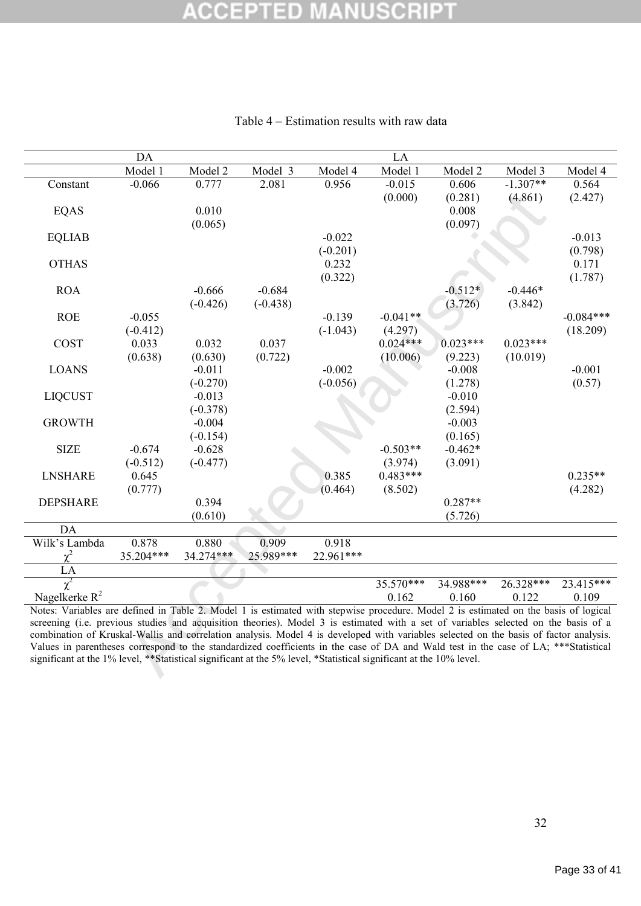|                                                                                                                                       | DA         |            |            |            | LA          |            |            |             |
|---------------------------------------------------------------------------------------------------------------------------------------|------------|------------|------------|------------|-------------|------------|------------|-------------|
|                                                                                                                                       | Model 1    | Model 2    | Model 3    | Model 4    | Model 1     | Model 2    | Model 3    | Model 4     |
| Constant                                                                                                                              | $-0.066$   | 0.777      | 2.081      | 0.956      | $-0.015$    | 0.606      | $-1.307**$ | 0.564       |
|                                                                                                                                       |            |            |            |            | (0.000)     | (0.281)    | (4.861)    | (2.427)     |
| <b>EQAS</b>                                                                                                                           |            | 0.010      |            |            |             | 0.008      |            |             |
|                                                                                                                                       |            | (0.065)    |            |            |             | (0.097)    |            |             |
| <b>EQLIAB</b>                                                                                                                         |            |            |            | $-0.022$   |             |            |            | $-0.013$    |
|                                                                                                                                       |            |            |            | $(-0.201)$ |             |            |            | (0.798)     |
| <b>OTHAS</b>                                                                                                                          |            |            |            | 0.232      |             |            |            | 0.171       |
|                                                                                                                                       |            |            |            | (0.322)    |             |            |            | (1.787)     |
| <b>ROA</b>                                                                                                                            |            | $-0.666$   | $-0.684$   |            |             | $-0.512*$  | $-0.446*$  |             |
|                                                                                                                                       |            | $(-0.426)$ | $(-0.438)$ |            |             | (3.726)    | (3.842)    |             |
| <b>ROE</b>                                                                                                                            | $-0.055$   |            |            | $-0.139$   | $-0.041**$  |            |            | $-0.084***$ |
|                                                                                                                                       | $(-0.412)$ |            |            | $(-1.043)$ | (4.297)     |            |            | (18.209)    |
| <b>COST</b>                                                                                                                           | 0.033      | 0.032      | 0.037      |            | $0.024***$  | $0.023***$ | $0.023***$ |             |
|                                                                                                                                       | (0.638)    | (0.630)    | (0.722)    |            | (10.006)    | (9.223)    | (10.019)   |             |
| <b>LOANS</b>                                                                                                                          |            | $-0.011$   |            | $-0.002$   |             | $-0.008$   |            | $-0.001$    |
|                                                                                                                                       |            | $(-0.270)$ |            | $(-0.056)$ |             | (1.278)    |            | (0.57)      |
| <b>LIQCUST</b>                                                                                                                        |            | $-0.013$   |            |            |             | $-0.010$   |            |             |
|                                                                                                                                       |            | $(-0.378)$ |            |            |             | (2.594)    |            |             |
| <b>GROWTH</b>                                                                                                                         |            | $-0.004$   |            |            |             | $-0.003$   |            |             |
|                                                                                                                                       |            | $(-0.154)$ |            |            |             | (0.165)    |            |             |
| <b>SIZE</b>                                                                                                                           | $-0.674$   | $-0.628$   |            |            | $-0.503**$  | $-0.462*$  |            |             |
|                                                                                                                                       | $(-0.512)$ | $(-0.477)$ |            |            | (3.974)     | (3.091)    |            |             |
| <b>LNSHARE</b>                                                                                                                        | 0.645      |            |            | 0.385      | $0.483***$  |            |            | $0.235**$   |
|                                                                                                                                       | (0.777)    |            |            | (0.464)    | (8.502)     |            |            | (4.282)     |
| <b>DEPSHARE</b>                                                                                                                       |            | 0.394      |            |            |             | $0.287**$  |            |             |
|                                                                                                                                       |            | (0.610)    |            |            |             | (5.726)    |            |             |
| DA                                                                                                                                    |            |            |            |            |             |            |            |             |
| Wilk's Lambda                                                                                                                         | 0.878      | 0.880      | 0.909      | 0.918      |             |            |            |             |
| $\chi^2$                                                                                                                              | 35.204***  | 34.274***  | 25.989***  | 22.961***  |             |            |            |             |
| LA                                                                                                                                    |            |            |            |            |             |            |            |             |
| $\chi^2$                                                                                                                              |            |            |            |            | $35.570***$ | 34.988***  | 26.328***  | $23.415***$ |
| Nagelkerke $R^2$                                                                                                                      |            |            |            |            | 0.162       | 0.160      | 0.122      | 0.109       |
| Notes: Variables are defined in Table 2. Model 1 is estimated with stepwise procedure. Model 2 is estimated on the basis of logical   |            |            |            |            |             |            |            |             |
| screening (i.e. previous studies and acquisition theories). Model 3 is estimated with a set of variables selected on the basis of a   |            |            |            |            |             |            |            |             |
| combination of Kruskal-Wallis and correlation analysis. Model 4 is developed with variables selected on the basis of factor analysis. |            |            |            |            |             |            |            |             |
| Values in parentheses correspond to the standardized coefficients in the case of DA and Wald test in the case of LA; ***Statistical   |            |            |            |            |             |            |            |             |
| significant at the 1% level, **Statistical significant at the 5% level, *Statistical significant at the 10% level.                    |            |            |            |            |             |            |            |             |
|                                                                                                                                       |            |            |            |            |             |            |            |             |

## Table 4 – Estimation results with raw data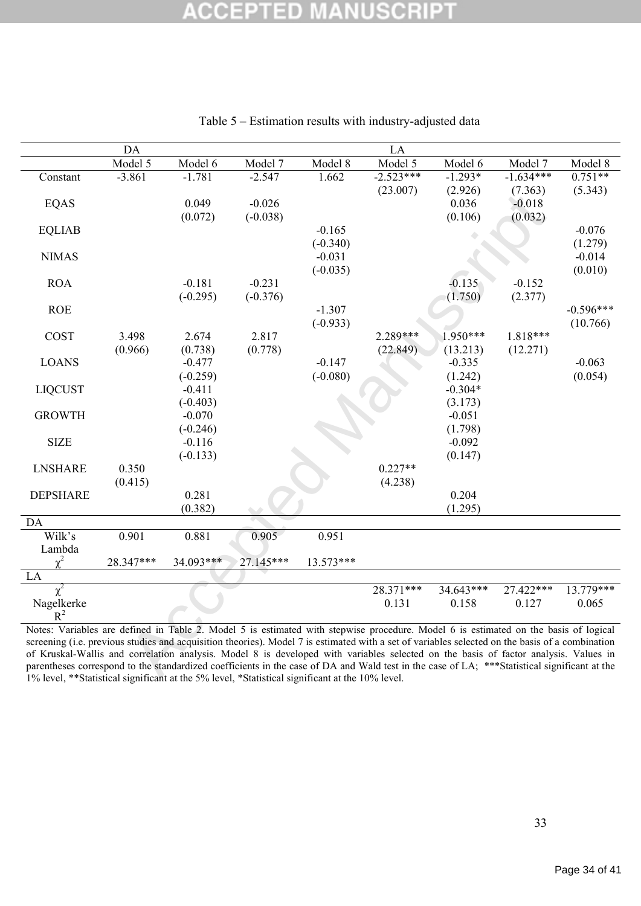# 라이

|                                                                                                                                                                                                                                                                                        | DA                   |            |            |                      | LA                   |            |             |             |
|----------------------------------------------------------------------------------------------------------------------------------------------------------------------------------------------------------------------------------------------------------------------------------------|----------------------|------------|------------|----------------------|----------------------|------------|-------------|-------------|
|                                                                                                                                                                                                                                                                                        | Model $\overline{5}$ | Model 6    | Model 7    | Model $\overline{8}$ | Model $\overline{5}$ | Model 6    | Model 7     | Model 8     |
| Constant                                                                                                                                                                                                                                                                               | $-3.861$             | $-1.781$   | $-2.547$   | 1.662                | $-2.523***$          | $-1.293*$  | $-1.634***$ | $0.751**$   |
|                                                                                                                                                                                                                                                                                        |                      |            |            |                      | (23.007)             | (2.926)    | (7.363)     | (5.343)     |
| <b>EQAS</b>                                                                                                                                                                                                                                                                            |                      | 0.049      | $-0.026$   |                      |                      | 0.036      | $-0.018$    |             |
|                                                                                                                                                                                                                                                                                        |                      | (0.072)    | $(-0.038)$ |                      |                      | (0.106)    | (0.032)     |             |
| <b>EQLIAB</b>                                                                                                                                                                                                                                                                          |                      |            |            | $-0.165$             |                      |            |             | $-0.076$    |
|                                                                                                                                                                                                                                                                                        |                      |            |            | $(-0.340)$           |                      |            |             | (1.279)     |
| <b>NIMAS</b>                                                                                                                                                                                                                                                                           |                      |            |            | $-0.031$             |                      |            |             | $-0.014$    |
|                                                                                                                                                                                                                                                                                        |                      |            |            | $(-0.035)$           |                      |            |             | (0.010)     |
| <b>ROA</b>                                                                                                                                                                                                                                                                             |                      | $-0.181$   | $-0.231$   |                      |                      | $-0.135$   | $-0.152$    |             |
|                                                                                                                                                                                                                                                                                        |                      | $(-0.295)$ | $(-0.376)$ |                      |                      | (1.750)    | (2.377)     |             |
| <b>ROE</b>                                                                                                                                                                                                                                                                             |                      |            |            | $-1.307$             |                      |            |             | $-0.596***$ |
|                                                                                                                                                                                                                                                                                        |                      |            |            | $(-0.933)$           |                      |            |             | (10.766)    |
| COST                                                                                                                                                                                                                                                                                   | 3.498                | 2.674      | 2.817      |                      | $2.289***$           | $1.950***$ | 1.818***    |             |
|                                                                                                                                                                                                                                                                                        | (0.966)              | (0.738)    | (0.778)    |                      | (22.849)             | (13.213)   | (12.271)    |             |
| <b>LOANS</b>                                                                                                                                                                                                                                                                           |                      | $-0.477$   |            | $-0.147$             |                      | $-0.335$   |             | $-0.063$    |
|                                                                                                                                                                                                                                                                                        |                      | $(-0.259)$ |            | $(-0.080)$           |                      | (1.242)    |             | (0.054)     |
| <b>LIQCUST</b>                                                                                                                                                                                                                                                                         |                      | $-0.411$   |            |                      |                      | $-0.304*$  |             |             |
|                                                                                                                                                                                                                                                                                        |                      | $(-0.403)$ |            |                      |                      | (3.173)    |             |             |
| <b>GROWTH</b>                                                                                                                                                                                                                                                                          |                      | $-0.070$   |            |                      |                      | $-0.051$   |             |             |
|                                                                                                                                                                                                                                                                                        |                      | $(-0.246)$ |            |                      |                      | (1.798)    |             |             |
| <b>SIZE</b>                                                                                                                                                                                                                                                                            |                      | $-0.116$   |            |                      |                      | $-0.092$   |             |             |
|                                                                                                                                                                                                                                                                                        |                      | $(-0.133)$ |            |                      |                      | (0.147)    |             |             |
| <b>LNSHARE</b>                                                                                                                                                                                                                                                                         | 0.350                |            |            |                      | $0.227**$            |            |             |             |
|                                                                                                                                                                                                                                                                                        |                      |            |            |                      |                      |            |             |             |
| <b>DEPSHARE</b>                                                                                                                                                                                                                                                                        | (0.415)              | 0.281      |            |                      | (4.238)              | 0.204      |             |             |
|                                                                                                                                                                                                                                                                                        |                      |            |            |                      |                      |            |             |             |
|                                                                                                                                                                                                                                                                                        |                      | (0.382)    |            |                      |                      | (1.295)    |             |             |
| DA<br>Wilk's                                                                                                                                                                                                                                                                           | 0.901                |            |            |                      |                      |            |             |             |
|                                                                                                                                                                                                                                                                                        |                      | 0.881      | 0.905      | 0.951                |                      |            |             |             |
| Lambda<br>$\gamma^2$                                                                                                                                                                                                                                                                   |                      | 34.093***  |            |                      |                      |            |             |             |
|                                                                                                                                                                                                                                                                                        | 28.347***            |            | 27.145***  | 13.573***            |                      |            |             |             |
| LA                                                                                                                                                                                                                                                                                     |                      |            |            |                      |                      |            |             |             |
| $\chi^2$                                                                                                                                                                                                                                                                               |                      |            |            |                      | 28.371***            | 34.643***  | 27.422***   | 13.779***   |
| Nagelkerke                                                                                                                                                                                                                                                                             |                      |            |            |                      | 0.131                | 0.158      | 0.127       | 0.065       |
| $R^2$                                                                                                                                                                                                                                                                                  |                      |            |            |                      |                      |            |             |             |
| Notes: Variables are defined in Table 2. Model 5 is estimated with stepwise procedure. Model 6 is estimated on the basis of logical                                                                                                                                                    |                      |            |            |                      |                      |            |             |             |
| screening (i.e. previous studies and acquisition theories). Model 7 is estimated with a set of variables selected on the basis of a combination<br>of Kruskal-Wallis and correlation analysis. Model 8 is developed with variables selected on the basis of factor analysis. Values in |                      |            |            |                      |                      |            |             |             |
| parentheses correspond to the standardized coefficients in the case of DA and Wald test in the case of LA; ***Statistical significant at the                                                                                                                                           |                      |            |            |                      |                      |            |             |             |
| 10/ lovel **Ctatistical significant at the 50/ lovel *Statistical significant at the 100/ lovel                                                                                                                                                                                        |                      |            |            |                      |                      |            |             |             |

## Table 5 – Estimation results with industry-adjusted data

Notes: Variables are defined in Table 2. Model 5 is estimated with stepwise procedure. Model 6 is estimated on the basis of logical screening (i.e. previous studies and acquisition theories). Model 7 is estimated with a set of variables selected on the basis of a combination of Kruskal-Wallis and correlation analysis. Model 8 is developed with variables selected on the basis of factor analysis. Values in parentheses correspond to the standardized coefficients in the case of DA and Wald test in the case of LA; \*\*\*Statistical significant at the 1% level, \*\*Statistical significant at the 5% level, \*Statistical significant at the 10% level.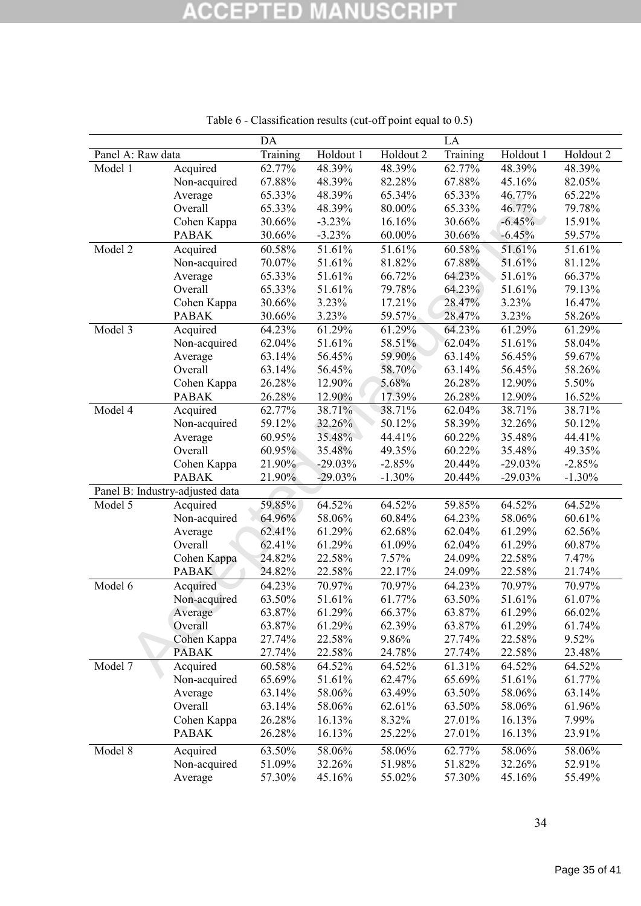# **ACCEPTED MANUSCRIPT**

|                   |                                 | DA       |           |           | LA       |           |           |
|-------------------|---------------------------------|----------|-----------|-----------|----------|-----------|-----------|
| Panel A: Raw data |                                 | Training | Holdout 1 | Holdout 2 | Training | Holdout 1 | Holdout 2 |
| Model $1$         | Acquired                        | 62.77%   | 48.39%    | 48.39%    | 62.77%   | 48.39%    | 48.39%    |
|                   | Non-acquired                    | 67.88%   | 48.39%    | 82.28%    | 67.88%   | 45.16%    | 82.05%    |
|                   | Average                         | 65.33%   | 48.39%    | 65.34%    | 65.33%   | 46.77%    | 65.22%    |
|                   | Overall                         | 65.33%   | 48.39%    | 80.00%    | 65.33%   | 46.77%    | 79.78%    |
|                   | Cohen Kappa                     | 30.66%   | $-3.23%$  | 16.16%    | 30.66%   | $-6.45%$  | 15.91%    |
|                   | <b>PABAK</b>                    | 30.66%   | $-3.23%$  | 60.00%    | 30.66%   | $-6.45%$  | 59.57%    |
| Model 2           | Acquired                        | 60.58%   | 51.61%    | 51.61%    | 60.58%   | 51.61%    | 51.61%    |
|                   | Non-acquired                    | 70.07%   | 51.61%    | 81.82%    | 67.88%   | 51.61%    | 81.12%    |
|                   | Average                         | 65.33%   | 51.61%    | 66.72%    | 64.23%   | 51.61%    | 66.37%    |
|                   | Overall                         | 65.33%   | 51.61%    | 79.78%    | 64.23%   | 51.61%    | 79.13%    |
|                   | Cohen Kappa                     | 30.66%   | 3.23%     | 17.21%    | 28.47%   | 3.23%     | 16.47%    |
|                   | <b>PABAK</b>                    | 30.66%   | 3.23%     | 59.57%    | 28.47%   | 3.23%     | 58.26%    |
| Model 3           | Acquired                        | 64.23%   | 61.29%    | 61.29%    | 64.23%   | 61.29%    | 61.29%    |
|                   | Non-acquired                    | 62.04%   | 51.61%    | 58.51%    | 62.04%   | 51.61%    | 58.04%    |
|                   | Average                         | 63.14%   | 56.45%    | 59.90%    | 63.14%   | 56.45%    | 59.67%    |
|                   | Overall                         | 63.14%   | 56.45%    | 58.70%    | 63.14%   | 56.45%    | 58.26%    |
|                   | Cohen Kappa                     | 26.28%   | 12.90%    | 5.68%     | 26.28%   | 12.90%    | 5.50%     |
|                   | <b>PABAK</b>                    | 26.28%   | 12.90%    | 17.39%    | 26.28%   | 12.90%    | 16.52%    |
| Model 4           | Acquired                        | 62.77%   | 38.71%    | 38.71%    | 62.04%   | 38.71%    | 38.71%    |
|                   | Non-acquired                    | 59.12%   | 32.26%    | 50.12%    | 58.39%   | 32.26%    | 50.12%    |
|                   | Average                         | 60.95%   | 35.48%    | 44.41%    | 60.22%   | 35.48%    | 44.41%    |
|                   | Overall                         | 60.95%   | 35.48%    | 49.35%    | 60.22%   | 35.48%    | 49.35%    |
|                   | Cohen Kappa                     | 21.90%   | $-29.03%$ | $-2.85%$  | 20.44%   | $-29.03%$ | $-2.85%$  |
|                   | <b>PABAK</b>                    | 21.90%   | $-29.03%$ | $-1.30%$  | 20.44%   | $-29.03%$ | $-1.30%$  |
|                   | Panel B: Industry-adjusted data |          |           |           |          |           |           |
| Model 5           | Acquired                        | 59.85%   | 64.52%    | 64.52%    | 59.85%   | 64.52%    | 64.52%    |
|                   | Non-acquired                    | 64.96%   | 58.06%    | 60.84%    | 64.23%   | 58.06%    | 60.61%    |
|                   | Average                         | 62.41%   | 61.29%    | 62.68%    | 62.04%   | 61.29%    | 62.56%    |
|                   | Overall                         | 62.41%   | 61.29%    | 61.09%    | 62.04%   | 61.29%    | 60.87%    |
|                   | Cohen Kappa                     | 24.82%   | 22.58%    | 7.57%     | 24.09%   | 22.58%    | 7.47%     |
|                   | <b>PABAK</b>                    | 24.82%   | 22.58%    | 22.17%    | 24.09%   | 22.58%    | 21.74%    |
| Model 6           | Acquired                        | 64.23%   | 70.97%    | 70.97%    | 64.23%   | 70.97%    | 70.97%    |
|                   | Non-acquired                    | 63.50%   | 51.61%    | 61.77%    | 63.50%   | 51.61%    | 61.07%    |
|                   | Average                         | 63.87%   | 61.29%    | 66.37%    | 63.87%   | 61.29%    | 66.02%    |
|                   | Overall                         | 63.87%   | 61.29%    | 62.39%    | 63.87%   | 61.29%    | 61.74%    |
|                   | Cohen Kappa                     | 27.74%   | 22.58%    | 9.86%     | 27.74%   | 22.58%    | 9.52%     |
|                   | <b>PABAK</b>                    | 27.74%   | 22.58%    | 24.78%    | 27.74%   | 22.58%    | 23.48%    |
| Model 7           | Acquired                        | 60.58%   | 64.52%    | 64.52%    | 61.31%   | 64.52%    | 64.52%    |
|                   | Non-acquired                    | 65.69%   | 51.61%    | 62.47%    | 65.69%   | 51.61%    | 61.77%    |
|                   | Average                         | 63.14%   | 58.06%    | 63.49%    | 63.50%   | 58.06%    | 63.14%    |
|                   | Overall                         | 63.14%   | 58.06%    | 62.61%    | 63.50%   | 58.06%    | 61.96%    |
|                   | Cohen Kappa                     | 26.28%   | 16.13%    | 8.32%     | 27.01%   | 16.13%    | 7.99%     |
|                   | <b>PABAK</b>                    | 26.28%   | 16.13%    | 25.22%    | 27.01%   | 16.13%    | 23.91%    |
| Model 8           | Acquired                        | 63.50%   | 58.06%    | 58.06%    | 62.77%   | 58.06%    | 58.06%    |
|                   | Non-acquired                    | 51.09%   | 32.26%    | 51.98%    | 51.82%   | 32.26%    | 52.91%    |
|                   | Average                         | 57.30%   | 45.16%    | 55.02%    | 57.30%   | 45.16%    | 55.49%    |

Table 6 - Classification results (cut-off point equal to 0.5)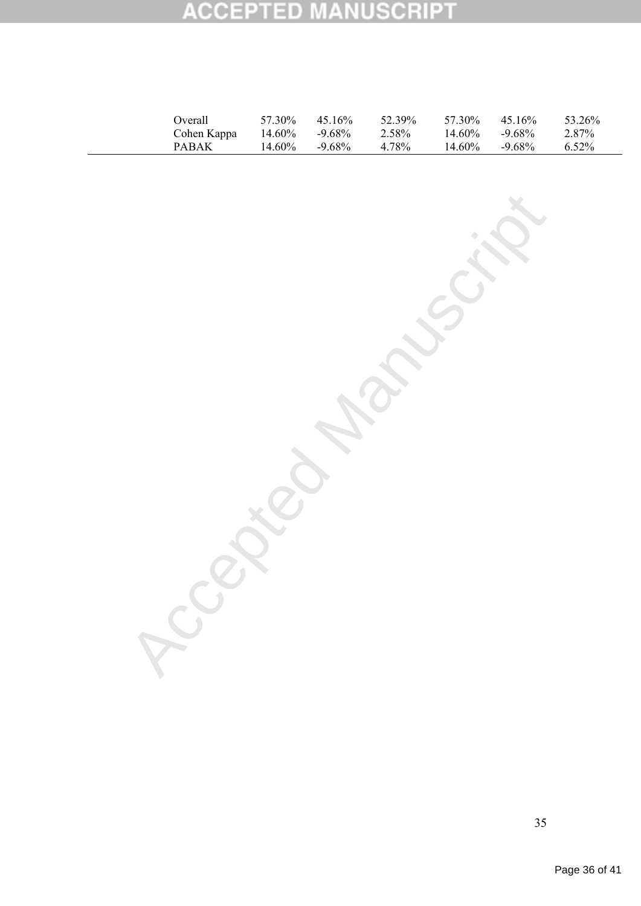### **NUSCRI** ACCEP ED P)

| Overall      | 57.30% | 45 16% | 52.39% | 57.30%    | 45 16%    | 53.26% |
|--------------|--------|--------|--------|-----------|-----------|--------|
| Cohen Kappa  | 14.60% | -9.68% | 2.58%  | $14.60\%$ | -9.68%    | 2.87%  |
| <b>PABAK</b> | 14.60% | -9.68% | 4.78%  | 14.60%    | $-9.68\%$ | 6.52%  |

Ccepted Manuscript

35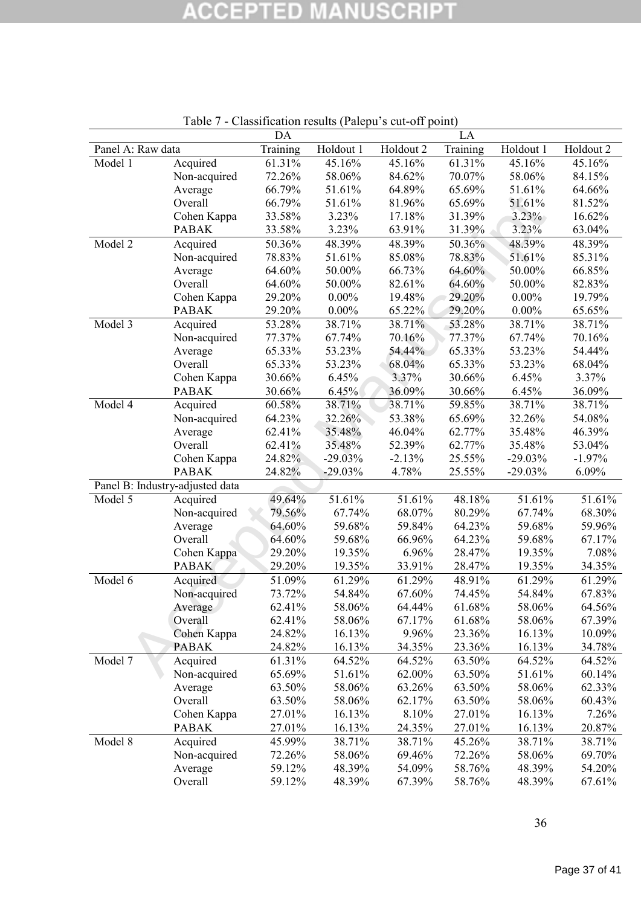# **ACCEPTED MANUSCRIPT**

| Training<br>Training<br>Holdout 2<br>Holdout 1<br>Holdout 2<br>Holdout 1<br>Panel A: Raw data<br>45.16%<br>45.16%<br>Model 1<br>Acquired<br>61.31%<br>45.16%<br>61.31%<br>45.16%<br>58.06%<br>70.07%<br>Non-acquired<br>72.26%<br>84.62%<br>58.06%<br>84.15%<br>66.79%<br>51.61%<br>64.89%<br>65.69%<br>51.61%<br>64.66%<br>Average<br>Overall<br>66.79%<br>51.61%<br>81.96%<br>65.69%<br>51.61%<br>81.52%<br>Cohen Kappa<br>3.23%<br>3.23%<br>16.62%<br>33.58%<br>17.18%<br>31.39%<br>3.23%<br>3.23%<br><b>PABAK</b><br>33.58%<br>63.91%<br>31.39%<br>63.04%<br>Model 2<br>48.39%<br>48.39%<br>48.39%<br>50.36%<br>48.39%<br>Acquired<br>50.36%<br>Non-acquired<br>78.83%<br>51.61%<br>85.08%<br>78.83%<br>51.61%<br>85.31%<br>66.73%<br>64.60%<br>50.00%<br>66.85%<br>Average<br>64.60%<br>50.00%<br>Overall<br>64.60%<br>50.00%<br>82.61%<br>64.60%<br>50.00%<br>82.83%<br>Cohen Kappa<br>29.20%<br>$0.00\%$<br>19.48%<br>29.20%<br>$0.00\%$<br>19.79%<br>$0.00\%$<br>65.22%<br>$0.00\%$<br><b>PABAK</b><br>29.20%<br>29.20%<br>65.65%<br>Model 3<br>38.71%<br>38.71%<br>53.28%<br>38.71%<br>38.71%<br>53.28%<br>Acquired<br>70.16%<br>77.37%<br>67.74%<br>70.16%<br>Non-acquired<br>77.37%<br>67.74%<br>65.33%<br>54.44%<br>65.33%<br>53.23%<br>53.23%<br>54.44%<br>Average<br>Overall<br>65.33%<br>68.04%<br>65.33%<br>53.23%<br>53.23%<br>68.04%<br>3.37%<br>6.45%<br>3.37%<br>Cohen Kappa<br>30.66%<br>6.45%<br>30.66%<br>36.09%<br>6.45%<br><b>PABAK</b><br>30.66%<br>6.45%<br>30.66%<br>36.09%<br>60.58%<br>38.71%<br>59.85%<br>38.71%<br>38.71%<br>Model 4<br>Acquired<br>38.71%<br>Non-acquired<br>64.23%<br>32.26%<br>53.38%<br>65.69%<br>32.26%<br>54.08%<br>62.41%<br>35.48%<br>46.04%<br>62.77%<br>35.48%<br>46.39%<br>Average<br>Overall<br>62.41%<br>35.48%<br>52.39%<br>62.77%<br>35.48%<br>53.04%<br>Cohen Kappa<br>24.82%<br>$-29.03%$<br>$-2.13%$<br>25.55%<br>$-29.03%$<br>$-1.97\%$<br>4.78%<br>6.09%<br><b>PABAK</b><br>24.82%<br>$-29.03%$<br>25.55%<br>$-29.03%$<br>Panel B: Industry-adjusted data<br>49.64%<br>51.61%<br>51.61%<br>48.18%<br>51.61%<br>51.61%<br>Model 5<br>Acquired<br>79.56%<br>68.30%<br>67.74%<br>68.07%<br>80.29%<br>67.74%<br>Non-acquired<br>64.23%<br>64.60%<br>59.68%<br>59.84%<br>59.68%<br>59.96%<br>Average<br>Overall<br>64.60%<br>59.68%<br>66.96%<br>64.23%<br>59.68%<br>67.17%<br>Cohen Kappa<br>29.20%<br>19.35%<br>6.96%<br>28.47%<br>19.35%<br>7.08%<br><b>PABAK</b><br>29.20%<br>19.35%<br>33.91%<br>28.47%<br>19.35%<br>34.35%<br>Model 6<br>61.29%<br>Acquired<br>51.09%<br>61.29%<br>61.29%<br>48.91%<br>61.29%<br>Non-acquired<br>73.72%<br>54.84%<br>67.60%<br>74.45%<br>54.84%<br>67.83%<br>58.06%<br>62.41%<br>64.44%<br>61.68%<br>58.06%<br>64.56%<br>Average<br>61.68%<br>Overall<br>62.41%<br>58.06%<br>67.17%<br>58.06%<br>67.39%<br>Cohen Kappa<br>24.82%<br>16.13%<br>9.96%<br>23.36%<br>16.13%<br>10.09%<br><b>PABAK</b><br>24.82%<br>16.13%<br>34.35%<br>23.36%<br>16.13%<br>34.78%<br>Model 7<br>Acquired<br>61.31%<br>64.52%<br>64.52%<br>63.50%<br>64.52%<br>64.52%<br>65.69%<br>51.61%<br>62.00%<br>63.50%<br>51.61%<br>Non-acquired<br>60.14%<br>63.50%<br>58.06%<br>63.50%<br>58.06%<br>63.26%<br>62.33%<br>Average<br>Overall<br>63.50%<br>63.50%<br>58.06%<br>58.06%<br>62.17%<br>60.43%<br>Cohen Kappa<br>27.01%<br>8.10%<br>27.01%<br>7.26%<br>16.13%<br>16.13%<br>27.01%<br>24.35%<br>16.13%<br><b>PABAK</b><br>16.13%<br>27.01%<br>20.87%<br>Model 8<br>Acquired<br>45.99%<br>38.71%<br>38.71%<br>45.26%<br>38.71%<br>38.71%<br>Non-acquired<br>72.26%<br>58.06%<br>69.46%<br>72.26%<br>58.06%<br>69.70%<br>58.76%<br>54.20%<br>59.12%<br>48.39%<br>54.09%<br>48.39%<br>Average<br>Overall<br>58.76%<br>59.12%<br>48.39%<br>67.39%<br>48.39%<br>67.61% |  | $\mathbf{DA}$ |  | LA |  |
|---------------------------------------------------------------------------------------------------------------------------------------------------------------------------------------------------------------------------------------------------------------------------------------------------------------------------------------------------------------------------------------------------------------------------------------------------------------------------------------------------------------------------------------------------------------------------------------------------------------------------------------------------------------------------------------------------------------------------------------------------------------------------------------------------------------------------------------------------------------------------------------------------------------------------------------------------------------------------------------------------------------------------------------------------------------------------------------------------------------------------------------------------------------------------------------------------------------------------------------------------------------------------------------------------------------------------------------------------------------------------------------------------------------------------------------------------------------------------------------------------------------------------------------------------------------------------------------------------------------------------------------------------------------------------------------------------------------------------------------------------------------------------------------------------------------------------------------------------------------------------------------------------------------------------------------------------------------------------------------------------------------------------------------------------------------------------------------------------------------------------------------------------------------------------------------------------------------------------------------------------------------------------------------------------------------------------------------------------------------------------------------------------------------------------------------------------------------------------------------------------------------------------------------------------------------------------------------------------------------------------------------------------------------------------------------------------------------------------------------------------------------------------------------------------------------------------------------------------------------------------------------------------------------------------------------------------------------------------------------------------------------------------------------------------------------------------------------------------------------------------------------------------------------------------------------------------------------------------------------------------------------------------------------------------------------------------------------------------------------------------------------------------------------------------------------------------------------------------------------------------------------------------------------------------------------------------------------------------------------------------------------------------------------------------------------------------------------------------------------------------|--|---------------|--|----|--|
|                                                                                                                                                                                                                                                                                                                                                                                                                                                                                                                                                                                                                                                                                                                                                                                                                                                                                                                                                                                                                                                                                                                                                                                                                                                                                                                                                                                                                                                                                                                                                                                                                                                                                                                                                                                                                                                                                                                                                                                                                                                                                                                                                                                                                                                                                                                                                                                                                                                                                                                                                                                                                                                                                                                                                                                                                                                                                                                                                                                                                                                                                                                                                                                                                                                                                                                                                                                                                                                                                                                                                                                                                                                                                                                                                   |  |               |  |    |  |
|                                                                                                                                                                                                                                                                                                                                                                                                                                                                                                                                                                                                                                                                                                                                                                                                                                                                                                                                                                                                                                                                                                                                                                                                                                                                                                                                                                                                                                                                                                                                                                                                                                                                                                                                                                                                                                                                                                                                                                                                                                                                                                                                                                                                                                                                                                                                                                                                                                                                                                                                                                                                                                                                                                                                                                                                                                                                                                                                                                                                                                                                                                                                                                                                                                                                                                                                                                                                                                                                                                                                                                                                                                                                                                                                                   |  |               |  |    |  |
|                                                                                                                                                                                                                                                                                                                                                                                                                                                                                                                                                                                                                                                                                                                                                                                                                                                                                                                                                                                                                                                                                                                                                                                                                                                                                                                                                                                                                                                                                                                                                                                                                                                                                                                                                                                                                                                                                                                                                                                                                                                                                                                                                                                                                                                                                                                                                                                                                                                                                                                                                                                                                                                                                                                                                                                                                                                                                                                                                                                                                                                                                                                                                                                                                                                                                                                                                                                                                                                                                                                                                                                                                                                                                                                                                   |  |               |  |    |  |
|                                                                                                                                                                                                                                                                                                                                                                                                                                                                                                                                                                                                                                                                                                                                                                                                                                                                                                                                                                                                                                                                                                                                                                                                                                                                                                                                                                                                                                                                                                                                                                                                                                                                                                                                                                                                                                                                                                                                                                                                                                                                                                                                                                                                                                                                                                                                                                                                                                                                                                                                                                                                                                                                                                                                                                                                                                                                                                                                                                                                                                                                                                                                                                                                                                                                                                                                                                                                                                                                                                                                                                                                                                                                                                                                                   |  |               |  |    |  |
|                                                                                                                                                                                                                                                                                                                                                                                                                                                                                                                                                                                                                                                                                                                                                                                                                                                                                                                                                                                                                                                                                                                                                                                                                                                                                                                                                                                                                                                                                                                                                                                                                                                                                                                                                                                                                                                                                                                                                                                                                                                                                                                                                                                                                                                                                                                                                                                                                                                                                                                                                                                                                                                                                                                                                                                                                                                                                                                                                                                                                                                                                                                                                                                                                                                                                                                                                                                                                                                                                                                                                                                                                                                                                                                                                   |  |               |  |    |  |
|                                                                                                                                                                                                                                                                                                                                                                                                                                                                                                                                                                                                                                                                                                                                                                                                                                                                                                                                                                                                                                                                                                                                                                                                                                                                                                                                                                                                                                                                                                                                                                                                                                                                                                                                                                                                                                                                                                                                                                                                                                                                                                                                                                                                                                                                                                                                                                                                                                                                                                                                                                                                                                                                                                                                                                                                                                                                                                                                                                                                                                                                                                                                                                                                                                                                                                                                                                                                                                                                                                                                                                                                                                                                                                                                                   |  |               |  |    |  |
|                                                                                                                                                                                                                                                                                                                                                                                                                                                                                                                                                                                                                                                                                                                                                                                                                                                                                                                                                                                                                                                                                                                                                                                                                                                                                                                                                                                                                                                                                                                                                                                                                                                                                                                                                                                                                                                                                                                                                                                                                                                                                                                                                                                                                                                                                                                                                                                                                                                                                                                                                                                                                                                                                                                                                                                                                                                                                                                                                                                                                                                                                                                                                                                                                                                                                                                                                                                                                                                                                                                                                                                                                                                                                                                                                   |  |               |  |    |  |
|                                                                                                                                                                                                                                                                                                                                                                                                                                                                                                                                                                                                                                                                                                                                                                                                                                                                                                                                                                                                                                                                                                                                                                                                                                                                                                                                                                                                                                                                                                                                                                                                                                                                                                                                                                                                                                                                                                                                                                                                                                                                                                                                                                                                                                                                                                                                                                                                                                                                                                                                                                                                                                                                                                                                                                                                                                                                                                                                                                                                                                                                                                                                                                                                                                                                                                                                                                                                                                                                                                                                                                                                                                                                                                                                                   |  |               |  |    |  |
|                                                                                                                                                                                                                                                                                                                                                                                                                                                                                                                                                                                                                                                                                                                                                                                                                                                                                                                                                                                                                                                                                                                                                                                                                                                                                                                                                                                                                                                                                                                                                                                                                                                                                                                                                                                                                                                                                                                                                                                                                                                                                                                                                                                                                                                                                                                                                                                                                                                                                                                                                                                                                                                                                                                                                                                                                                                                                                                                                                                                                                                                                                                                                                                                                                                                                                                                                                                                                                                                                                                                                                                                                                                                                                                                                   |  |               |  |    |  |
|                                                                                                                                                                                                                                                                                                                                                                                                                                                                                                                                                                                                                                                                                                                                                                                                                                                                                                                                                                                                                                                                                                                                                                                                                                                                                                                                                                                                                                                                                                                                                                                                                                                                                                                                                                                                                                                                                                                                                                                                                                                                                                                                                                                                                                                                                                                                                                                                                                                                                                                                                                                                                                                                                                                                                                                                                                                                                                                                                                                                                                                                                                                                                                                                                                                                                                                                                                                                                                                                                                                                                                                                                                                                                                                                                   |  |               |  |    |  |
|                                                                                                                                                                                                                                                                                                                                                                                                                                                                                                                                                                                                                                                                                                                                                                                                                                                                                                                                                                                                                                                                                                                                                                                                                                                                                                                                                                                                                                                                                                                                                                                                                                                                                                                                                                                                                                                                                                                                                                                                                                                                                                                                                                                                                                                                                                                                                                                                                                                                                                                                                                                                                                                                                                                                                                                                                                                                                                                                                                                                                                                                                                                                                                                                                                                                                                                                                                                                                                                                                                                                                                                                                                                                                                                                                   |  |               |  |    |  |
|                                                                                                                                                                                                                                                                                                                                                                                                                                                                                                                                                                                                                                                                                                                                                                                                                                                                                                                                                                                                                                                                                                                                                                                                                                                                                                                                                                                                                                                                                                                                                                                                                                                                                                                                                                                                                                                                                                                                                                                                                                                                                                                                                                                                                                                                                                                                                                                                                                                                                                                                                                                                                                                                                                                                                                                                                                                                                                                                                                                                                                                                                                                                                                                                                                                                                                                                                                                                                                                                                                                                                                                                                                                                                                                                                   |  |               |  |    |  |
|                                                                                                                                                                                                                                                                                                                                                                                                                                                                                                                                                                                                                                                                                                                                                                                                                                                                                                                                                                                                                                                                                                                                                                                                                                                                                                                                                                                                                                                                                                                                                                                                                                                                                                                                                                                                                                                                                                                                                                                                                                                                                                                                                                                                                                                                                                                                                                                                                                                                                                                                                                                                                                                                                                                                                                                                                                                                                                                                                                                                                                                                                                                                                                                                                                                                                                                                                                                                                                                                                                                                                                                                                                                                                                                                                   |  |               |  |    |  |
|                                                                                                                                                                                                                                                                                                                                                                                                                                                                                                                                                                                                                                                                                                                                                                                                                                                                                                                                                                                                                                                                                                                                                                                                                                                                                                                                                                                                                                                                                                                                                                                                                                                                                                                                                                                                                                                                                                                                                                                                                                                                                                                                                                                                                                                                                                                                                                                                                                                                                                                                                                                                                                                                                                                                                                                                                                                                                                                                                                                                                                                                                                                                                                                                                                                                                                                                                                                                                                                                                                                                                                                                                                                                                                                                                   |  |               |  |    |  |
|                                                                                                                                                                                                                                                                                                                                                                                                                                                                                                                                                                                                                                                                                                                                                                                                                                                                                                                                                                                                                                                                                                                                                                                                                                                                                                                                                                                                                                                                                                                                                                                                                                                                                                                                                                                                                                                                                                                                                                                                                                                                                                                                                                                                                                                                                                                                                                                                                                                                                                                                                                                                                                                                                                                                                                                                                                                                                                                                                                                                                                                                                                                                                                                                                                                                                                                                                                                                                                                                                                                                                                                                                                                                                                                                                   |  |               |  |    |  |
|                                                                                                                                                                                                                                                                                                                                                                                                                                                                                                                                                                                                                                                                                                                                                                                                                                                                                                                                                                                                                                                                                                                                                                                                                                                                                                                                                                                                                                                                                                                                                                                                                                                                                                                                                                                                                                                                                                                                                                                                                                                                                                                                                                                                                                                                                                                                                                                                                                                                                                                                                                                                                                                                                                                                                                                                                                                                                                                                                                                                                                                                                                                                                                                                                                                                                                                                                                                                                                                                                                                                                                                                                                                                                                                                                   |  |               |  |    |  |
|                                                                                                                                                                                                                                                                                                                                                                                                                                                                                                                                                                                                                                                                                                                                                                                                                                                                                                                                                                                                                                                                                                                                                                                                                                                                                                                                                                                                                                                                                                                                                                                                                                                                                                                                                                                                                                                                                                                                                                                                                                                                                                                                                                                                                                                                                                                                                                                                                                                                                                                                                                                                                                                                                                                                                                                                                                                                                                                                                                                                                                                                                                                                                                                                                                                                                                                                                                                                                                                                                                                                                                                                                                                                                                                                                   |  |               |  |    |  |
|                                                                                                                                                                                                                                                                                                                                                                                                                                                                                                                                                                                                                                                                                                                                                                                                                                                                                                                                                                                                                                                                                                                                                                                                                                                                                                                                                                                                                                                                                                                                                                                                                                                                                                                                                                                                                                                                                                                                                                                                                                                                                                                                                                                                                                                                                                                                                                                                                                                                                                                                                                                                                                                                                                                                                                                                                                                                                                                                                                                                                                                                                                                                                                                                                                                                                                                                                                                                                                                                                                                                                                                                                                                                                                                                                   |  |               |  |    |  |
|                                                                                                                                                                                                                                                                                                                                                                                                                                                                                                                                                                                                                                                                                                                                                                                                                                                                                                                                                                                                                                                                                                                                                                                                                                                                                                                                                                                                                                                                                                                                                                                                                                                                                                                                                                                                                                                                                                                                                                                                                                                                                                                                                                                                                                                                                                                                                                                                                                                                                                                                                                                                                                                                                                                                                                                                                                                                                                                                                                                                                                                                                                                                                                                                                                                                                                                                                                                                                                                                                                                                                                                                                                                                                                                                                   |  |               |  |    |  |
|                                                                                                                                                                                                                                                                                                                                                                                                                                                                                                                                                                                                                                                                                                                                                                                                                                                                                                                                                                                                                                                                                                                                                                                                                                                                                                                                                                                                                                                                                                                                                                                                                                                                                                                                                                                                                                                                                                                                                                                                                                                                                                                                                                                                                                                                                                                                                                                                                                                                                                                                                                                                                                                                                                                                                                                                                                                                                                                                                                                                                                                                                                                                                                                                                                                                                                                                                                                                                                                                                                                                                                                                                                                                                                                                                   |  |               |  |    |  |
|                                                                                                                                                                                                                                                                                                                                                                                                                                                                                                                                                                                                                                                                                                                                                                                                                                                                                                                                                                                                                                                                                                                                                                                                                                                                                                                                                                                                                                                                                                                                                                                                                                                                                                                                                                                                                                                                                                                                                                                                                                                                                                                                                                                                                                                                                                                                                                                                                                                                                                                                                                                                                                                                                                                                                                                                                                                                                                                                                                                                                                                                                                                                                                                                                                                                                                                                                                                                                                                                                                                                                                                                                                                                                                                                                   |  |               |  |    |  |
|                                                                                                                                                                                                                                                                                                                                                                                                                                                                                                                                                                                                                                                                                                                                                                                                                                                                                                                                                                                                                                                                                                                                                                                                                                                                                                                                                                                                                                                                                                                                                                                                                                                                                                                                                                                                                                                                                                                                                                                                                                                                                                                                                                                                                                                                                                                                                                                                                                                                                                                                                                                                                                                                                                                                                                                                                                                                                                                                                                                                                                                                                                                                                                                                                                                                                                                                                                                                                                                                                                                                                                                                                                                                                                                                                   |  |               |  |    |  |
|                                                                                                                                                                                                                                                                                                                                                                                                                                                                                                                                                                                                                                                                                                                                                                                                                                                                                                                                                                                                                                                                                                                                                                                                                                                                                                                                                                                                                                                                                                                                                                                                                                                                                                                                                                                                                                                                                                                                                                                                                                                                                                                                                                                                                                                                                                                                                                                                                                                                                                                                                                                                                                                                                                                                                                                                                                                                                                                                                                                                                                                                                                                                                                                                                                                                                                                                                                                                                                                                                                                                                                                                                                                                                                                                                   |  |               |  |    |  |
|                                                                                                                                                                                                                                                                                                                                                                                                                                                                                                                                                                                                                                                                                                                                                                                                                                                                                                                                                                                                                                                                                                                                                                                                                                                                                                                                                                                                                                                                                                                                                                                                                                                                                                                                                                                                                                                                                                                                                                                                                                                                                                                                                                                                                                                                                                                                                                                                                                                                                                                                                                                                                                                                                                                                                                                                                                                                                                                                                                                                                                                                                                                                                                                                                                                                                                                                                                                                                                                                                                                                                                                                                                                                                                                                                   |  |               |  |    |  |
|                                                                                                                                                                                                                                                                                                                                                                                                                                                                                                                                                                                                                                                                                                                                                                                                                                                                                                                                                                                                                                                                                                                                                                                                                                                                                                                                                                                                                                                                                                                                                                                                                                                                                                                                                                                                                                                                                                                                                                                                                                                                                                                                                                                                                                                                                                                                                                                                                                                                                                                                                                                                                                                                                                                                                                                                                                                                                                                                                                                                                                                                                                                                                                                                                                                                                                                                                                                                                                                                                                                                                                                                                                                                                                                                                   |  |               |  |    |  |
|                                                                                                                                                                                                                                                                                                                                                                                                                                                                                                                                                                                                                                                                                                                                                                                                                                                                                                                                                                                                                                                                                                                                                                                                                                                                                                                                                                                                                                                                                                                                                                                                                                                                                                                                                                                                                                                                                                                                                                                                                                                                                                                                                                                                                                                                                                                                                                                                                                                                                                                                                                                                                                                                                                                                                                                                                                                                                                                                                                                                                                                                                                                                                                                                                                                                                                                                                                                                                                                                                                                                                                                                                                                                                                                                                   |  |               |  |    |  |
|                                                                                                                                                                                                                                                                                                                                                                                                                                                                                                                                                                                                                                                                                                                                                                                                                                                                                                                                                                                                                                                                                                                                                                                                                                                                                                                                                                                                                                                                                                                                                                                                                                                                                                                                                                                                                                                                                                                                                                                                                                                                                                                                                                                                                                                                                                                                                                                                                                                                                                                                                                                                                                                                                                                                                                                                                                                                                                                                                                                                                                                                                                                                                                                                                                                                                                                                                                                                                                                                                                                                                                                                                                                                                                                                                   |  |               |  |    |  |
|                                                                                                                                                                                                                                                                                                                                                                                                                                                                                                                                                                                                                                                                                                                                                                                                                                                                                                                                                                                                                                                                                                                                                                                                                                                                                                                                                                                                                                                                                                                                                                                                                                                                                                                                                                                                                                                                                                                                                                                                                                                                                                                                                                                                                                                                                                                                                                                                                                                                                                                                                                                                                                                                                                                                                                                                                                                                                                                                                                                                                                                                                                                                                                                                                                                                                                                                                                                                                                                                                                                                                                                                                                                                                                                                                   |  |               |  |    |  |
|                                                                                                                                                                                                                                                                                                                                                                                                                                                                                                                                                                                                                                                                                                                                                                                                                                                                                                                                                                                                                                                                                                                                                                                                                                                                                                                                                                                                                                                                                                                                                                                                                                                                                                                                                                                                                                                                                                                                                                                                                                                                                                                                                                                                                                                                                                                                                                                                                                                                                                                                                                                                                                                                                                                                                                                                                                                                                                                                                                                                                                                                                                                                                                                                                                                                                                                                                                                                                                                                                                                                                                                                                                                                                                                                                   |  |               |  |    |  |
|                                                                                                                                                                                                                                                                                                                                                                                                                                                                                                                                                                                                                                                                                                                                                                                                                                                                                                                                                                                                                                                                                                                                                                                                                                                                                                                                                                                                                                                                                                                                                                                                                                                                                                                                                                                                                                                                                                                                                                                                                                                                                                                                                                                                                                                                                                                                                                                                                                                                                                                                                                                                                                                                                                                                                                                                                                                                                                                                                                                                                                                                                                                                                                                                                                                                                                                                                                                                                                                                                                                                                                                                                                                                                                                                                   |  |               |  |    |  |
|                                                                                                                                                                                                                                                                                                                                                                                                                                                                                                                                                                                                                                                                                                                                                                                                                                                                                                                                                                                                                                                                                                                                                                                                                                                                                                                                                                                                                                                                                                                                                                                                                                                                                                                                                                                                                                                                                                                                                                                                                                                                                                                                                                                                                                                                                                                                                                                                                                                                                                                                                                                                                                                                                                                                                                                                                                                                                                                                                                                                                                                                                                                                                                                                                                                                                                                                                                                                                                                                                                                                                                                                                                                                                                                                                   |  |               |  |    |  |
|                                                                                                                                                                                                                                                                                                                                                                                                                                                                                                                                                                                                                                                                                                                                                                                                                                                                                                                                                                                                                                                                                                                                                                                                                                                                                                                                                                                                                                                                                                                                                                                                                                                                                                                                                                                                                                                                                                                                                                                                                                                                                                                                                                                                                                                                                                                                                                                                                                                                                                                                                                                                                                                                                                                                                                                                                                                                                                                                                                                                                                                                                                                                                                                                                                                                                                                                                                                                                                                                                                                                                                                                                                                                                                                                                   |  |               |  |    |  |
|                                                                                                                                                                                                                                                                                                                                                                                                                                                                                                                                                                                                                                                                                                                                                                                                                                                                                                                                                                                                                                                                                                                                                                                                                                                                                                                                                                                                                                                                                                                                                                                                                                                                                                                                                                                                                                                                                                                                                                                                                                                                                                                                                                                                                                                                                                                                                                                                                                                                                                                                                                                                                                                                                                                                                                                                                                                                                                                                                                                                                                                                                                                                                                                                                                                                                                                                                                                                                                                                                                                                                                                                                                                                                                                                                   |  |               |  |    |  |
|                                                                                                                                                                                                                                                                                                                                                                                                                                                                                                                                                                                                                                                                                                                                                                                                                                                                                                                                                                                                                                                                                                                                                                                                                                                                                                                                                                                                                                                                                                                                                                                                                                                                                                                                                                                                                                                                                                                                                                                                                                                                                                                                                                                                                                                                                                                                                                                                                                                                                                                                                                                                                                                                                                                                                                                                                                                                                                                                                                                                                                                                                                                                                                                                                                                                                                                                                                                                                                                                                                                                                                                                                                                                                                                                                   |  |               |  |    |  |
|                                                                                                                                                                                                                                                                                                                                                                                                                                                                                                                                                                                                                                                                                                                                                                                                                                                                                                                                                                                                                                                                                                                                                                                                                                                                                                                                                                                                                                                                                                                                                                                                                                                                                                                                                                                                                                                                                                                                                                                                                                                                                                                                                                                                                                                                                                                                                                                                                                                                                                                                                                                                                                                                                                                                                                                                                                                                                                                                                                                                                                                                                                                                                                                                                                                                                                                                                                                                                                                                                                                                                                                                                                                                                                                                                   |  |               |  |    |  |
|                                                                                                                                                                                                                                                                                                                                                                                                                                                                                                                                                                                                                                                                                                                                                                                                                                                                                                                                                                                                                                                                                                                                                                                                                                                                                                                                                                                                                                                                                                                                                                                                                                                                                                                                                                                                                                                                                                                                                                                                                                                                                                                                                                                                                                                                                                                                                                                                                                                                                                                                                                                                                                                                                                                                                                                                                                                                                                                                                                                                                                                                                                                                                                                                                                                                                                                                                                                                                                                                                                                                                                                                                                                                                                                                                   |  |               |  |    |  |
|                                                                                                                                                                                                                                                                                                                                                                                                                                                                                                                                                                                                                                                                                                                                                                                                                                                                                                                                                                                                                                                                                                                                                                                                                                                                                                                                                                                                                                                                                                                                                                                                                                                                                                                                                                                                                                                                                                                                                                                                                                                                                                                                                                                                                                                                                                                                                                                                                                                                                                                                                                                                                                                                                                                                                                                                                                                                                                                                                                                                                                                                                                                                                                                                                                                                                                                                                                                                                                                                                                                                                                                                                                                                                                                                                   |  |               |  |    |  |
|                                                                                                                                                                                                                                                                                                                                                                                                                                                                                                                                                                                                                                                                                                                                                                                                                                                                                                                                                                                                                                                                                                                                                                                                                                                                                                                                                                                                                                                                                                                                                                                                                                                                                                                                                                                                                                                                                                                                                                                                                                                                                                                                                                                                                                                                                                                                                                                                                                                                                                                                                                                                                                                                                                                                                                                                                                                                                                                                                                                                                                                                                                                                                                                                                                                                                                                                                                                                                                                                                                                                                                                                                                                                                                                                                   |  |               |  |    |  |
|                                                                                                                                                                                                                                                                                                                                                                                                                                                                                                                                                                                                                                                                                                                                                                                                                                                                                                                                                                                                                                                                                                                                                                                                                                                                                                                                                                                                                                                                                                                                                                                                                                                                                                                                                                                                                                                                                                                                                                                                                                                                                                                                                                                                                                                                                                                                                                                                                                                                                                                                                                                                                                                                                                                                                                                                                                                                                                                                                                                                                                                                                                                                                                                                                                                                                                                                                                                                                                                                                                                                                                                                                                                                                                                                                   |  |               |  |    |  |
|                                                                                                                                                                                                                                                                                                                                                                                                                                                                                                                                                                                                                                                                                                                                                                                                                                                                                                                                                                                                                                                                                                                                                                                                                                                                                                                                                                                                                                                                                                                                                                                                                                                                                                                                                                                                                                                                                                                                                                                                                                                                                                                                                                                                                                                                                                                                                                                                                                                                                                                                                                                                                                                                                                                                                                                                                                                                                                                                                                                                                                                                                                                                                                                                                                                                                                                                                                                                                                                                                                                                                                                                                                                                                                                                                   |  |               |  |    |  |
|                                                                                                                                                                                                                                                                                                                                                                                                                                                                                                                                                                                                                                                                                                                                                                                                                                                                                                                                                                                                                                                                                                                                                                                                                                                                                                                                                                                                                                                                                                                                                                                                                                                                                                                                                                                                                                                                                                                                                                                                                                                                                                                                                                                                                                                                                                                                                                                                                                                                                                                                                                                                                                                                                                                                                                                                                                                                                                                                                                                                                                                                                                                                                                                                                                                                                                                                                                                                                                                                                                                                                                                                                                                                                                                                                   |  |               |  |    |  |
|                                                                                                                                                                                                                                                                                                                                                                                                                                                                                                                                                                                                                                                                                                                                                                                                                                                                                                                                                                                                                                                                                                                                                                                                                                                                                                                                                                                                                                                                                                                                                                                                                                                                                                                                                                                                                                                                                                                                                                                                                                                                                                                                                                                                                                                                                                                                                                                                                                                                                                                                                                                                                                                                                                                                                                                                                                                                                                                                                                                                                                                                                                                                                                                                                                                                                                                                                                                                                                                                                                                                                                                                                                                                                                                                                   |  |               |  |    |  |
|                                                                                                                                                                                                                                                                                                                                                                                                                                                                                                                                                                                                                                                                                                                                                                                                                                                                                                                                                                                                                                                                                                                                                                                                                                                                                                                                                                                                                                                                                                                                                                                                                                                                                                                                                                                                                                                                                                                                                                                                                                                                                                                                                                                                                                                                                                                                                                                                                                                                                                                                                                                                                                                                                                                                                                                                                                                                                                                                                                                                                                                                                                                                                                                                                                                                                                                                                                                                                                                                                                                                                                                                                                                                                                                                                   |  |               |  |    |  |
|                                                                                                                                                                                                                                                                                                                                                                                                                                                                                                                                                                                                                                                                                                                                                                                                                                                                                                                                                                                                                                                                                                                                                                                                                                                                                                                                                                                                                                                                                                                                                                                                                                                                                                                                                                                                                                                                                                                                                                                                                                                                                                                                                                                                                                                                                                                                                                                                                                                                                                                                                                                                                                                                                                                                                                                                                                                                                                                                                                                                                                                                                                                                                                                                                                                                                                                                                                                                                                                                                                                                                                                                                                                                                                                                                   |  |               |  |    |  |
|                                                                                                                                                                                                                                                                                                                                                                                                                                                                                                                                                                                                                                                                                                                                                                                                                                                                                                                                                                                                                                                                                                                                                                                                                                                                                                                                                                                                                                                                                                                                                                                                                                                                                                                                                                                                                                                                                                                                                                                                                                                                                                                                                                                                                                                                                                                                                                                                                                                                                                                                                                                                                                                                                                                                                                                                                                                                                                                                                                                                                                                                                                                                                                                                                                                                                                                                                                                                                                                                                                                                                                                                                                                                                                                                                   |  |               |  |    |  |
|                                                                                                                                                                                                                                                                                                                                                                                                                                                                                                                                                                                                                                                                                                                                                                                                                                                                                                                                                                                                                                                                                                                                                                                                                                                                                                                                                                                                                                                                                                                                                                                                                                                                                                                                                                                                                                                                                                                                                                                                                                                                                                                                                                                                                                                                                                                                                                                                                                                                                                                                                                                                                                                                                                                                                                                                                                                                                                                                                                                                                                                                                                                                                                                                                                                                                                                                                                                                                                                                                                                                                                                                                                                                                                                                                   |  |               |  |    |  |
|                                                                                                                                                                                                                                                                                                                                                                                                                                                                                                                                                                                                                                                                                                                                                                                                                                                                                                                                                                                                                                                                                                                                                                                                                                                                                                                                                                                                                                                                                                                                                                                                                                                                                                                                                                                                                                                                                                                                                                                                                                                                                                                                                                                                                                                                                                                                                                                                                                                                                                                                                                                                                                                                                                                                                                                                                                                                                                                                                                                                                                                                                                                                                                                                                                                                                                                                                                                                                                                                                                                                                                                                                                                                                                                                                   |  |               |  |    |  |
|                                                                                                                                                                                                                                                                                                                                                                                                                                                                                                                                                                                                                                                                                                                                                                                                                                                                                                                                                                                                                                                                                                                                                                                                                                                                                                                                                                                                                                                                                                                                                                                                                                                                                                                                                                                                                                                                                                                                                                                                                                                                                                                                                                                                                                                                                                                                                                                                                                                                                                                                                                                                                                                                                                                                                                                                                                                                                                                                                                                                                                                                                                                                                                                                                                                                                                                                                                                                                                                                                                                                                                                                                                                                                                                                                   |  |               |  |    |  |

Table 7 - Classification results (Palepu's cut-off point)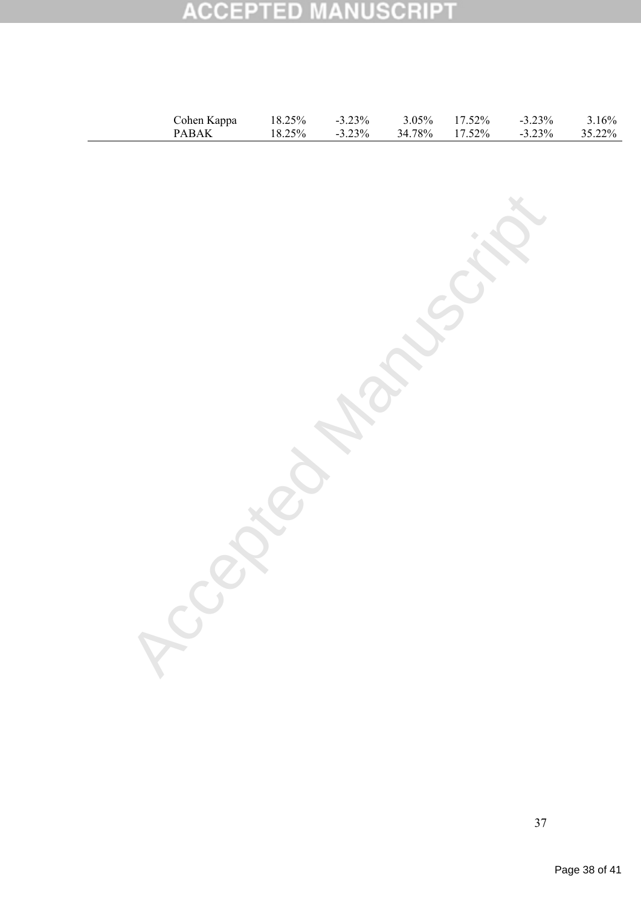# **ACCEPTED MANUSCRIPT**

| Cohen Kappa<br>PABAK | 18.25%<br>18.25% | $-3.23%$<br>$-3.23%$ | 3.05%<br>34.78% | $17.52\%$<br>$17.52\%$ | $-3.23%$<br>$-3.23%$ | 3.16%<br>35.22% |
|----------------------|------------------|----------------------|-----------------|------------------------|----------------------|-----------------|
|                      |                  |                      |                 |                        |                      |                 |
|                      |                  |                      |                 |                        |                      |                 |
|                      |                  |                      |                 |                        |                      |                 |
|                      |                  |                      |                 |                        |                      |                 |
|                      |                  |                      |                 |                        |                      |                 |
|                      |                  |                      |                 |                        |                      |                 |
|                      |                  |                      |                 |                        |                      |                 |
|                      |                  |                      |                 |                        |                      |                 |
|                      |                  |                      |                 |                        |                      |                 |
|                      |                  |                      |                 |                        |                      |                 |
|                      |                  |                      |                 |                        |                      |                 |
|                      |                  |                      |                 |                        |                      |                 |
|                      |                  |                      |                 |                        |                      |                 |
| RCC                  |                  |                      |                 |                        |                      |                 |
|                      |                  |                      |                 |                        |                      |                 |
|                      |                  |                      |                 |                        |                      |                 |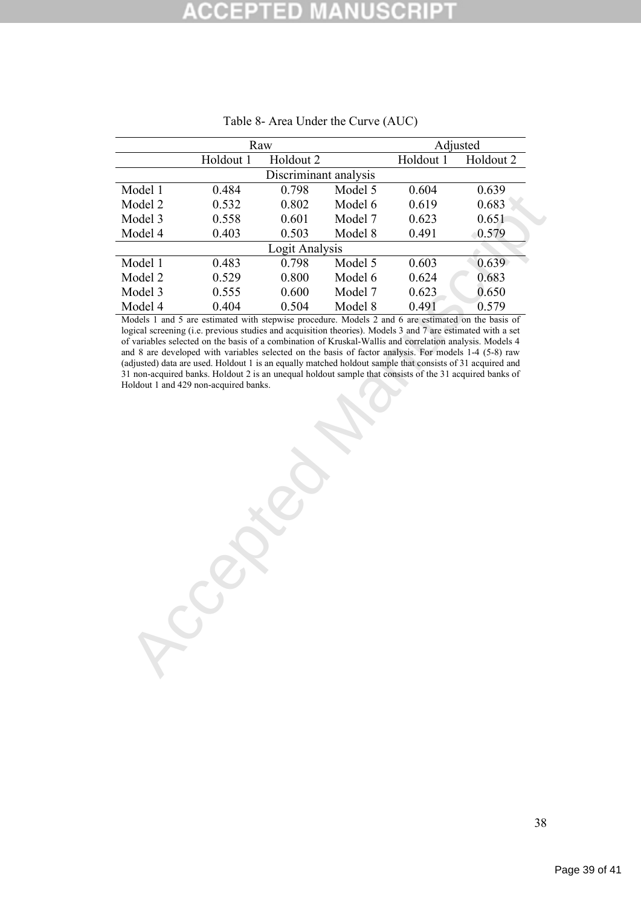|                                                                                                                                                  | Raw       | Adjusted              |         |           |                      |
|--------------------------------------------------------------------------------------------------------------------------------------------------|-----------|-----------------------|---------|-----------|----------------------|
|                                                                                                                                                  | Holdout 1 | Holdout 2             |         | Holdout 1 | Holdout <sub>2</sub> |
|                                                                                                                                                  |           | Discriminant analysis |         |           |                      |
| Model 1                                                                                                                                          | 0.484     | 0.798                 | Model 5 | 0.604     | 0.639                |
| Model 2                                                                                                                                          | 0.532     | 0.802                 | Model 6 | 0.619     | 0.683                |
| Model 3                                                                                                                                          | 0.558     | 0.601                 | Model 7 | 0.623     | 0.651                |
| Model 4                                                                                                                                          | 0.403     | 0.503                 | Model 8 | 0.491     | 0.579                |
|                                                                                                                                                  |           | Logit Analysis        |         |           |                      |
| Model 1                                                                                                                                          | 0.483     | 0.798                 | Model 5 | 0.603     | 0.639                |
| Model 2                                                                                                                                          | 0.529     | 0.800                 | Model 6 | 0.624     | 0.683                |
| Model 3                                                                                                                                          | 0.555     | 0.600                 | Model 7 | 0.623     | 0.650                |
| Model 4<br>Models 1 and 5 are estimated with stepwise procedure. Models 2 and 6 are estimated on the basis of                                    | 0.404     | 0.504                 | Model 8 | 0.491     | 0.579                |
| 31 non-acquired banks. Holdout 2 is an unequal holdout sample that consists of the 31 acquired banks of<br>Holdout 1 and 429 non-acquired banks. |           |                       |         |           |                      |
|                                                                                                                                                  |           |                       |         |           |                      |

### Table 8- Area Under the Curve (AUC)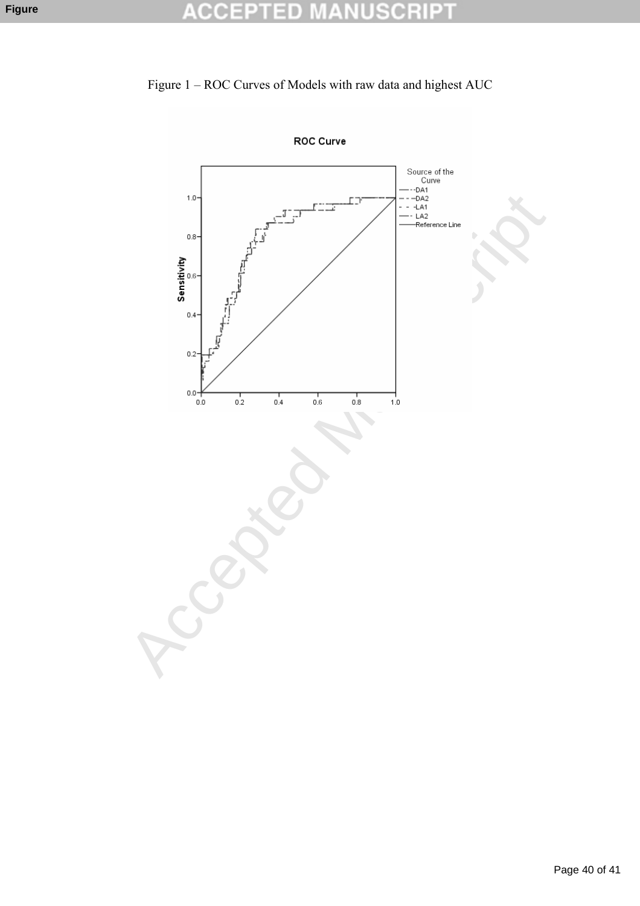## **Figure**

### **ACCEPTI**  $CR$ PT ΞĐ U ä



Figure 1 – ROC Curves of Models with raw data and highest AUC